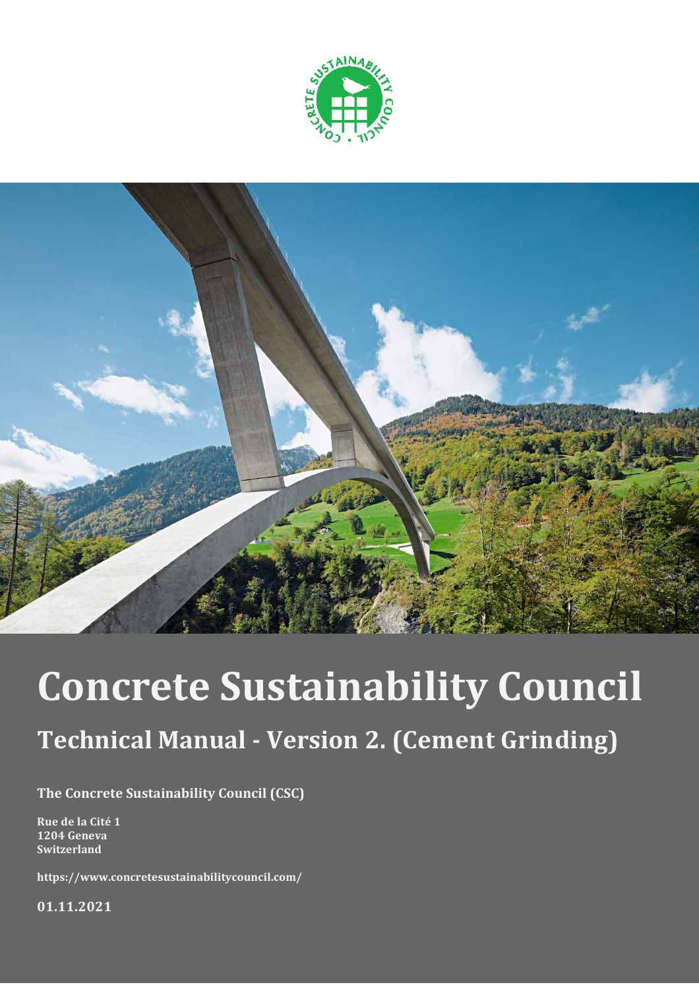



# **Concrete Sustainability Council**

## **Technical Manual - Version 2. (Cement Grinding)**

**The Concrete Sustainability Council (CSC)**

**Rue de la Cité 1 1204 Geneva Switzerland**

**https://www.concretesustainabilitycouncil.com/**

**01.11.2021**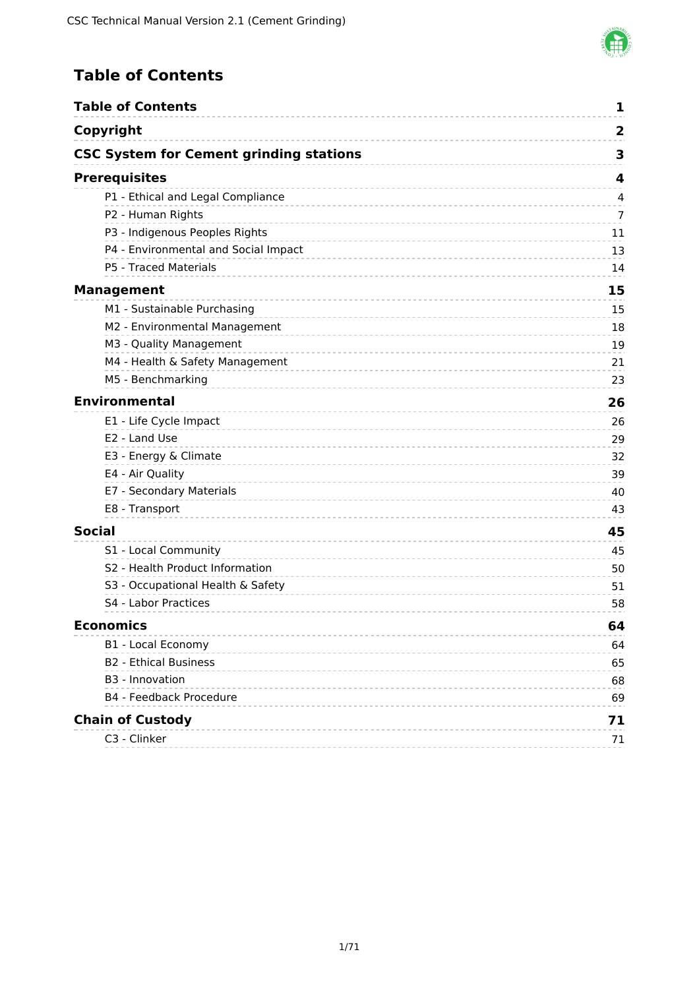

### <span id="page-1-0"></span>**Table of Contents**

| <b>Table of Contents</b>                       | 1                       |
|------------------------------------------------|-------------------------|
| Copyright                                      | $\overline{\mathbf{2}}$ |
| <b>CSC System for Cement grinding stations</b> | 3                       |
| <b>Prerequisites</b>                           | 4                       |
| P1 - Ethical and Legal Compliance              | $\overline{4}$          |
| P2 - Human Rights                              | 7                       |
| P3 - Indigenous Peoples Rights                 | 11                      |
| P4 - Environmental and Social Impact           | 13                      |
| P5 - Traced Materials                          | 14                      |
| <b>Management</b>                              | 15                      |
| M1 - Sustainable Purchasing                    | 15                      |
| M2 - Environmental Management                  | 18                      |
| M3 - Quality Management                        | 19                      |
| M4 - Health & Safety Management                | 21                      |
| M5 - Benchmarking                              | 23                      |
| <b>Environmental</b>                           | 26                      |
| E1 - Life Cycle Impact                         | 26                      |
| E2 - Land Use                                  | 29                      |
| E3 - Energy & Climate                          | 32                      |
| E4 - Air Quality                               | 39                      |
| E7 - Secondary Materials                       | 40                      |
| E8 - Transport                                 | 43                      |
| <b>Social</b>                                  | 45                      |
| S1 - Local Community                           | 45                      |
| S2 - Health Product Information                | 50                      |
| S3 - Occupational Health & Safety              | 51                      |
| S4 - Labor Practices                           | 58                      |
| Economics                                      | 64                      |
| <b>B1 - Local Economy</b>                      | 64                      |
| <b>B2 - Ethical Business</b>                   | 65                      |
| B <sub>3</sub> - Innovation                    | 68                      |
| B4 - Feedback Procedure                        | 69                      |
| <b>Chain of Custody</b>                        | 71                      |
| C3 - Clinker                                   | 71                      |
|                                                |                         |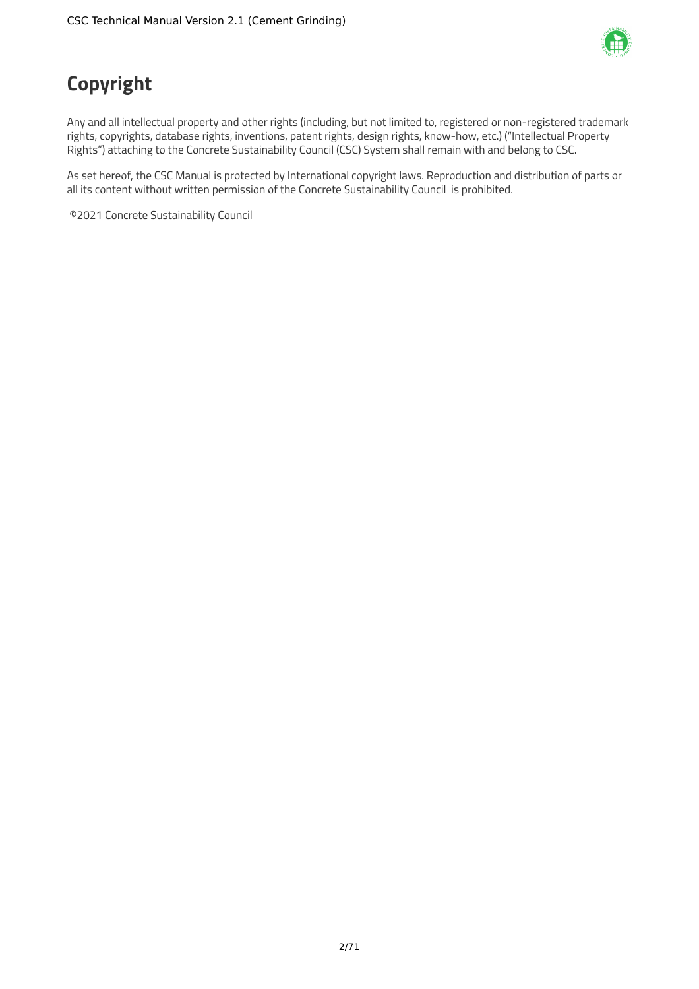

## <span id="page-2-0"></span>**Copyright**

Any and all intellectual property and other rights (including, but not limited to, registered or non-registered trademark rights, copyrights, database rights, inventions, patent rights, design rights, know-how, etc.) ("Intellectual Property Rights") attaching to the Concrete Sustainability Council (CSC) System shall remain with and belong to CSC.

As set hereof, the CSC Manual is protected by International copyright laws. Reproduction and distribution of parts or all its content without written permission of the Concrete Sustainability Council is prohibited.

©2021 Concrete Sustainability Council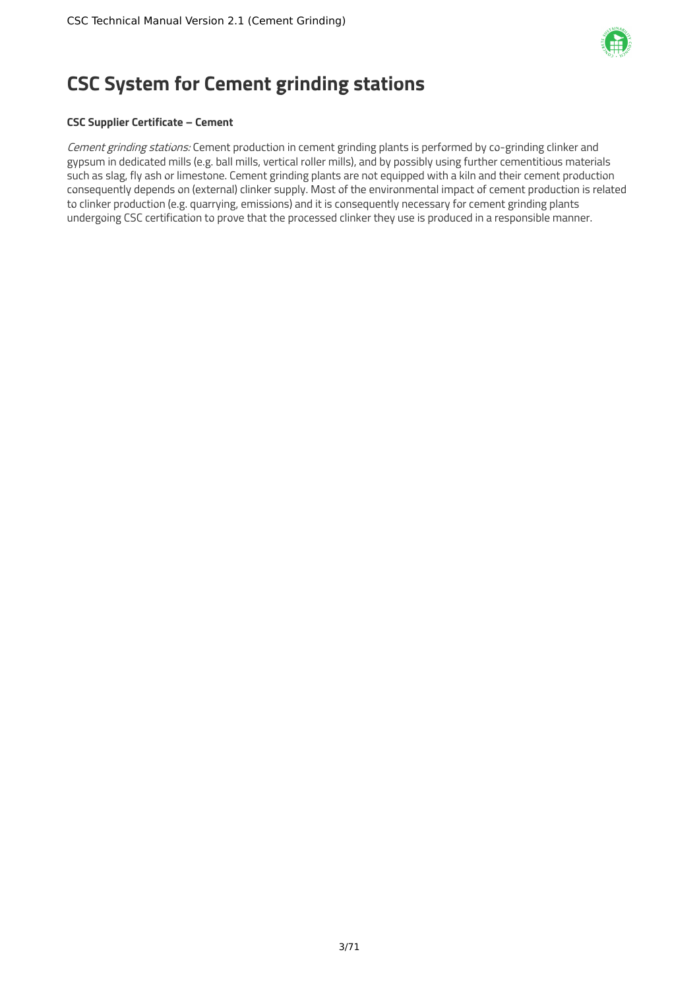

## <span id="page-3-0"></span>**CSC System for Cement grinding stations**

#### **CSC Supplier Certificate – Cement**

Cement grinding stations: Cement production in cement grinding plants is performed by co-grinding clinker and gypsum in dedicated mills (e.g. ball mills, vertical roller mills), and by possibly using further cementitious materials such as slag, fly ash or limestone. Cement grinding plants are not equipped with a kiln and their cement production consequently depends on (external) clinker supply. Most of the environmental impact of cement production is related to clinker production (e.g. quarrying, emissions) and it is consequently necessary for cement grinding plants undergoing CSC certification to prove that the processed clinker they use is produced in a responsible manner.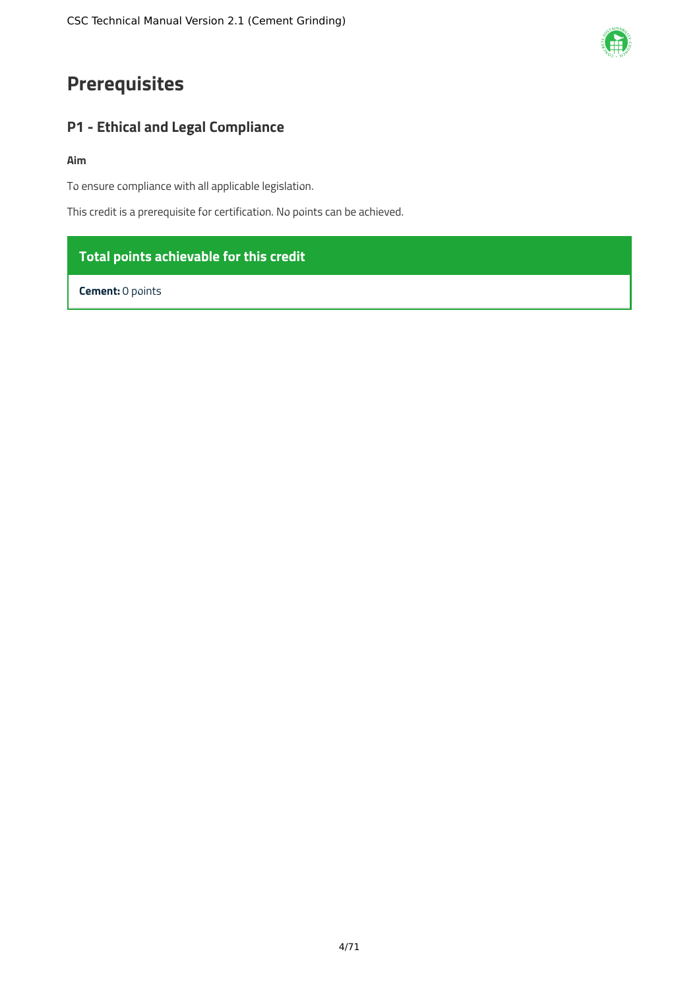### <span id="page-4-0"></span>**Prerequisites**

### <span id="page-4-1"></span>**P1 - Ethical and Legal Compliance**

#### **Aim**

To ensure compliance with all applicable legislation.

This credit is a prerequisite for certification. No points can be achieved.

### **Total points achievable for this credit**

**Cement:** 0 points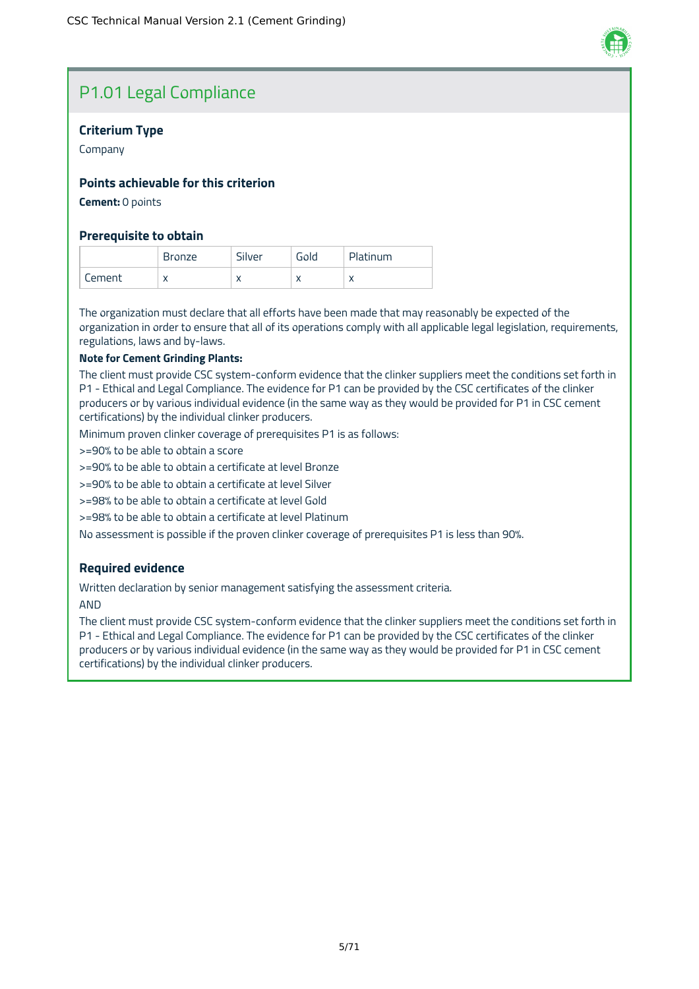

### P1.01 Legal Compliance

#### **Criterium Type**

Company

#### **Points achievable for this criterion**

**Cement:** 0 points

#### **Prerequisite to obtain**

|        | Bronze                    | Silver | Gold | Platinum  |
|--------|---------------------------|--------|------|-----------|
| Iement | $\checkmark$<br>$\lambda$ | ⌒      |      | $\lambda$ |

The organization must declare that all efforts have been made that may reasonably be expected of the organization in order to ensure that all of its operations comply with all applicable legal legislation, requirements, regulations, laws and by-laws.

#### **Note for Cement Grinding Plants:**

The client must provide CSC system-conform evidence that the clinker suppliers meet the conditions set forth in P1 - Ethical and Legal Compliance. The evidence for P1 can be provided by the CSC certificates of the clinker producers or by various individual evidence (in the same way as they would be provided for P1 in CSC cement certifications) by the individual clinker producers.

Minimum proven clinker coverage of prerequisites P1 is as follows:

>=90% to be able to obtain a score

>=90% to be able to obtain a certificate at level Bronze

>=90% to be able to obtain a certificate at level Silver

>=98% to be able to obtain a certificate at level Gold

>=98% to be able to obtain a certificate at level Platinum

No assessment is possible if the proven clinker coverage of prerequisites P1 is less than 90%.

#### **Required evidence**

Written declaration by senior management satisfying the assessment criteria.

AND

The client must provide CSC system-conform evidence that the clinker suppliers meet the conditions set forth in P1 - Ethical and Legal Compliance. The evidence for P1 can be provided by the CSC certificates of the clinker producers or by various individual evidence (in the same way as they would be provided for P1 in CSC cement certifications) by the individual clinker producers.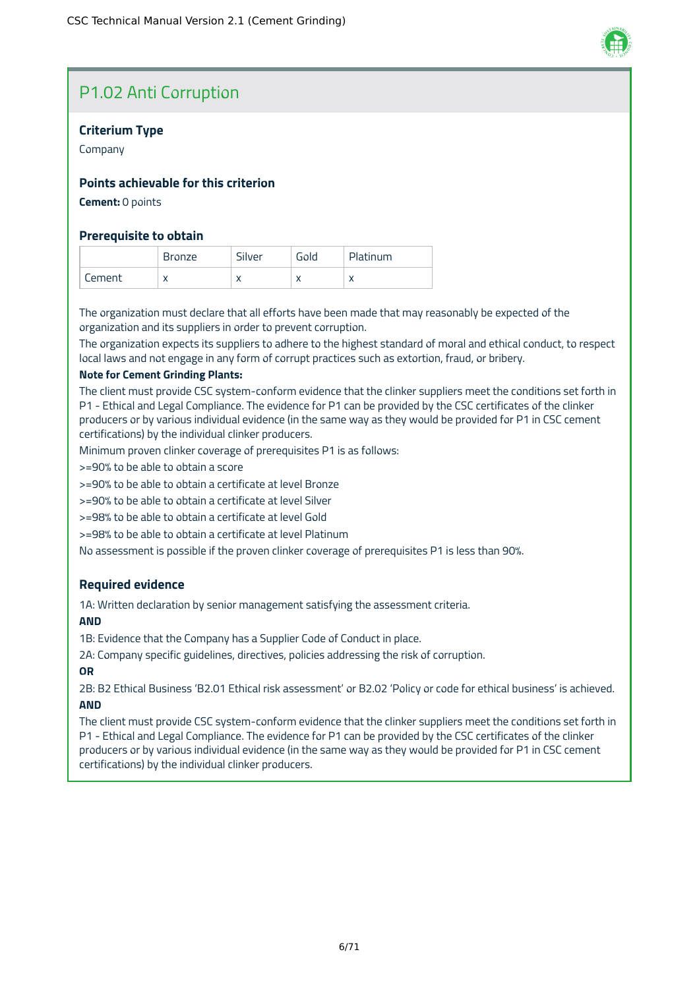### P1.02 Anti Corruption

#### **Criterium Type**

Company

#### **Points achievable for this criterion**

#### **Cement:** 0 points

#### **Prerequisite to obtain**

|        | nze                       | Silver    | Gold                     | <b>Platinum</b> |
|--------|---------------------------|-----------|--------------------------|-----------------|
| :ement | $\checkmark$<br>$\lambda$ | $\lambda$ | $\overline{\phantom{a}}$ | $\lambda$       |

The organization must declare that all efforts have been made that may reasonably be expected of the organization and its suppliers in order to prevent corruption.

The organization expects its suppliers to adhere to the highest standard of moral and ethical conduct, to respect local laws and not engage in any form of corrupt practices such as extortion, fraud, or bribery.

#### **Note for Cement Grinding Plants:**

The client must provide CSC system-conform evidence that the clinker suppliers meet the conditions set forth in P1 - Ethical and Legal Compliance. The evidence for P1 can be provided by the CSC certificates of the clinker producers or by various individual evidence (in the same way as they would be provided for P1 in CSC cement certifications) by the individual clinker producers.

Minimum proven clinker coverage of prerequisites P1 is as follows:

>=90% to be able to obtain a score

>=90% to be able to obtain a certificate at level Bronze

>=90% to be able to obtain a certificate at level Silver

>=98% to be able to obtain a certificate at level Gold

>=98% to be able to obtain a certificate at level Platinum

No assessment is possible if the proven clinker coverage of prerequisites P1 is less than 90%.

#### **Required evidence**

1A: Written declaration by senior management satisfying the assessment criteria.

#### **AND**

1B: Evidence that the Company has a Supplier Code of Conduct in place.

2A: Company specific guidelines, directives, policies addressing the risk of corruption.

#### **OR**

2B: B2 Ethical Business 'B2.01 Ethical risk assessment' or B2.02 'Policy or code for ethical business' is achieved. **AND**

The client must provide CSC system-conform evidence that the clinker suppliers meet the conditions set forth in P1 - Ethical and Legal Compliance. The evidence for P1 can be provided by the CSC certificates of the clinker producers or by various individual evidence (in the same way as they would be provided for P1 in CSC cement

certifications) by the individual clinker producers.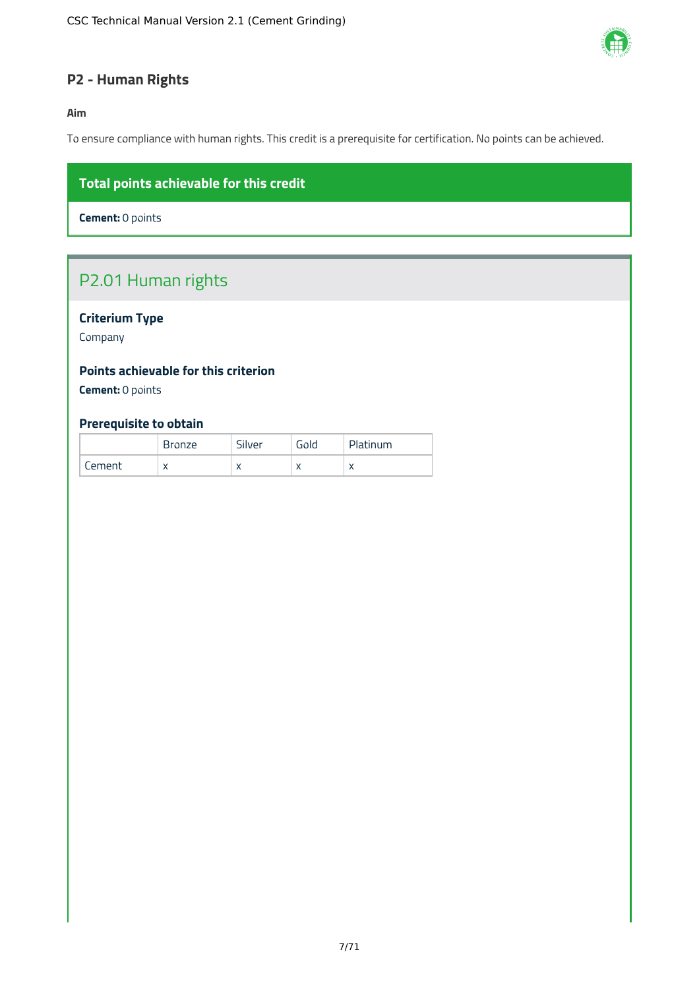

### <span id="page-7-0"></span>**P2 - Human Rights**

#### **Aim**

To ensure compliance with human rights. This credit is a prerequisite for certification. No points can be achieved.

### **Total points achievable for this credit**

**Cement:** 0 points

### P2.01 Human rights

#### **Criterium Type**

Company

#### **Points achievable for this criterion**

**Cement:** 0 points

#### **Prerequisite to obtain**

|        | <b>Bronze</b> | Silver    | Gold       | Platinum  |
|--------|---------------|-----------|------------|-----------|
| Cement | $\lambda$     | $\lambda$ | $\sqrt{ }$ | $\lambda$ |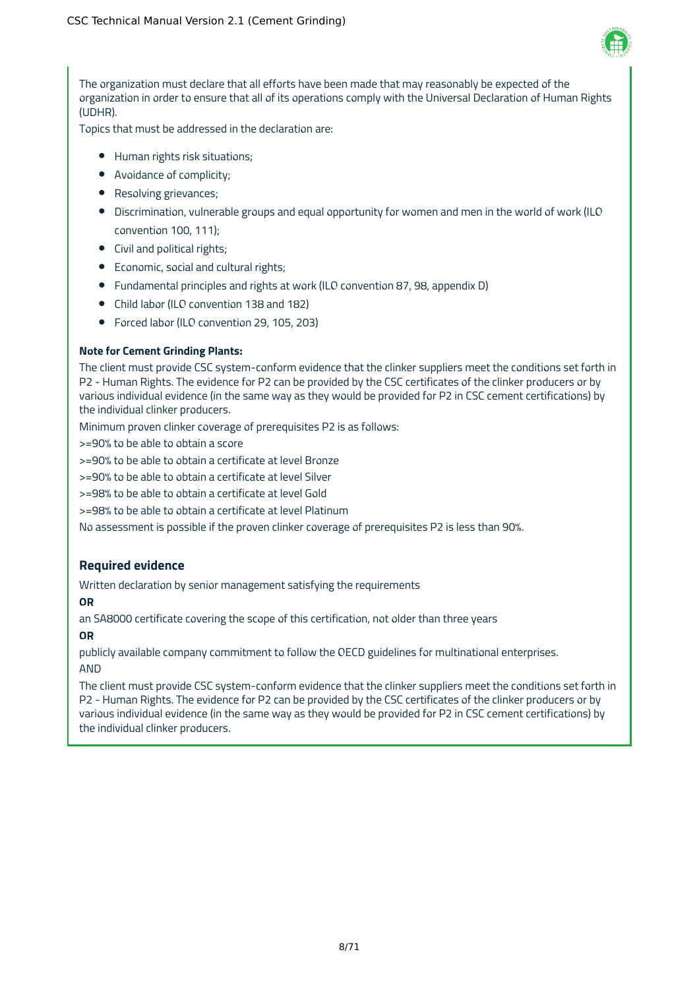

The organization must declare that all efforts have been made that may reasonably be expected of the organization in order to ensure that all of its operations comply with the Universal Declaration of Human Rights (UDHR).

Topics that must be addressed in the declaration are:

- Human rights risk situations;
- Avoidance of complicity;
- Resolving grievances;
- Discrimination, vulnerable groups and equal opportunity for women and men in the world of work (ILO convention 100, 111);
- Civil and political rights;
- Economic, social and cultural rights;
- Fundamental principles and rights at work (ILO convention 87, 98, appendix D)
- Child labor (ILO convention 138 and 182)
- Forced labor (ILO convention 29, 105, 203)

#### **Note for Cement Grinding Plants:**

The client must provide CSC system-conform evidence that the clinker suppliers meet the conditions set forth in P2 - Human Rights. The evidence for P2 can be provided by the CSC certificates of the clinker producers or by various individual evidence (in the same way as they would be provided for P2 in CSC cement certifications) by the individual clinker producers.

Minimum proven clinker coverage of prerequisites P2 is as follows:

>=90% to be able to obtain a score

>=90% to be able to obtain a certificate at level Bronze

>=90% to be able to obtain a certificate at level Silver

>=98% to be able to obtain a certificate at level Gold

>=98% to be able to obtain a certificate at level Platinum

No assessment is possible if the proven clinker coverage of prerequisites P2 is less than 90%.

#### **Required evidence**

Written declaration by senior management satisfying the requirements

#### **OR**

an SA8000 certificate covering the scope of this certification, not older than three years

#### **OR**

publicly available company commitment to follow the OECD guidelines for multinational enterprises. AND

The client must provide CSC system-conform evidence that the clinker suppliers meet the conditions set forth in P2 - Human Rights. The evidence for P2 can be provided by the CSC certificates of the clinker producers or by various individual evidence (in the same way as they would be provided for P2 in CSC cement certifications) by the individual clinker producers.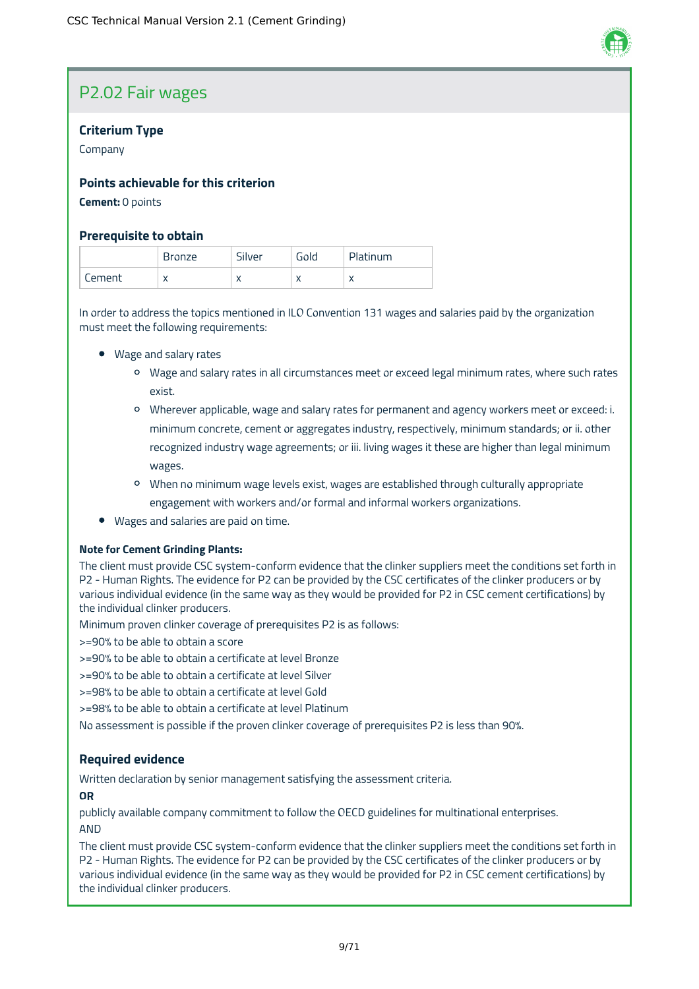### P2.02 Fair wages

#### **Criterium Type**

Company

#### **Points achievable for this criterion**

#### **Cement:** 0 points

#### **Prerequisite to obtain**

|        | <b>Bronze</b>  | Silver    | Gold | Platinum  |
|--------|----------------|-----------|------|-----------|
| Cement | v<br>$\lambda$ | $\lambda$ |      | $\lambda$ |

In order to address the topics mentioned in ILO Convention 131 wages and salaries paid by the organization must meet the following requirements:

- Wage and salary rates
	- Wage and salary rates in all circumstances meet or exceed legal minimum rates, where such rates exist.
	- Wherever applicable, wage and salary rates for permanent and agency workers meet or exceed: i. minimum concrete, cement or aggregates industry, respectively, minimum standards; or ii. other recognized industry wage agreements; or iii. living wages it these are higher than legal minimum wages.
	- When no minimum wage levels exist, wages are established through culturally appropriate engagement with workers and/or formal and informal workers organizations.
- Wages and salaries are paid on time.

#### **Note for Cement Grinding Plants:**

The client must provide CSC system-conform evidence that the clinker suppliers meet the conditions set forth in P2 - Human Rights. The evidence for P2 can be provided by the CSC certificates of the clinker producers or by various individual evidence (in the same way as they would be provided for P2 in CSC cement certifications) by the individual clinker producers.

Minimum proven clinker coverage of prerequisites P2 is as follows:

>=90% to be able to obtain a score

>=90% to be able to obtain a certificate at level Bronze

>=90% to be able to obtain a certificate at level Silver

>=98% to be able to obtain a certificate at level Gold

>=98% to be able to obtain a certificate at level Platinum

No assessment is possible if the proven clinker coverage of prerequisites P2 is less than 90%.

#### **Required evidence**

Written declaration by senior management satisfying the assessment criteria.

#### **OR**

publicly available company commitment to follow the OECD guidelines for multinational enterprises. AND

The client must provide CSC system-conform evidence that the clinker suppliers meet the conditions set forth in P2 - Human Rights. The evidence for P2 can be provided by the CSC certificates of the clinker producers or by various individual evidence (in the same way as they would be provided for P2 in CSC cement certifications) by the individual clinker producers.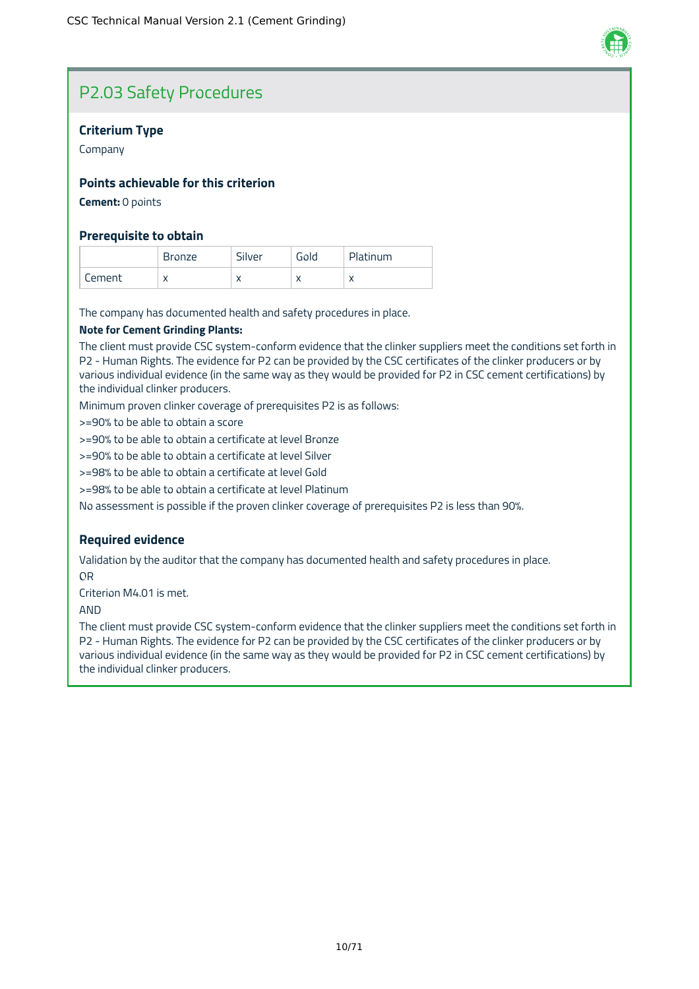

### P2.03 Safety Procedures

#### **Criterium Type**

Company

#### **Points achievable for this criterion**

**Cement:** 0 points

#### **Prerequisite to obtain**

|        | <b>Bronze</b> | Silver    | Gold       | Platinum  |
|--------|---------------|-----------|------------|-----------|
| Cement | v<br>⌒        | $\lambda$ | $\sqrt{ }$ | $\lambda$ |

The company has documented health and safety procedures in place.

#### **Note for Cement Grinding Plants:**

The client must provide CSC system-conform evidence that the clinker suppliers meet the conditions set forth in P2 - Human Rights. The evidence for P2 can be provided by the CSC certificates of the clinker producers or by various individual evidence (in the same way as they would be provided for P2 in CSC cement certifications) by the individual clinker producers.

Minimum proven clinker coverage of prerequisites P2 is as follows:

>=90% to be able to obtain a score

>=90% to be able to obtain a certificate at level Bronze

>=90% to be able to obtain a certificate at level Silver

>=98% to be able to obtain a certificate at level Gold

>=98% to be able to obtain a certificate at level Platinum

No assessment is possible if the proven clinker coverage of prerequisites P2 is less than 90%.

#### **Required evidence**

Validation by the auditor that the company has documented health and safety procedures in place. OR

Criterion M4.01 is met.

AND

The client must provide CSC system-conform evidence that the clinker suppliers meet the conditions set forth in P2 - Human Rights. The evidence for P2 can be provided by the CSC certificates of the clinker producers or by various individual evidence (in the same way as they would be provided for P2 in CSC cement certifications) by the individual clinker producers.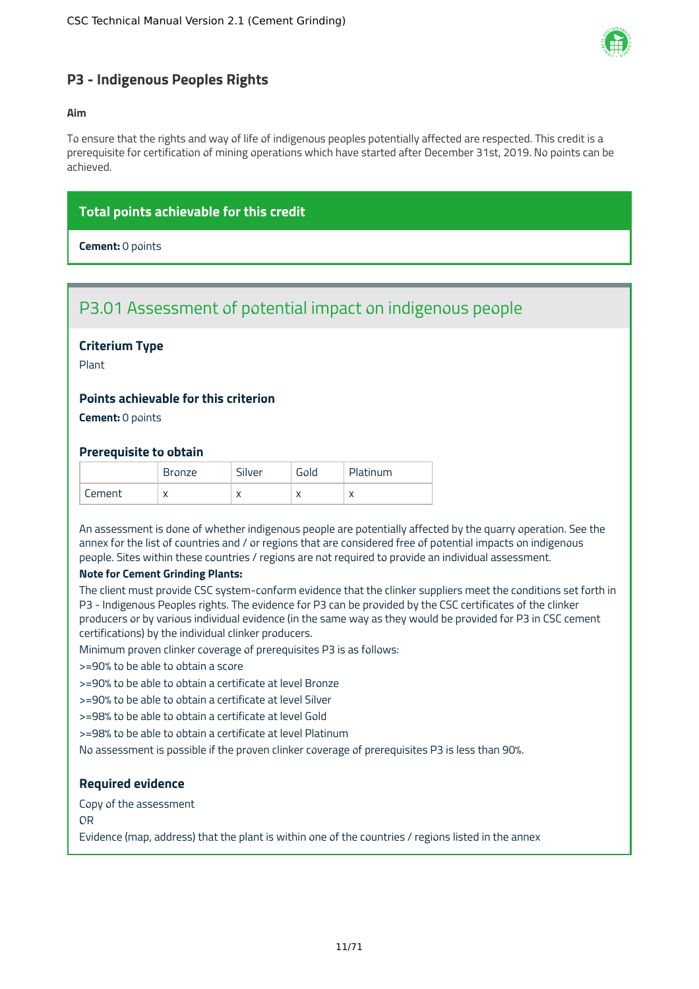

#### <span id="page-11-0"></span>**P3 - Indigenous Peoples Rights**

#### **Aim**

To ensure that the rights and way of life of indigenous peoples potentially affected are respected. This credit is a prerequisite for certification of mining operations which have started after December 31st, 2019. No points can be achieved.

#### **Total points achievable for this credit**

**Cement:** 0 points

### P3.01 Assessment of potential impact on indigenous people

#### **Criterium Type**

Plant

#### **Points achievable for this criterion**

**Cement:** 0 points

#### **Prerequisite to obtain**

|        | <b>Bronze</b> | Silver    | Gold      | Platinum  |
|--------|---------------|-----------|-----------|-----------|
| Cement | $\lambda$     | $\lambda$ | $\lambda$ | $\lambda$ |

An assessment is done of whether indigenous people are potentially affected by the quarry operation. See the annex for the list of countries and / or regions that are considered free of potential impacts on indigenous people. Sites within these countries / regions are not required to provide an individual assessment.

#### **Note for Cement Grinding Plants:**

The client must provide CSC system-conform evidence that the clinker suppliers meet the conditions set forth in P3 - Indigenous Peoples rights. The evidence for P3 can be provided by the CSC certificates of the clinker producers or by various individual evidence (in the same way as they would be provided for P3 in CSC cement certifications) by the individual clinker producers.

Minimum proven clinker coverage of prerequisites P3 is as follows:

>=90% to be able to obtain a score

>=90% to be able to obtain a certificate at level Bronze

>=90% to be able to obtain a certificate at level Silver

>=98% to be able to obtain a certificate at level Gold

>=98% to be able to obtain a certificate at level Platinum

No assessment is possible if the proven clinker coverage of prerequisites P3 is less than 90%.

#### **Required evidence**

Copy of the assessment

OR

Evidence (map, address) that the plant is within one of the countries / regions listed in the annex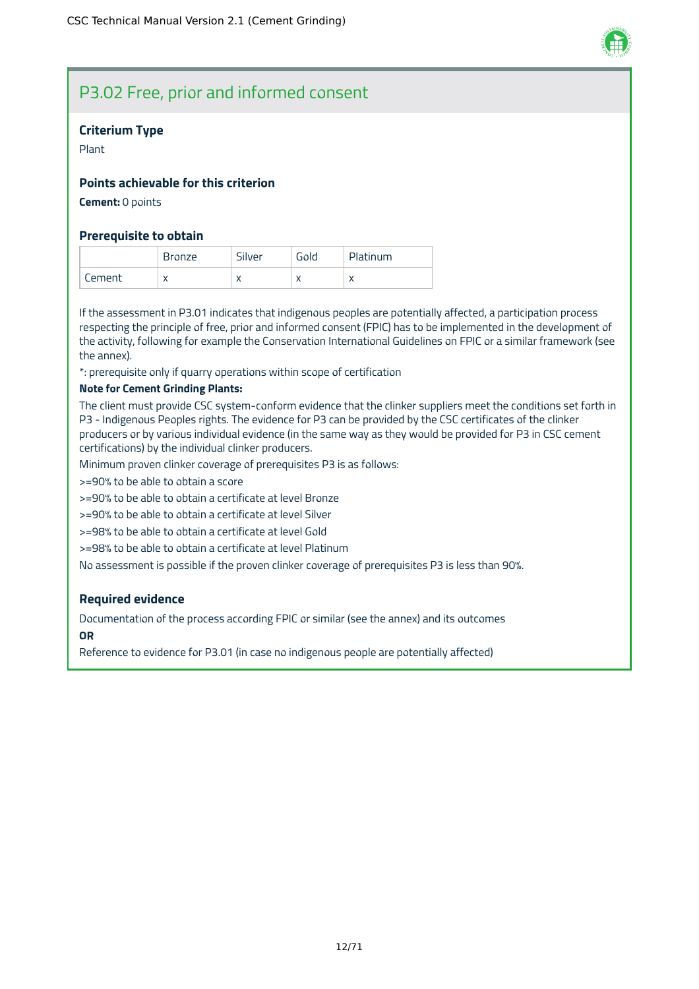

### P3.02 Free, prior and informed consent

#### **Criterium Type**

Plant

#### **Points achievable for this criterion**

**Cement:** 0 points

#### **Prerequisite to obtain**

|        | <b>Bronze</b> | Silver    | Gold | Platinum  |
|--------|---------------|-----------|------|-----------|
| Cement | X             | $\lambda$ |      | $\lambda$ |

If the assessment in P3.01 indicates that indigenous peoples are potentially affected, a participation process respecting the principle of free, prior and informed consent (FPIC) has to be implemented in the development of the activity, following for example the Conservation International Guidelines on FPIC or a similar framework (see the annex).

\*: prerequisite only if quarry operations within scope of certification

#### **Note for Cement Grinding Plants:**

The client must provide CSC system-conform evidence that the clinker suppliers meet the conditions set forth in P3 - Indigenous Peoples rights. The evidence for P3 can be provided by the CSC certificates of the clinker producers or by various individual evidence (in the same way as they would be provided for P3 in CSC cement certifications) by the individual clinker producers.

Minimum proven clinker coverage of prerequisites P3 is as follows:

>=90% to be able to obtain a score

>=90% to be able to obtain a certificate at level Bronze

>=90% to be able to obtain a certificate at level Silver

>=98% to be able to obtain a certificate at level Gold

>=98% to be able to obtain a certificate at level Platinum

No assessment is possible if the proven clinker coverage of prerequisites P3 is less than 90%.

#### **Required evidence**

Documentation of the process according FPIC or similar (see the annex) and its outcomes **OR**

Reference to evidence for P3.01 (in case no indigenous people are potentially affected)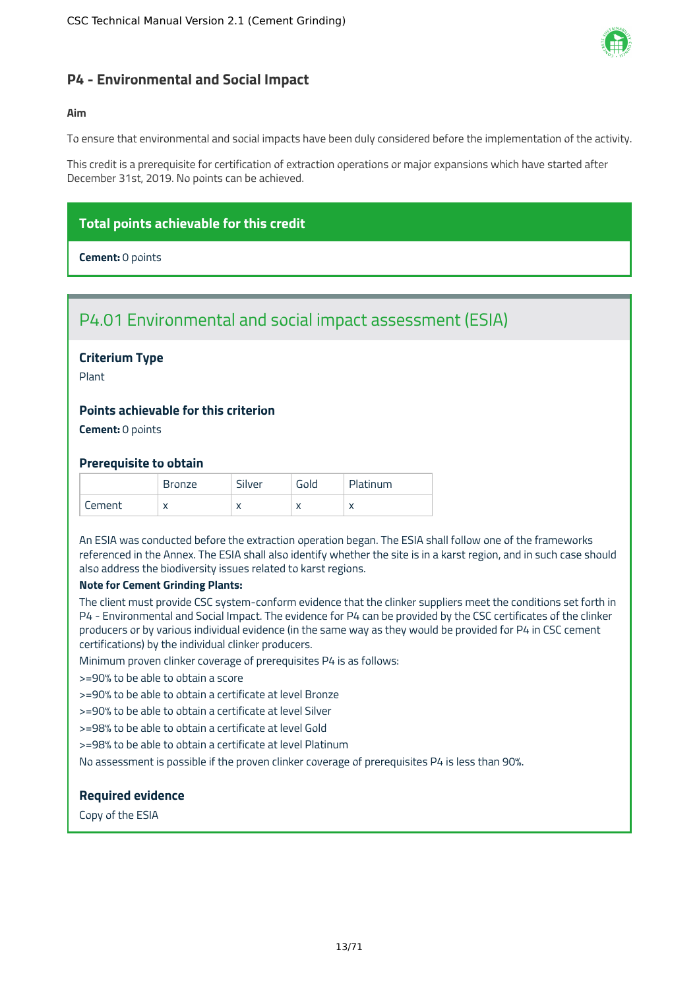

#### <span id="page-13-0"></span>**P4 - Environmental and Social Impact**

#### **Aim**

To ensure that environmental and social impacts have been duly considered before the implementation of the activity.

This credit is a prerequisite for certification of extraction operations or major expansions which have started after December 31st, 2019. No points can be achieved.

#### **Total points achievable for this credit**

**Cement:** 0 points

### P4.01 Environmental and social impact assessment (ESIA)

#### **Criterium Type**

Plant

#### **Points achievable for this criterion**

**Cement:** 0 points

#### **Prerequisite to obtain**

|        | <b>Bronze</b> | Silver       | Gold                     | Platinum                  |
|--------|---------------|--------------|--------------------------|---------------------------|
| Cement | X             | $\mathbf{v}$ | $\overline{\phantom{a}}$ | $\checkmark$<br>$\lambda$ |

An ESIA was conducted before the extraction operation began. The ESIA shall follow one of the frameworks referenced in the Annex. The ESIA shall also identify whether the site is in a karst region, and in such case should also address the biodiversity issues related to karst regions.

#### **Note for Cement Grinding Plants:**

The client must provide CSC system-conform evidence that the clinker suppliers meet the conditions set forth in P4 - Environmental and Social Impact. The evidence for P4 can be provided by the CSC certificates of the clinker producers or by various individual evidence (in the same way as they would be provided for P4 in CSC cement certifications) by the individual clinker producers.

Minimum proven clinker coverage of prerequisites P4 is as follows:

>=90% to be able to obtain a score

>=90% to be able to obtain a certificate at level Bronze

>=90% to be able to obtain a certificate at level Silver

>=98% to be able to obtain a certificate at level Gold

>=98% to be able to obtain a certificate at level Platinum

No assessment is possible if the proven clinker coverage of prerequisites P4 is less than 90%.

#### **Required evidence**

Copy of the ESIA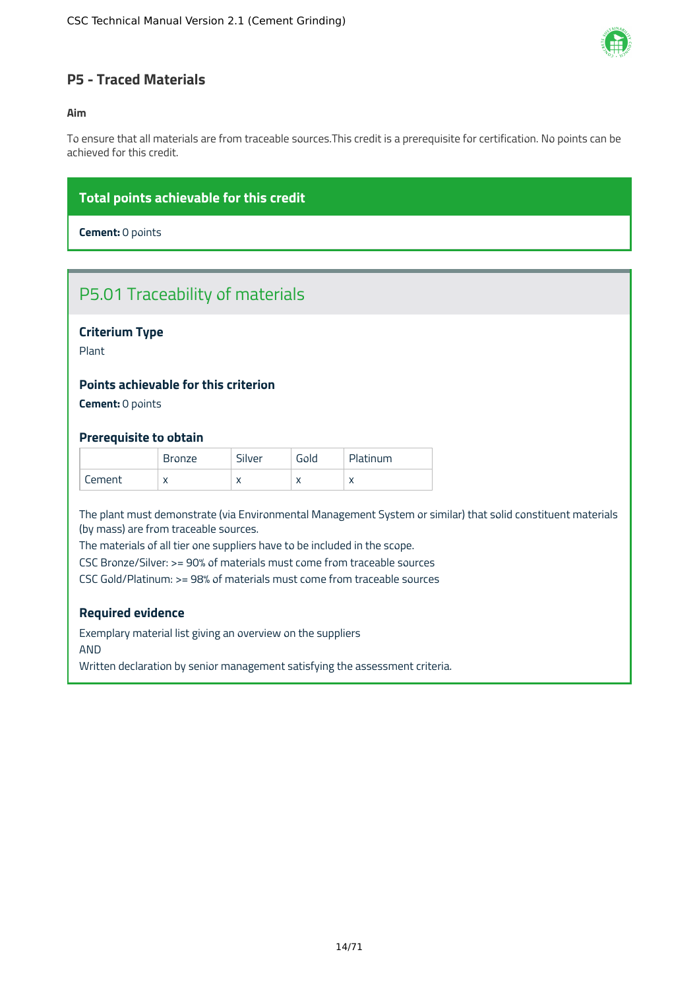

#### <span id="page-14-0"></span>**P5 - Traced Materials**

#### **Aim**

To ensure that all materials are from traceable sources.This credit is a prerequisite for certification. No points can be achieved for this credit.

#### **Total points achievable for this credit**

**Cement:** 0 points

### P5.01 Traceability of materials

#### **Criterium Type**

Plant

#### **Points achievable for this criterion**

**Cement:** 0 points

#### **Prerequisite to obtain**

|        | <b>Bronze</b>     | Silver    | Gold      | Platinum  |
|--------|-------------------|-----------|-----------|-----------|
| Cement | $\checkmark$<br>⋏ | $\lambda$ | $\lambda$ | $\lambda$ |

The plant must demonstrate (via Environmental Management System or similar) that solid constituent materials (by mass) are from traceable sources.

The materials of all tier one suppliers have to be included in the scope.

CSC Bronze/Silver: >= 90% of materials must come from traceable sources

CSC Gold/Platinum: >= 98% of materials must come from traceable sources

#### **Required evidence**

Exemplary material list giving an overview on the suppliers AND

Written declaration by senior management satisfying the assessment criteria.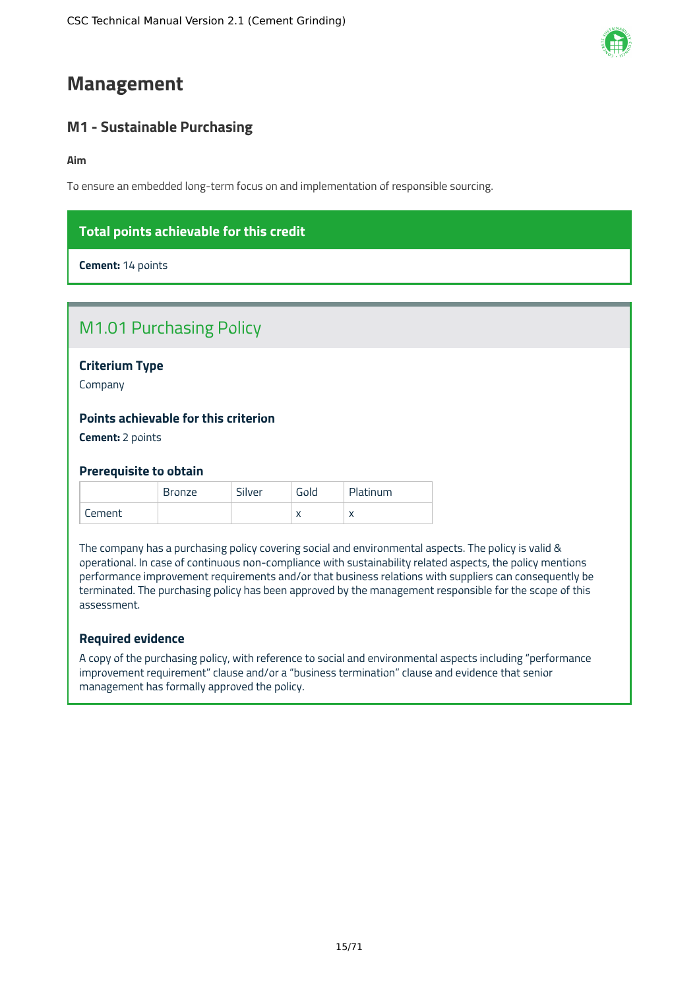### <span id="page-15-0"></span>**Management**

### <span id="page-15-1"></span>**M1 - Sustainable Purchasing**

#### **Aim**

To ensure an embedded long-term focus on and implementation of responsible sourcing.

### **Total points achievable for this credit**

**Cement:** 14 points

|  | <b>M1.01 Purchasing Policy</b> |  |  |
|--|--------------------------------|--|--|
|--|--------------------------------|--|--|

**Criterium Type**

Company

#### **Points achievable for this criterion**

**Cement:** 2 points

#### **Prerequisite to obtain**

|        | Bronze | Silver | Gold | Platinum  |
|--------|--------|--------|------|-----------|
| Cement |        |        |      | $\lambda$ |

The company has a purchasing policy covering social and environmental aspects. The policy is valid & operational. In case of continuous non-compliance with sustainability related aspects, the policy mentions performance improvement requirements and/or that business relations with suppliers can consequently be terminated. The purchasing policy has been approved by the management responsible for the scope of this assessment.

#### **Required evidence**

A copy of the purchasing policy, with reference to social and environmental aspects including "performance improvement requirement" clause and/or a "business termination" clause and evidence that senior management has formally approved the policy.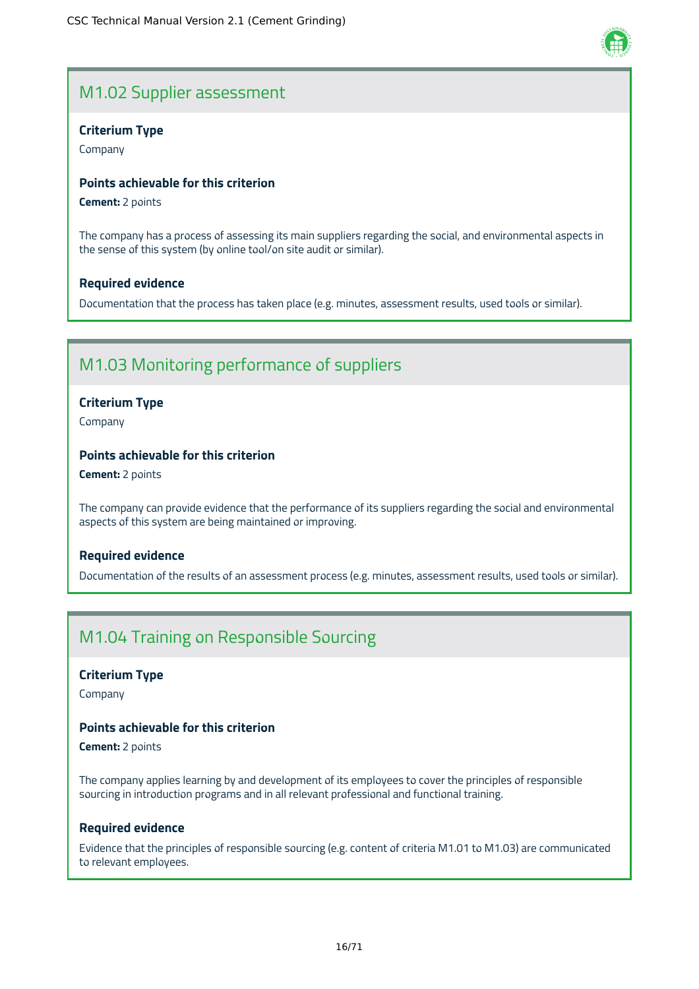### M1.02 Supplier assessment

#### **Criterium Type**

Company

#### **Points achievable for this criterion**

**Cement:** 2 points

The company has a process of assessing its main suppliers regarding the social, and environmental aspects in the sense of this system (by online tool/on site audit or similar).

#### **Required evidence**

Documentation that the process has taken place (e.g. minutes, assessment results, used tools or similar).

### M1.03 Monitoring performance of suppliers

#### **Criterium Type**

Company

#### **Points achievable for this criterion**

**Cement:** 2 points

The company can provide evidence that the performance of its suppliers regarding the social and environmental aspects of this system are being maintained or improving.

#### **Required evidence**

Documentation of the results of an assessment process (e.g. minutes, assessment results, used tools or similar).

### M1.04 Training on Responsible Sourcing

#### **Criterium Type**

Company

#### **Points achievable for this criterion**

**Cement:** 2 points

The company applies learning by and development of its employees to cover the principles of responsible sourcing in introduction programs and in all relevant professional and functional training.

#### **Required evidence**

Evidence that the principles of responsible sourcing (e.g. content of criteria M1.01 to M1.03) are communicated to relevant employees.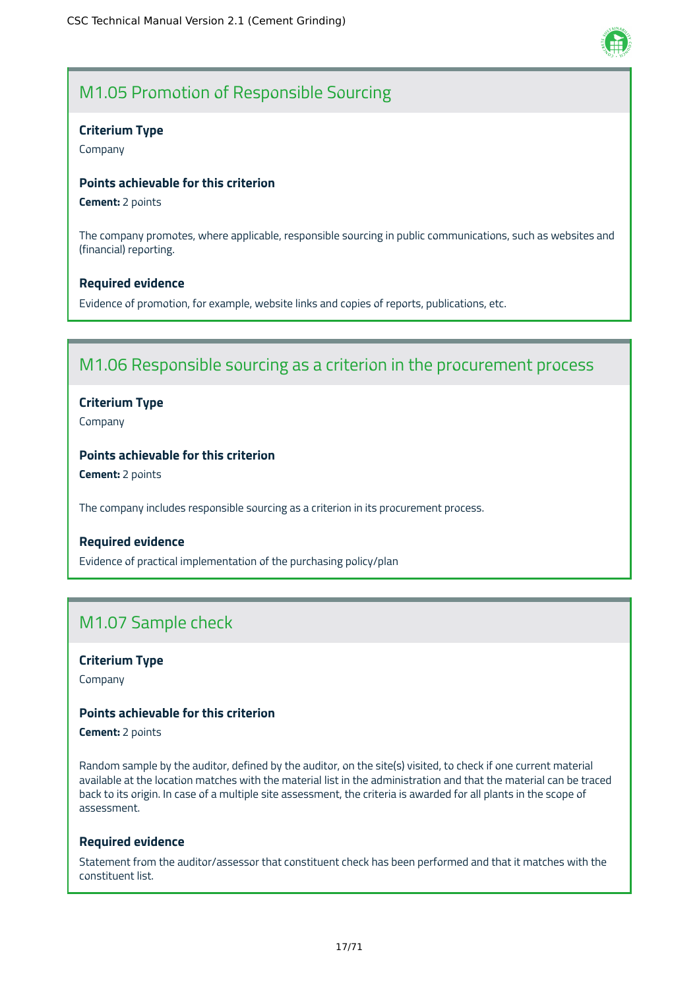

### M1.05 Promotion of Responsible Sourcing

#### **Criterium Type**

Company

#### **Points achievable for this criterion**

**Cement:** 2 points

The company promotes, where applicable, responsible sourcing in public communications, such as websites and (financial) reporting.

#### **Required evidence**

Evidence of promotion, for example, website links and copies of reports, publications, etc.

### M1.06 Responsible sourcing as a criterion in the procurement process

#### **Criterium Type**

Company

#### **Points achievable for this criterion**

**Cement:** 2 points

The company includes responsible sourcing as a criterion in its procurement process.

#### **Required evidence**

Evidence of practical implementation of the purchasing policy/plan

### M1.07 Sample check

#### **Criterium Type**

Company

#### **Points achievable for this criterion**

**Cement:** 2 points

Random sample by the auditor, defined by the auditor, on the site(s) visited, to check if one current material available at the location matches with the material list in the administration and that the material can be traced back to its origin. In case of a multiple site assessment, the criteria is awarded for all plants in the scope of assessment.

#### **Required evidence**

Statement from the auditor/assessor that constituent check has been performed and that it matches with the constituent list.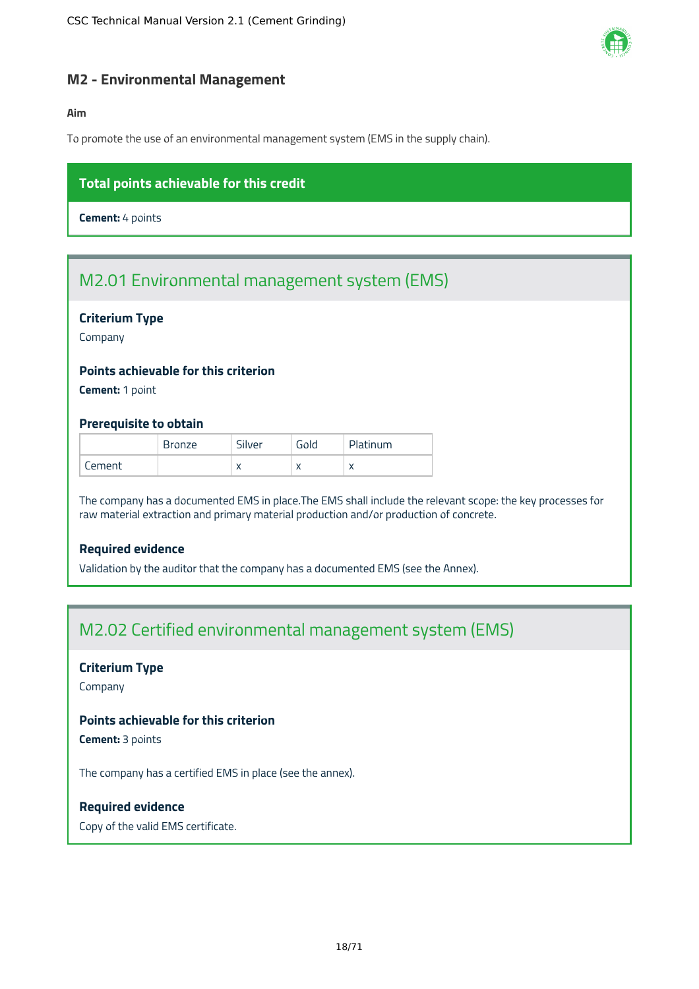

#### <span id="page-18-0"></span>**M2 - Environmental Management**

#### **Aim**

To promote the use of an environmental management system (EMS in the supply chain).

#### **Total points achievable for this credit**

**Cement:** 4 points

### M2.01 Environmental management system (EMS)

#### **Criterium Type**

Company

#### **Points achievable for this criterion**

**Cement:** 1 point

#### **Prerequisite to obtain**

|        | <b>Bronze</b> | Silver    | Gold | Platinum  |
|--------|---------------|-----------|------|-----------|
| Cement |               | $\lambda$ |      | $\lambda$ |

The company has a documented EMS in place.The EMS shall include the relevant scope: the key processes for raw material extraction and primary material production and/or production of concrete.

#### **Required evidence**

Validation by the auditor that the company has a documented EMS (see the Annex).

### M2.02 Certified environmental management system (EMS)

#### **Criterium Type**

Company

#### **Points achievable for this criterion**

**Cement:** 3 points

The company has a certified EMS in place (see the annex).

#### **Required evidence**

Copy of the valid EMS certificate.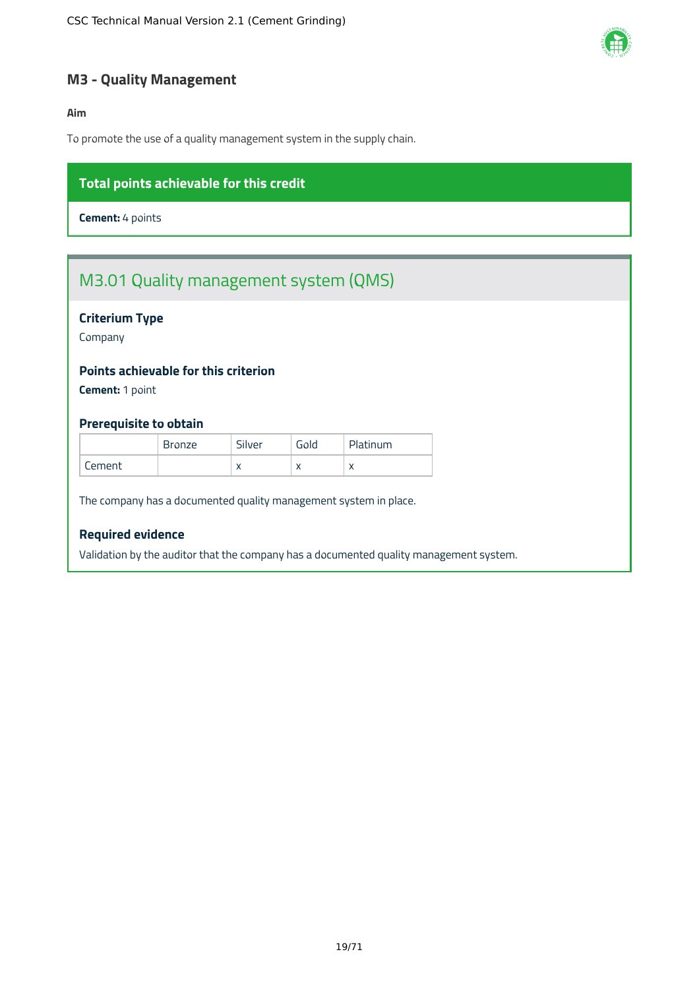

#### <span id="page-19-0"></span>**M3 - Quality Management**

#### **Aim**

To promote the use of a quality management system in the supply chain.

#### **Total points achievable for this credit**

**Cement:** 4 points

### M3.01 Quality management system (QMS)

#### **Criterium Type**

Company

#### **Points achievable for this criterion**

**Cement:** 1 point

#### **Prerequisite to obtain**

|          | <b>Bronze</b> | Silver    | Gold                     | Platinum  |
|----------|---------------|-----------|--------------------------|-----------|
| Jement . |               | $\lambda$ | $\overline{\phantom{a}}$ | $\lambda$ |

The company has a documented quality management system in place.

#### **Required evidence**

Validation by the auditor that the company has a documented quality management system.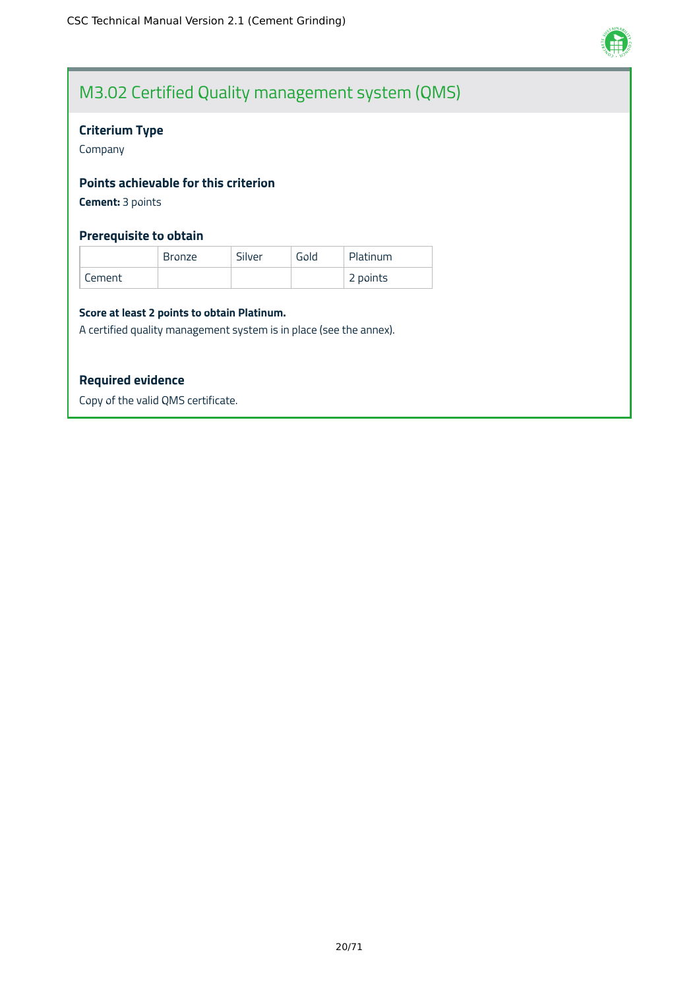

### M3.02 Certified Quality management system (QMS)

#### **Criterium Type**

Company

#### **Points achievable for this criterion**

**Cement:** 3 points

#### **Prerequisite to obtain**

|        | Bronze | Silver | Gold | Platinum |
|--------|--------|--------|------|----------|
| Cement |        |        |      | 2 points |

#### **Score at least 2 points to obtain Platinum.**

A certified quality management system is in place (see the annex).

#### **Required evidence**

Copy of the valid QMS certificate.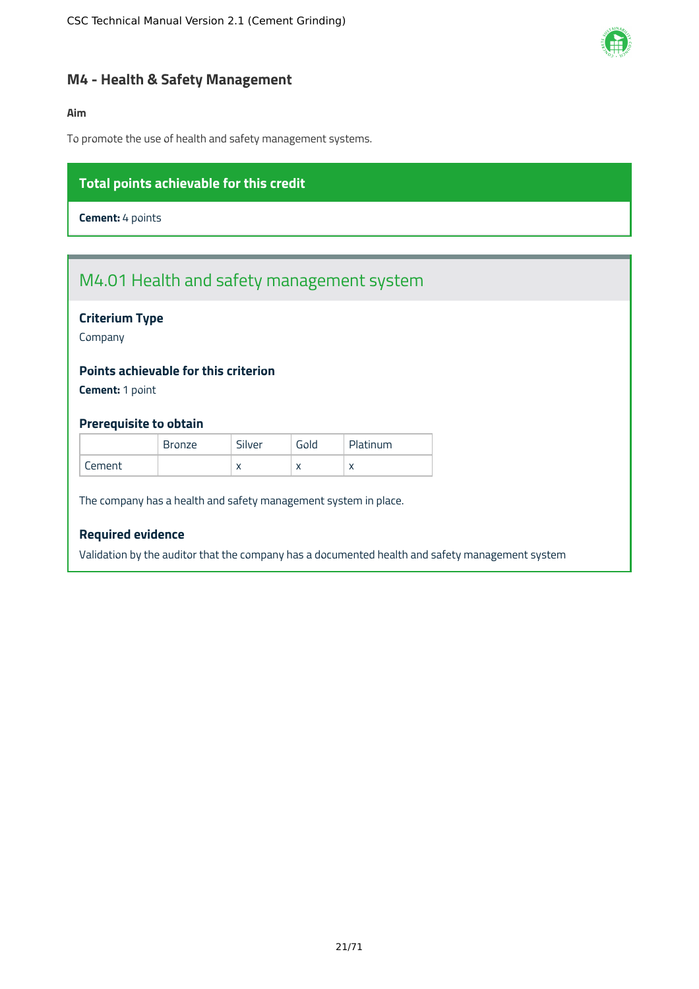

#### <span id="page-21-0"></span>**M4 - Health & Safety Management**

#### **Aim**

To promote the use of health and safety management systems.

#### **Total points achievable for this credit**

**Cement:** 4 points

### M4.01 Health and safety management system

#### **Criterium Type**

Company

#### **Points achievable for this criterion**

**Cement:** 1 point

#### **Prerequisite to obtain**

|          | <b>Bronze</b> | Silver    | Gold                     | Platinum  |
|----------|---------------|-----------|--------------------------|-----------|
| Lement . |               | $\lambda$ | $\overline{\phantom{a}}$ | $\lambda$ |

The company has a health and safety management system in place.

#### **Required evidence**

Validation by the auditor that the company has a documented health and safety management system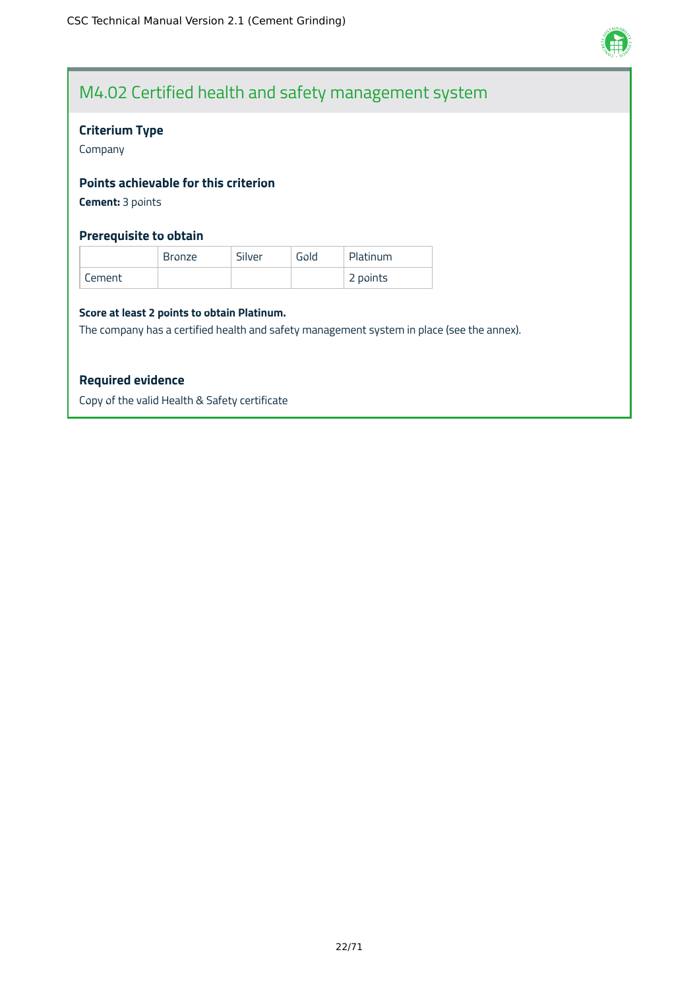

### M4.02 Certified health and safety management system

#### **Criterium Type**

Company

#### **Points achievable for this criterion**

**Cement:** 3 points

#### **Prerequisite to obtain**

|        | <b>Bronze</b> | Silver | Gold | Platinum |
|--------|---------------|--------|------|----------|
| Cement |               |        |      | 2 points |

#### **Score at least 2 points to obtain Platinum.**

The company has a certified health and safety management system in place (see the annex).

#### **Required evidence**

Copy of the valid Health & Safety certificate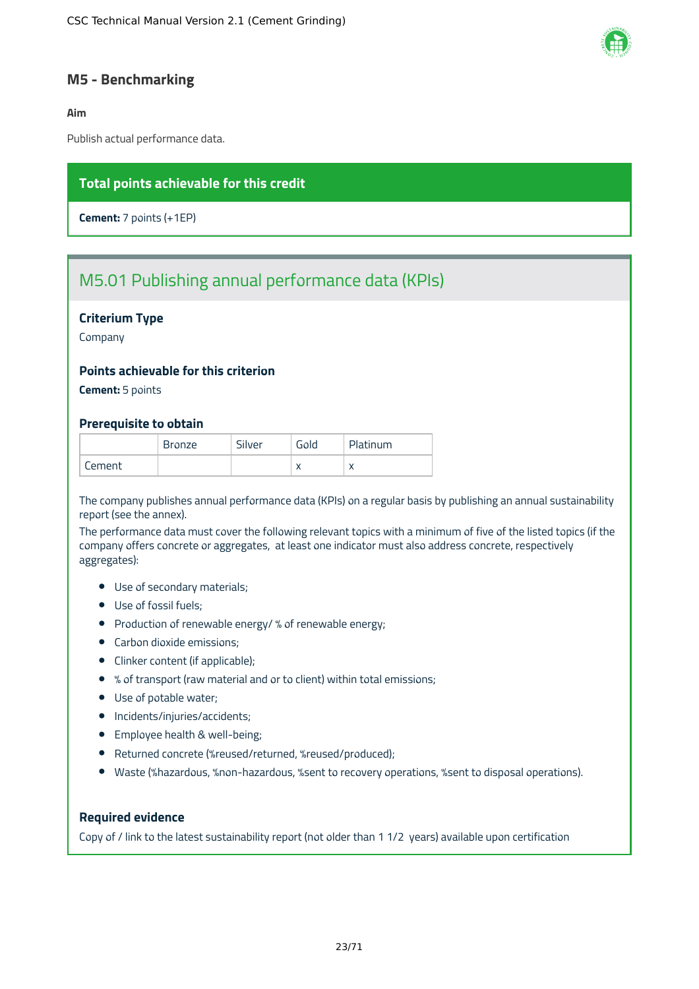

#### <span id="page-23-0"></span>**M5 - Benchmarking**

#### **Aim**

Publish actual performance data.

#### **Total points achievable for this credit**

**Cement:** 7 points (+1EP)

### M5.01 Publishing annual performance data (KPIs)

#### **Criterium Type**

Company

#### **Points achievable for this criterion**

**Cement:** 5 points

#### **Prerequisite to obtain**

|        | <b>Bronze</b> | Silver | Gold | Platinum     |
|--------|---------------|--------|------|--------------|
| Lement |               |        |      | $\mathbf{v}$ |

The company publishes annual performance data (KPIs) on a regular basis by publishing an annual sustainability report (see the annex).

The performance data must cover the following relevant topics with a minimum of five of the listed topics (if the company offers concrete or aggregates, at least one indicator must also address concrete, respectively aggregates):

- Use of secondary materials;
- Use of fossil fuels;
- Production of renewable energy/ % of renewable energy;
- Carbon dioxide emissions;
- Clinker content (if applicable);
- % of transport (raw material and or to client) within total emissions;
- Use of potable water;
- Incidents/injuries/accidents;
- **•** Employee health & well-being;
- Returned concrete (%reused/returned, %reused/produced);
- Waste (%hazardous, %non-hazardous, %sent to recovery operations, %sent to disposal operations).

#### **Required evidence**

Copy of / link to the latest sustainability report (not older than 1 1/2 years) available upon certification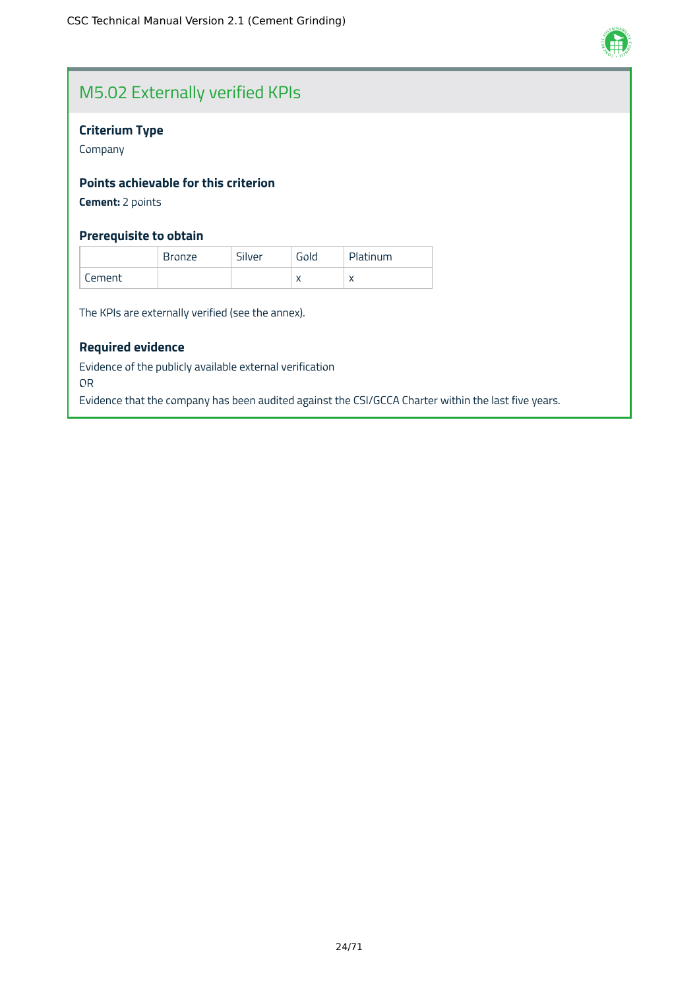

### M5.02 Externally verified KPIs

#### **Criterium Type**

Company

#### **Points achievable for this criterion**

**Cement:** 2 points

#### **Prerequisite to obtain**

|        | <b>Bronze</b> | Silver | Gold | Platinum  |
|--------|---------------|--------|------|-----------|
| Cement |               |        |      | $\lambda$ |

The KPIs are externally verified (see the annex).

#### **Required evidence**

Evidence of the publicly available external verification

OR

Evidence that the company has been audited against the CSI/GCCA Charter within the last five years.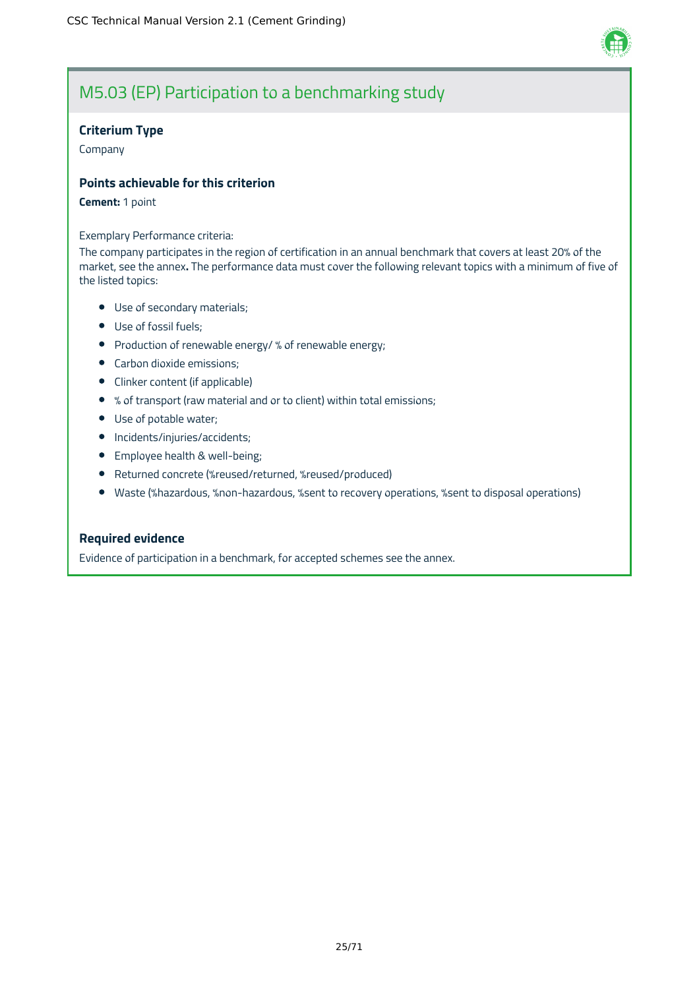

### M5.03 (EP) Participation to a benchmarking study

#### **Criterium Type**

Company

#### **Points achievable for this criterion**

#### **Cement:** 1 point

#### Exemplary Performance criteria:

The company participates in the region of certification in an annual benchmark that covers at least 20% of the market, see the annex**.** The performance data must cover the following relevant topics with a minimum of five of the listed topics:

- Use of secondary materials;
- Use of fossil fuels;
- Production of renewable energy/ % of renewable energy;
- **•** Carbon dioxide emissions;
- Clinker content (if applicable)
- % of transport (raw material and or to client) within total emissions;
- Use of potable water;
- Incidents/injuries/accidents;
- Employee health & well-being;
- Returned concrete (%reused/returned, %reused/produced)
- Waste (%hazardous, %non-hazardous, %sent to recovery operations, %sent to disposal operations)

#### **Required evidence**

Evidence of participation in a benchmark, for accepted schemes see the annex.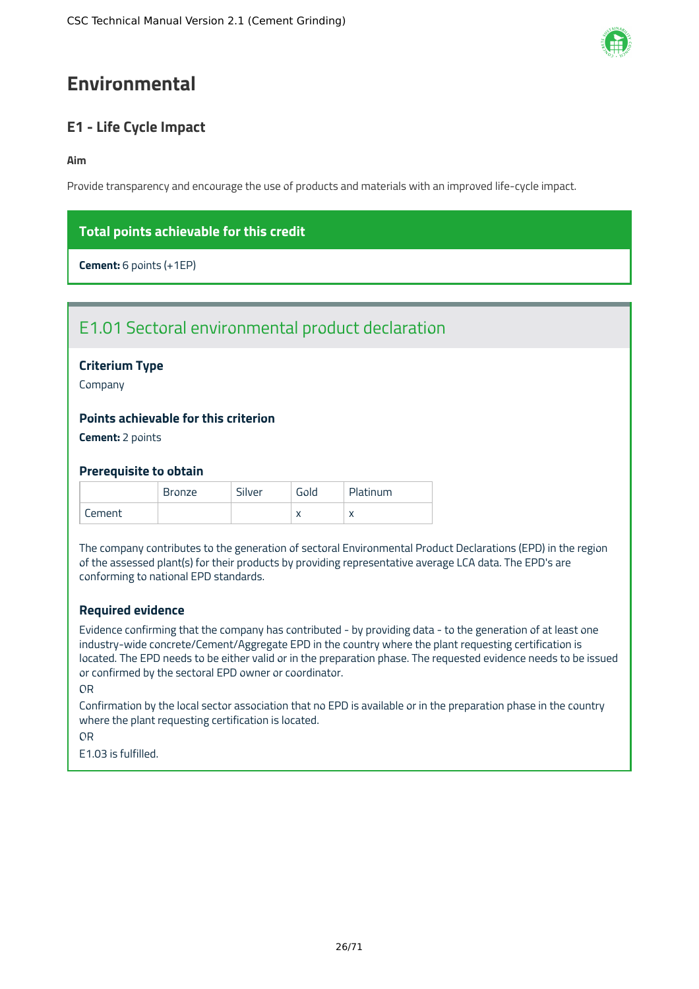## <span id="page-26-0"></span>**Environmental**

### <span id="page-26-1"></span>**E1 - Life Cycle Impact**

#### **Aim**

Provide transparency and encourage the use of products and materials with an improved life-cycle impact.

### **Total points achievable for this credit**

**Cement:** 6 points (+1EP)

### E1.01 Sectoral environmental product declaration

#### **Criterium Type**

Company

#### **Points achievable for this criterion**

**Cement:** 2 points

#### **Prerequisite to obtain**

|        | Bronze | Silver | Gold | Platinum  |
|--------|--------|--------|------|-----------|
| Cement |        |        |      | $\lambda$ |

The company contributes to the generation of sectoral Environmental Product Declarations (EPD) in the region of the assessed plant(s) for their products by providing representative average LCA data. The EPD's are conforming to national EPD standards.

#### **Required evidence**

Evidence confirming that the company has contributed - by providing data - to the generation of at least one industry-wide concrete/Cement/Aggregate EPD in the country where the plant requesting certification is located. The EPD needs to be either valid or in the preparation phase. The requested evidence needs to be issued or confirmed by the sectoral EPD owner or coordinator.

#### OR

Confirmation by the local sector association that no EPD is available or in the preparation phase in the country where the plant requesting certification is located.

OR

E1.03 is fulfilled.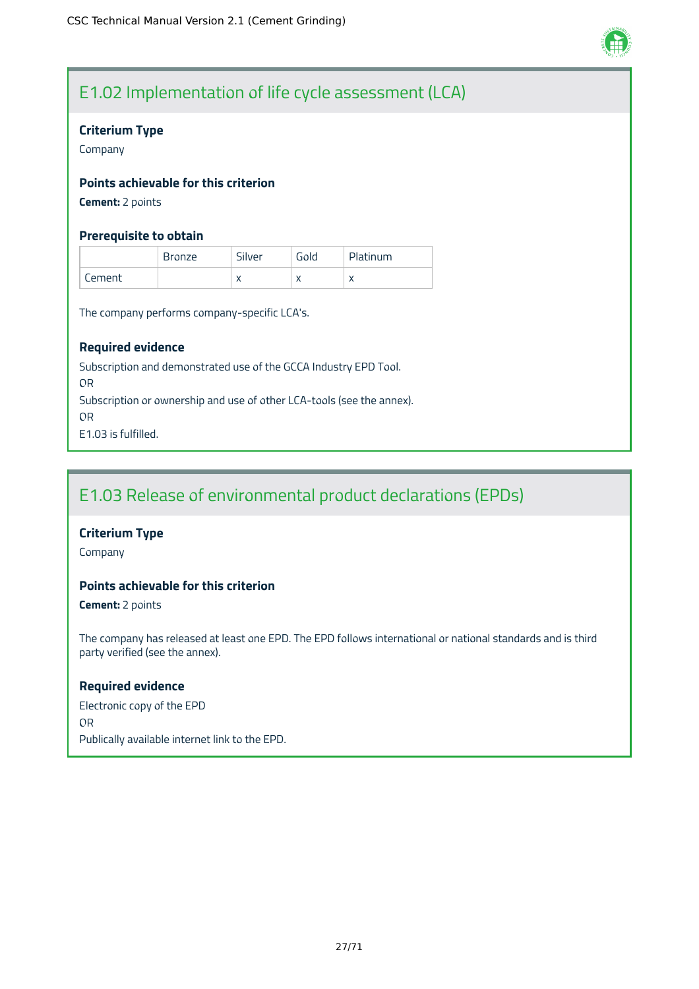

### E1.02 Implementation of life cycle assessment (LCA)

#### **Criterium Type**

Company

#### **Points achievable for this criterion**

**Cement:** 2 points

#### **Prerequisite to obtain**

|        | <b>Bronze</b> | Silver    | Gold                     | Platinum  |
|--------|---------------|-----------|--------------------------|-----------|
| Cement |               | $\lambda$ | $\overline{\phantom{a}}$ | $\lambda$ |

The company performs company-specific LCA's.

#### **Required evidence**

Subscription and demonstrated use of the GCCA Industry EPD Tool. OR Subscription or ownership and use of other LCA-tools (see the annex). OR E1.03 is fulfilled.

### E1.03 Release of environmental product declarations (EPDs)

#### **Criterium Type**

Company

#### **Points achievable for this criterion**

**Cement:** 2 points

The company has released at least one EPD. The EPD follows international or national standards and is third party verified (see the annex).

#### **Required evidence**

Electronic copy of the EPD OR Publically available internet link to the EPD.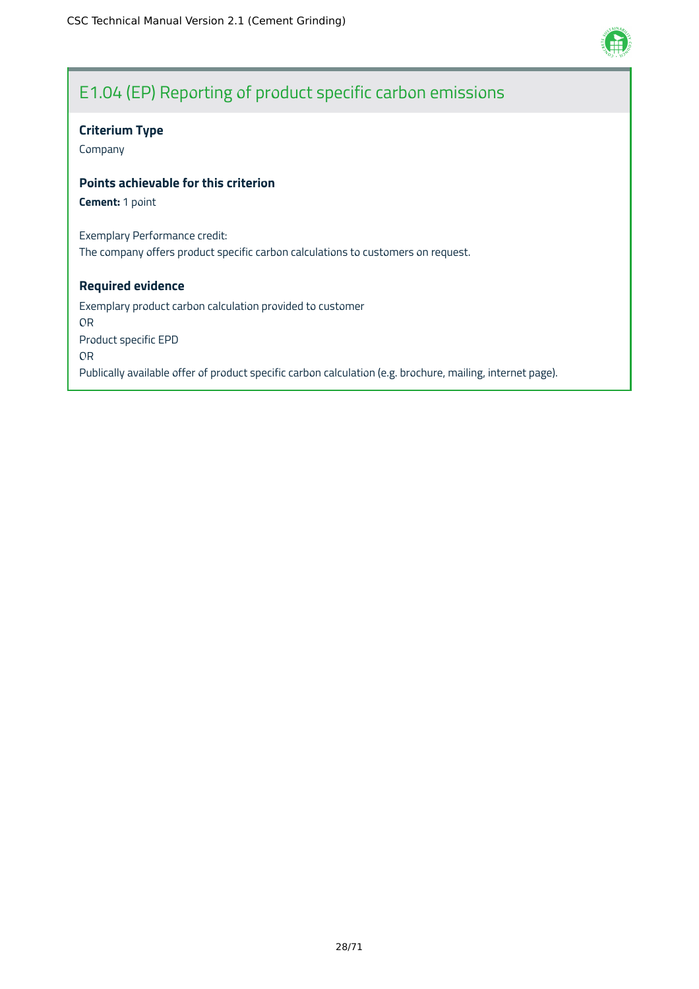

### E1.04 (EP) Reporting of product specific carbon emissions

#### **Criterium Type**

Company

#### **Points achievable for this criterion**

**Cement:** 1 point

Exemplary Performance credit: The company offers product specific carbon calculations to customers on request.

#### **Required evidence**

Exemplary product carbon calculation provided to customer OR Product specific EPD OR Publically available offer of product specific carbon calculation (e.g. brochure, mailing, internet page).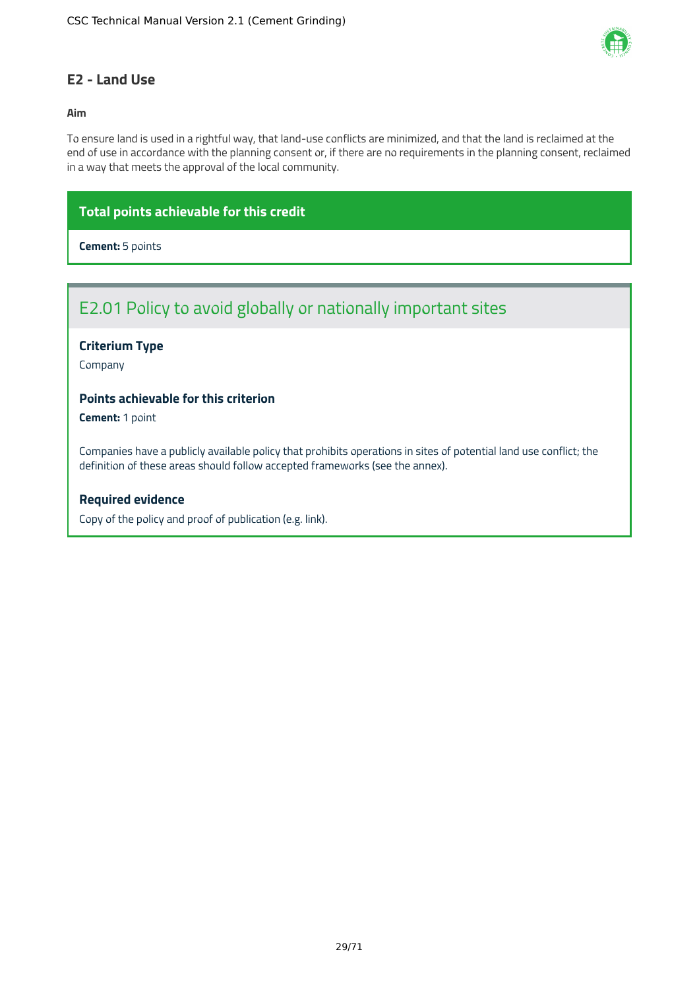

#### <span id="page-29-0"></span>**E2 - Land Use**

#### **Aim**

To ensure land is used in a rightful way, that land-use conflicts are minimized, and that the land is reclaimed at the end of use in accordance with the planning consent or, if there are no requirements in the planning consent, reclaimed in a way that meets the approval of the local community.

#### **Total points achievable for this credit**

**Cement:** 5 points

### E2.01 Policy to avoid globally or nationally important sites

#### **Criterium Type**

Company

#### **Points achievable for this criterion**

**Cement:** 1 point

Companies have a publicly available policy that prohibits operations in sites of potential land use conflict; the definition of these areas should follow accepted frameworks (see the annex).

#### **Required evidence**

Copy of the policy and proof of publication (e.g. link).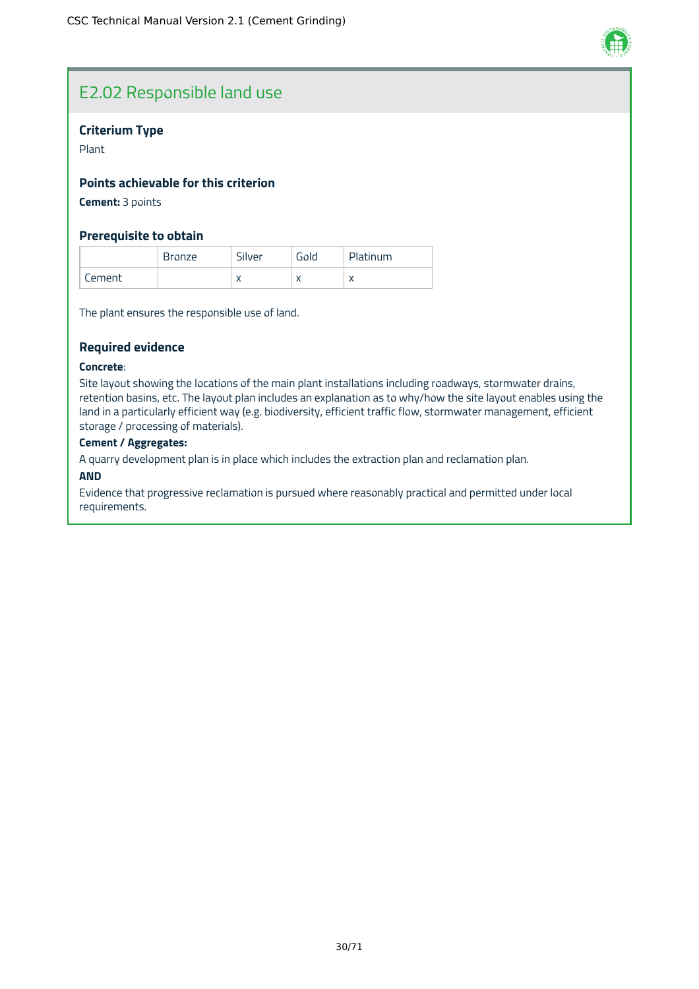

### E2.02 Responsible land use

#### **Criterium Type**

Plant

#### **Points achievable for this criterion**

**Cement:** 3 points

#### **Prerequisite to obtain**

|        | <b>Bronze</b> | Silver    | Gold | Platinum  |
|--------|---------------|-----------|------|-----------|
| Cement |               | $\lambda$ |      | $\lambda$ |

The plant ensures the responsible use of land.

#### **Required evidence**

#### **Concrete**:

Site layout showing the locations of the main plant installations including roadways, stormwater drains, retention basins, etc. The layout plan includes an explanation as to why/how the site layout enables using the land in a particularly efficient way (e.g. biodiversity, efficient traffic flow, stormwater management, efficient storage / processing of materials).

#### **Cement / Aggregates:**

A quarry development plan is in place which includes the extraction plan and reclamation plan.

#### **AND**

Evidence that progressive reclamation is pursued where reasonably practical and permitted under local requirements.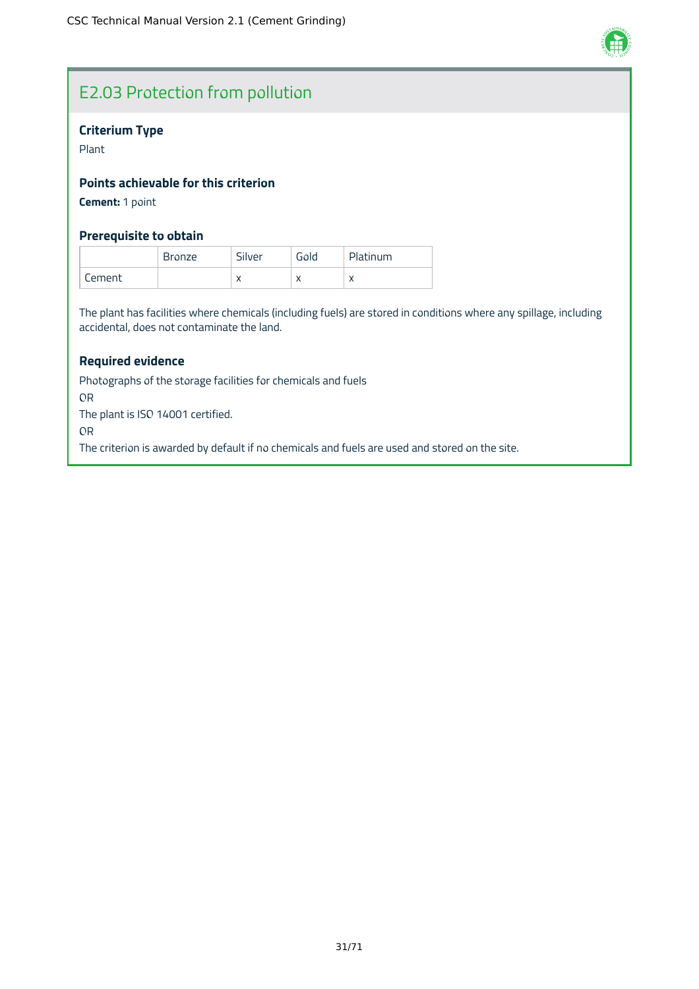

### E2.03 Protection from pollution

#### **Criterium Type**

Plant

#### **Points achievable for this criterion**

**Cement:** 1 point

#### **Prerequisite to obtain**

|        | <b>Bronze</b> | Silver    | Gold | Platinum  |
|--------|---------------|-----------|------|-----------|
| Cement |               | $\lambda$ |      | $\lambda$ |

The plant has facilities where chemicals (including fuels) are stored in conditions where any spillage, including accidental, does not contaminate the land.

#### **Required evidence**

Photographs of the storage facilities for chemicals and fuels OR The plant is ISO 14001 certified. OR The criterion is awarded by default if no chemicals and fuels are used and stored on the site.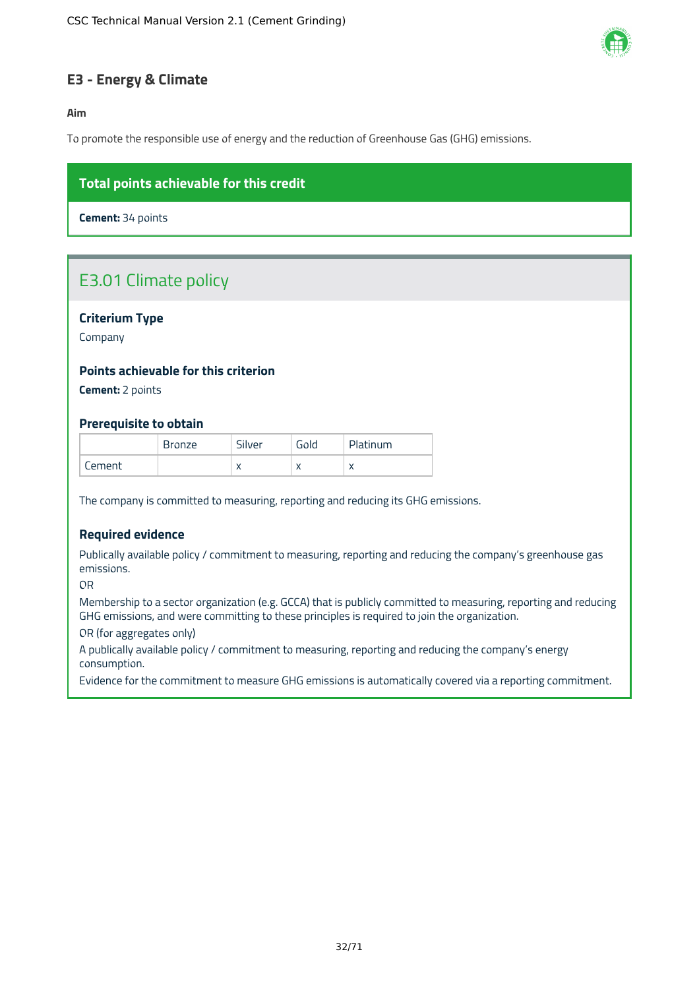

#### <span id="page-32-0"></span>**E3 - Energy & Climate**

#### **Aim**

To promote the responsible use of energy and the reduction of Greenhouse Gas (GHG) emissions.

#### **Total points achievable for this credit**

**Cement:** 34 points

### E3.01 Climate policy

#### **Criterium Type**

Company

#### **Points achievable for this criterion**

**Cement:** 2 points

#### **Prerequisite to obtain**

|        | <b>Bronze</b> | Silver    | Gold | Platinum  |
|--------|---------------|-----------|------|-----------|
| Cement |               | $\lambda$ |      | $\lambda$ |

The company is committed to measuring, reporting and reducing its GHG emissions.

#### **Required evidence**

Publically available policy / commitment to measuring, reporting and reducing the company's greenhouse gas emissions.

OR

Membership to a sector organization (e.g. GCCA) that is publicly committed to measuring, reporting and reducing GHG emissions, and were committing to these principles is required to join the organization.

OR (for aggregates only)

A publically available policy / commitment to measuring, reporting and reducing the company's energy consumption.

Evidence for the commitment to measure GHG emissions is automatically covered via a reporting commitment.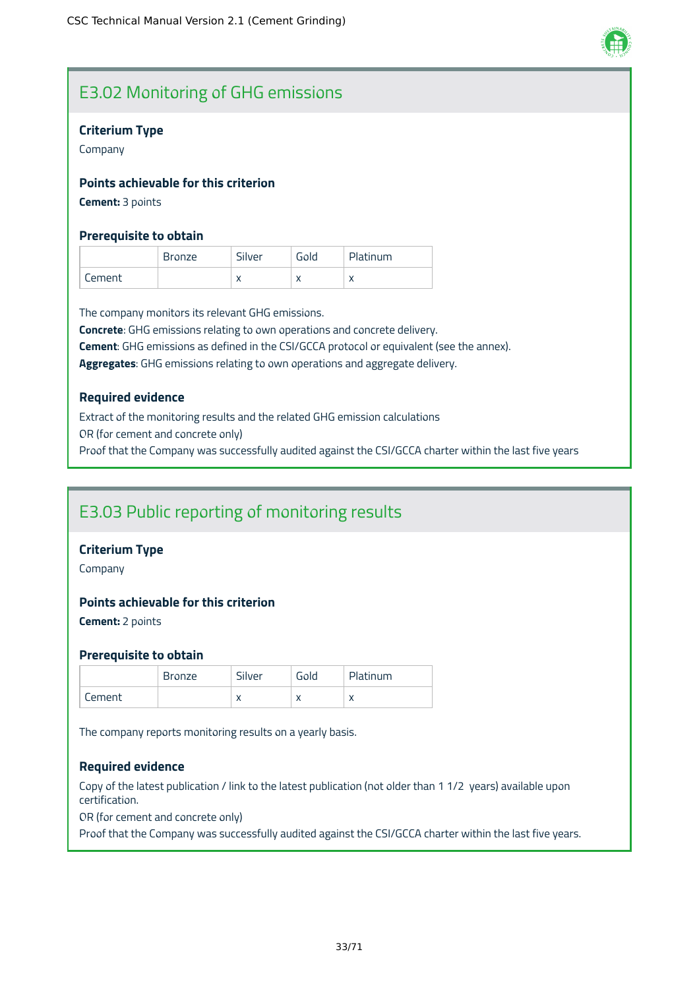

### E3.02 Monitoring of GHG emissions

#### **Criterium Type**

Company

#### **Points achievable for this criterion**

**Cement:** 3 points

#### **Prerequisite to obtain**

|        | Bronze | Silver    | Gold | Platinum                 |
|--------|--------|-----------|------|--------------------------|
| Lement |        | $\lambda$ |      | $\check{ }$<br>$\lambda$ |

The company monitors its relevant GHG emissions.

**Concrete**: GHG emissions relating to own operations and concrete delivery.

**Cement**: GHG emissions as defined in the CSI/GCCA protocol or equivalent (see the annex).

**Aggregates**: GHG emissions relating to own operations and aggregate delivery.

#### **Required evidence**

Extract of the monitoring results and the related GHG emission calculations OR (for cement and concrete only) Proof that the Company was successfully audited against the CSI/GCCA charter within the last five years

### E3.03 Public reporting of monitoring results

#### **Criterium Type**

Company

#### **Points achievable for this criterion**

**Cement:** 2 points

#### **Prerequisite to obtain**

|        | <b>Bronze</b> | Silver    | Gold      | Platinum   |
|--------|---------------|-----------|-----------|------------|
| Cement |               | $\lambda$ | $\lambda$ | $\sqrt{ }$ |

The company reports monitoring results on a yearly basis.

#### **Required evidence**

Copy of the latest publication / link to the latest publication (not older than 1 1/2 years) available upon certification.

OR (for cement and concrete only)

Proof that the Company was successfully audited against the CSI/GCCA charter within the last five years.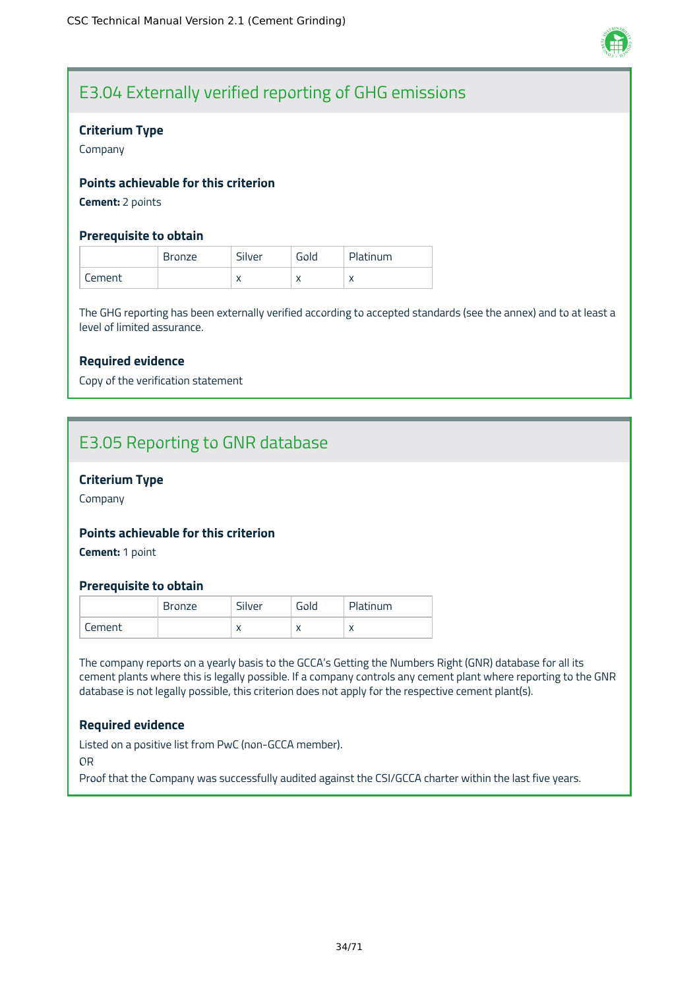

### E3.04 Externally verified reporting of GHG emissions

#### **Criterium Type**

Company

#### **Points achievable for this criterion**

**Cement:** 2 points

#### **Prerequisite to obtain**

|        | <b>Bronze</b> | Silver    | Gold | Platinum  |
|--------|---------------|-----------|------|-----------|
| Lement |               | $\lambda$ |      | $\lambda$ |

The GHG reporting has been externally verified according to accepted standards (see the annex) and to at least a level of limited assurance.

#### **Required evidence**

Copy of the verification statement

### E3.05 Reporting to GNR database

#### **Criterium Type**

Company

#### **Points achievable for this criterion**

**Cement:** 1 point

#### **Prerequisite to obtain**

|        | Bronze | Silver       | Gold | Platinum  |
|--------|--------|--------------|------|-----------|
| Cement |        | $\mathbf{v}$ |      | $\lambda$ |

The company reports on a yearly basis to the GCCA's Getting the Numbers Right (GNR) database for all its cement plants where this is legally possible. If a company controls any cement plant where reporting to the GNR database is not legally possible, this criterion does not apply for the respective cement plant(s).

#### **Required evidence**

Listed on a positive list from PwC (non-GCCA member).

OR

Proof that the Company was successfully audited against the CSI/GCCA charter within the last five years.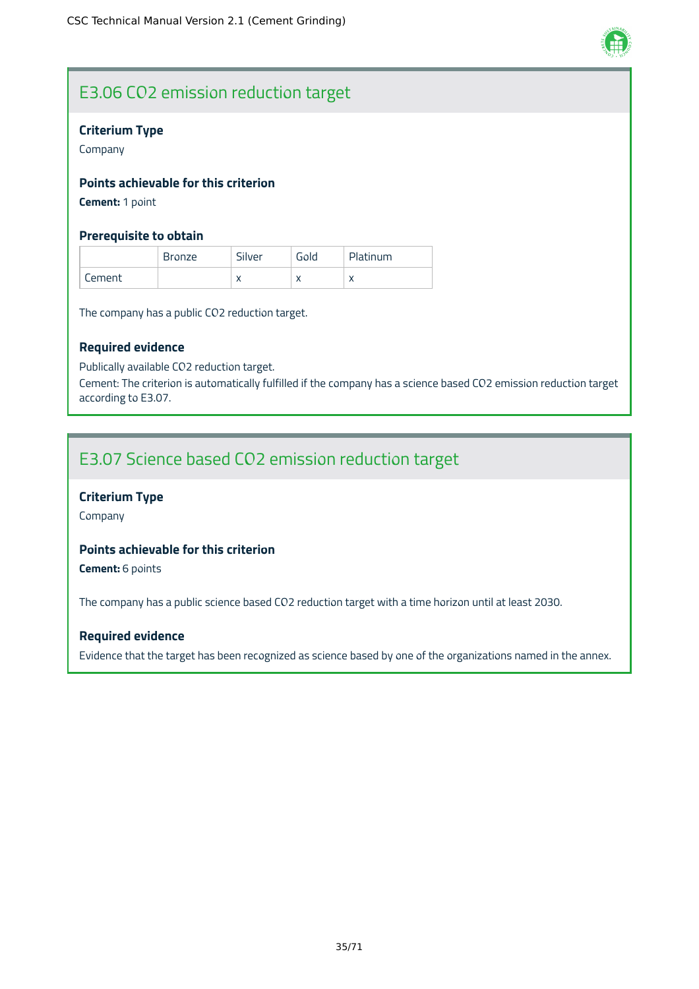

### E3.06 CO2 emission reduction target

#### **Criterium Type**

Company

#### **Points achievable for this criterion**

**Cement:** 1 point

#### **Prerequisite to obtain**

|        | <b>Bronze</b> | Silver    | Gold | Platinum  |
|--------|---------------|-----------|------|-----------|
| Cement |               | $\lambda$ |      | $\lambda$ |

The company has a public CO2 reduction target.

#### **Required evidence**

Publically available CO2 reduction target.

Cement: The criterion is automatically fulfilled if the company has a science based CO2 emission reduction target according to E3.07.

### E3.07 Science based CO2 emission reduction target

#### **Criterium Type**

Company

#### **Points achievable for this criterion**

**Cement:** 6 points

The company has a public science based CO2 reduction target with a time horizon until at least 2030.

#### **Required evidence**

Evidence that the target has been recognized as science based by one of the organizations named in the annex.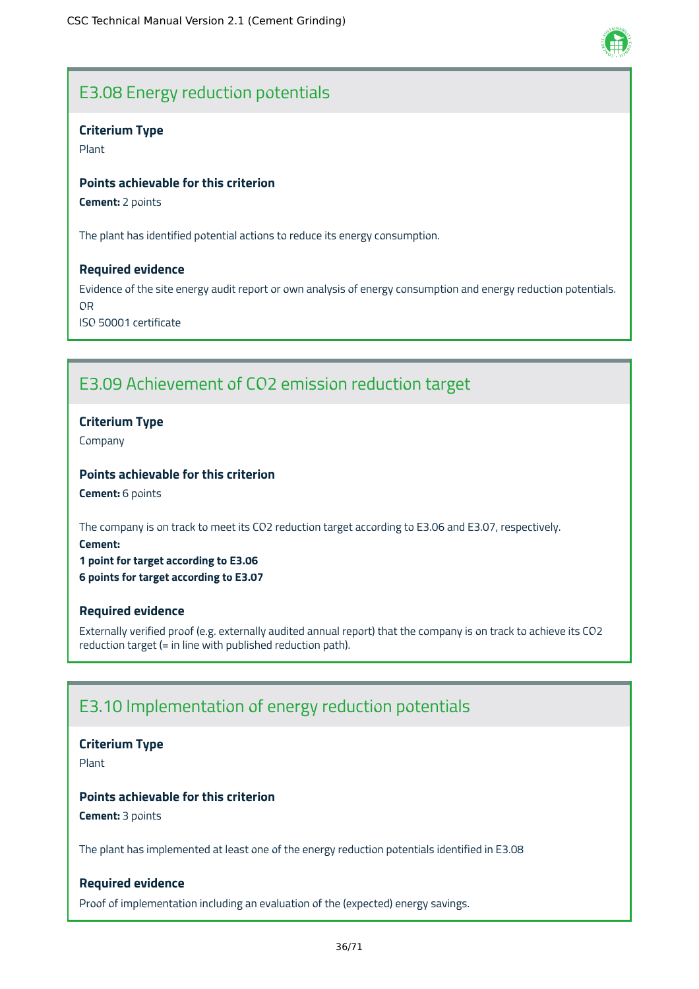

## E3.08 Energy reduction potentials

### **Criterium Type**

Plant

#### **Points achievable for this criterion**

**Cement:** 2 points

The plant has identified potential actions to reduce its energy consumption.

#### **Required evidence**

Evidence of the site energy audit report or own analysis of energy consumption and energy reduction potentials. OR ISO 50001 certificate

## E3.09 Achievement of CO2 emission reduction target

### **Criterium Type**

Company

### **Points achievable for this criterion**

**Cement:** 6 points

The company is on track to meet its CO2 reduction target according to E3.06 and E3.07, respectively. **Cement:**

**1 point for target according to E3.06 6 points for target according to E3.07**

#### **Required evidence**

Externally verified proof (e.g. externally audited annual report) that the company is on track to achieve its CO2 reduction target (= in line with published reduction path).

## E3.10 Implementation of energy reduction potentials

#### **Criterium Type**

Plant

### **Points achievable for this criterion**

**Cement:** 3 points

The plant has implemented at least one of the energy reduction potentials identified in E3.08

#### **Required evidence**

Proof of implementation including an evaluation of the (expected) energy savings.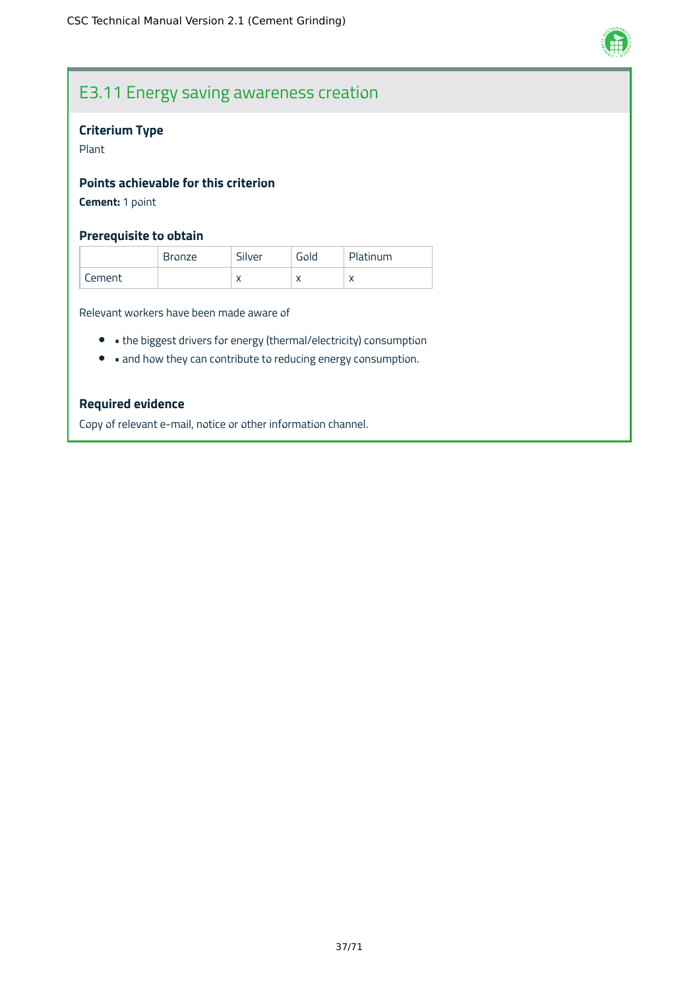

# E3.11 Energy saving awareness creation

## **Criterium Type**

Plant

### **Points achievable for this criterion**

**Cement:** 1 point

### **Prerequisite to obtain**

|        | <b>Bronze</b> | Silver    | Gold      | Platinum |
|--------|---------------|-----------|-----------|----------|
| Cement |               | $\lambda$ | $\lambda$ | ∧        |

Relevant workers have been made aware of

- the biggest drivers for energy (thermal/electricity) consumption
- and how they can contribute to reducing energy consumption.

### **Required evidence**

Copy of relevant e-mail, notice or other information channel.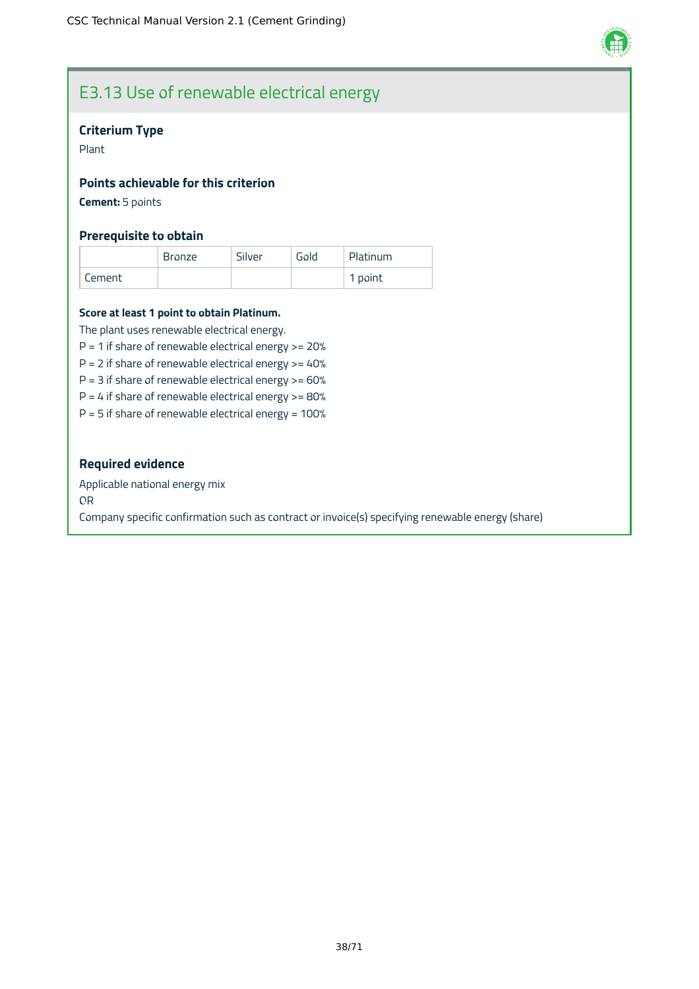

## E3.13 Use of renewable electrical energy

### **Criterium Type**

Plant

### **Points achievable for this criterion**

**Cement:** 5 points

### **Prerequisite to obtain**

|        | <b>Bronze</b> | Silver | Gold | Platinum |
|--------|---------------|--------|------|----------|
| Cement |               |        |      | 1 point  |

#### **Score at least 1 point to obtain Platinum.**

The plant uses renewable electrical energy.

 $P = 1$  if share of renewable electrical energy  $> = 20%$ 

 $P = 2$  if share of renewable electrical energy  $>= 40\%$ 

 $P = 3$  if share of renewable electrical energy  $> = 60\%$ 

 $P = 4$  if share of renewable electrical energy  $> = 80\%$ 

 $P = 5$  if share of renewable electrical energy = 100%

### **Required evidence**

Applicable national energy mix

OR

Company specific confirmation such as contract or invoice(s) specifying renewable energy (share)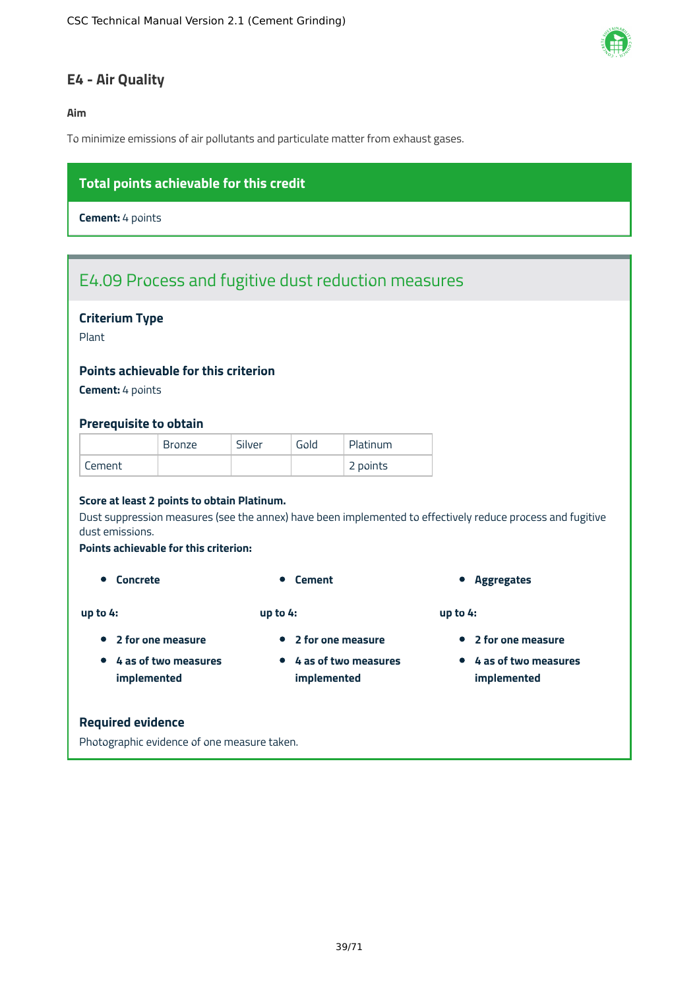

## **E4 - Air Quality**

### **Aim**

To minimize emissions of air pollutants and particulate matter from exhaust gases.

## **Total points achievable for this credit**

**Cement:** 4 points

# E4.09 Process and fugitive dust reduction measures

### **Criterium Type**

Plant

### **Points achievable for this criterion**

**Cement:** 4 points

#### **Prerequisite to obtain**

|        | <b>Bronze</b> | Silver | Gold | Platinum |
|--------|---------------|--------|------|----------|
| Cement |               |        |      | 2 points |

#### **Score at least 2 points to obtain Platinum.**

Dust suppression measures (see the annex) have been implemented to effectively reduce process and fugitive dust emissions.

#### **Points achievable for this criterion:**

**up to 4:**

- **up to 4:**
- **2 for one measure**

**4 as of two measures implemented**

- **2 for one measure**
- **4 as of two measures implemented**
- **Concrete Concrete Cement Concrete Cement Aggregates**

**up to 4:**

- **2 for one measure**
- **4 as of two measures implemented**

#### **Required evidence**

Photographic evidence of one measure taken.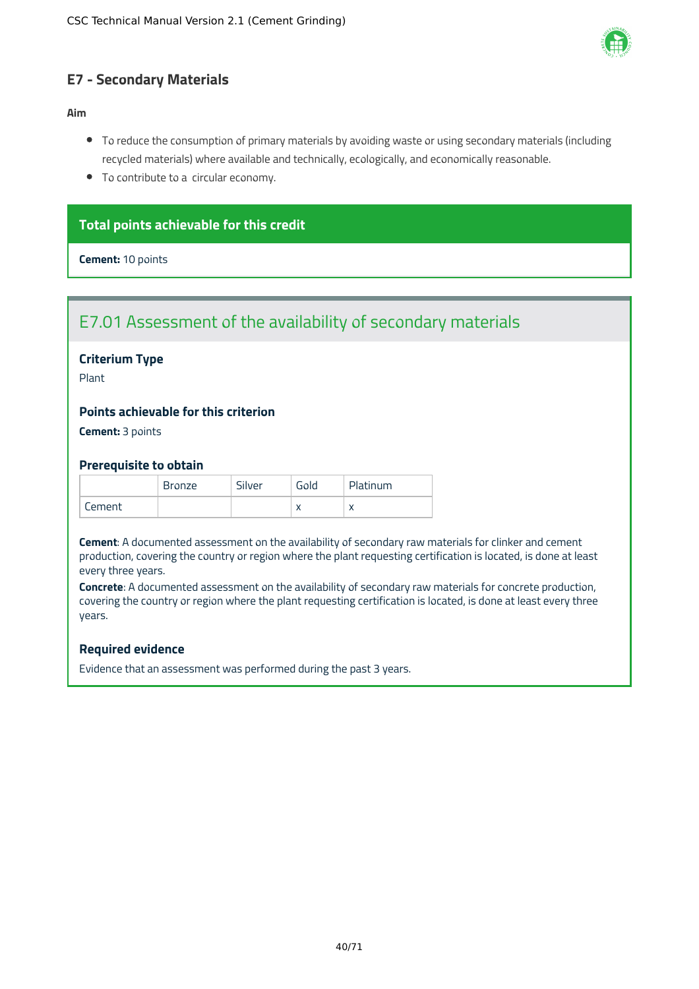

## **E7 - Secondary Materials**

### **Aim**

- To reduce the consumption of primary materials by avoiding waste or using secondary materials (including recycled materials) where available and technically, ecologically, and economically reasonable.
- To contribute to a circular economy.

### **Total points achievable for this credit**

**Cement:** 10 points

## E7.01 Assessment of the availability of secondary materials

### **Criterium Type**

Plant

### **Points achievable for this criterion**

**Cement:** 3 points

#### **Prerequisite to obtain**

|        | Bronze | Silver | Gold | Platinum |
|--------|--------|--------|------|----------|
| Cement |        |        |      |          |

**Cement**: A documented assessment on the availability of secondary raw materials for clinker and cement production, covering the country or region where the plant requesting certification is located, is done at least every three years.

**Concrete**: A documented assessment on the availability of secondary raw materials for concrete production, covering the country or region where the plant requesting certification is located, is done at least every three years.

### **Required evidence**

Evidence that an assessment was performed during the past 3 years.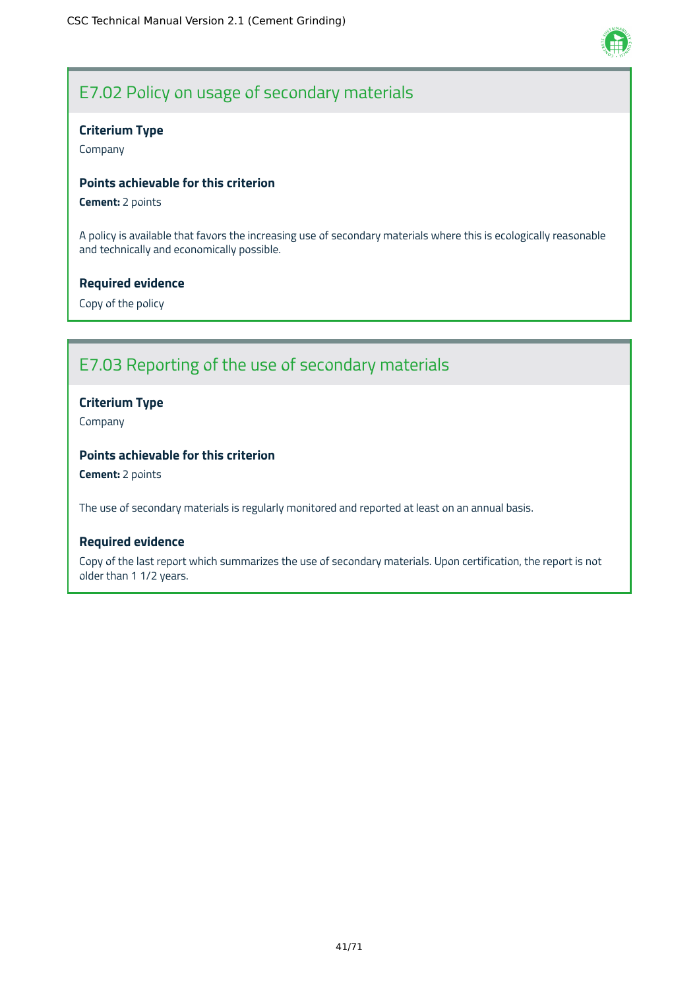

# E7.02 Policy on usage of secondary materials

### **Criterium Type**

Company

### **Points achievable for this criterion**

**Cement:** 2 points

A policy is available that favors the increasing use of secondary materials where this is ecologically reasonable and technically and economically possible.

### **Required evidence**

Copy of the policy

# E7.03 Reporting of the use of secondary materials

### **Criterium Type**

Company

### **Points achievable for this criterion**

**Cement:** 2 points

The use of secondary materials is regularly monitored and reported at least on an annual basis.

### **Required evidence**

Copy of the last report which summarizes the use of secondary materials. Upon certification, the report is not older than 1 1/2 years.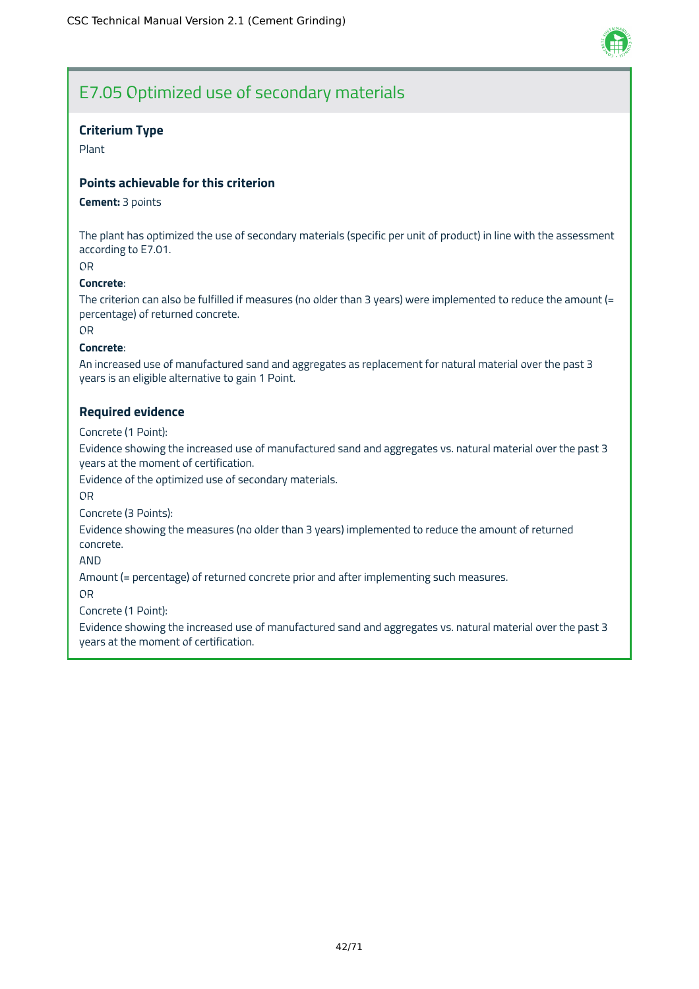

## E7.05 Optimized use of secondary materials

### **Criterium Type**

Plant

### **Points achievable for this criterion**

#### **Cement:** 3 points

The plant has optimized the use of secondary materials (specific per unit of product) in line with the assessment according to E7.01.

OR

#### **Concrete**:

The criterion can also be fulfilled if measures (no older than 3 years) were implemented to reduce the amount (= percentage) of returned concrete.

OR

#### **Concrete**:

An increased use of manufactured sand and aggregates as replacement for natural material over the past 3 years is an eligible alternative to gain 1 Point.

### **Required evidence**

Concrete (1 Point):

Evidence showing the increased use of manufactured sand and aggregates vs. natural material over the past 3 years at the moment of certification.

Evidence of the optimized use of secondary materials.

OR

Concrete (3 Points):

Evidence showing the measures (no older than 3 years) implemented to reduce the amount of returned concrete.

AND

Amount (= percentage) of returned concrete prior and after implementing such measures.

OR

Concrete (1 Point):

Evidence showing the increased use of manufactured sand and aggregates vs. natural material over the past 3 years at the moment of certification.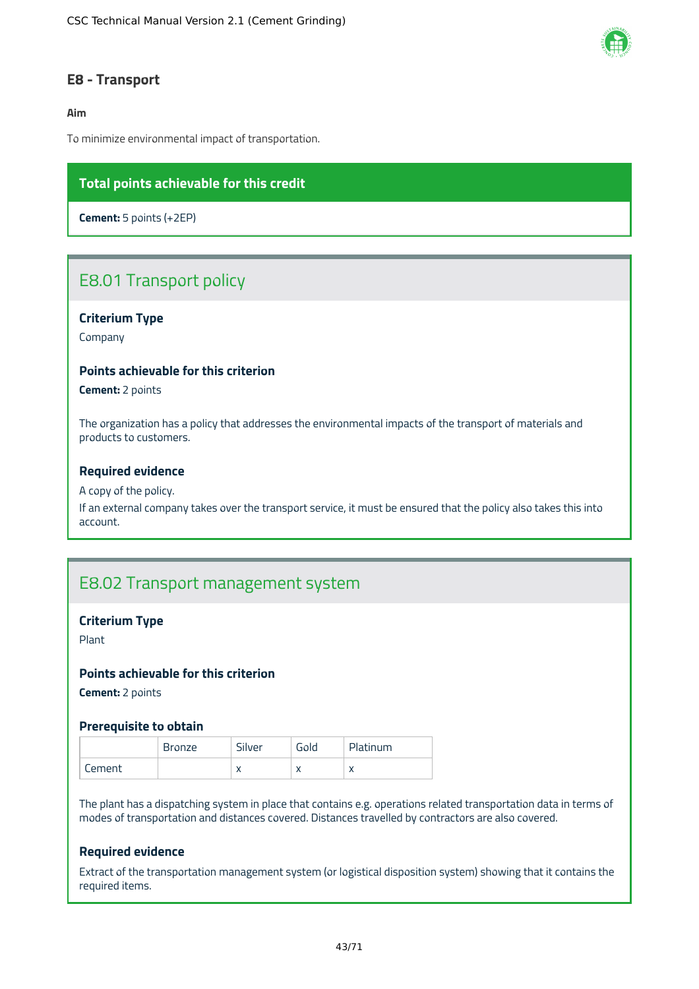

### **E8 - Transport**

### **Aim**

To minimize environmental impact of transportation.

### **Total points achievable for this credit**

**Cement:** 5 points (+2EP)

## E8.01 Transport policy

### **Criterium Type**

Company

### **Points achievable for this criterion**

**Cement:** 2 points

The organization has a policy that addresses the environmental impacts of the transport of materials and products to customers.

#### **Required evidence**

#### A copy of the policy.

If an external company takes over the transport service, it must be ensured that the policy also takes this into account.

## E8.02 Transport management system

#### **Criterium Type**

Plant

#### **Points achievable for this criterion**

**Cement:** 2 points

#### **Prerequisite to obtain**

|         | <b>Bronze</b> | Silver    | Gold | Platinum  |
|---------|---------------|-----------|------|-----------|
| tement. |               | $\lambda$ |      | $\lambda$ |

The plant has a dispatching system in place that contains e.g. operations related transportation data in terms of modes of transportation and distances covered. Distances travelled by contractors are also covered.

### **Required evidence**

Extract of the transportation management system (or logistical disposition system) showing that it contains the required items.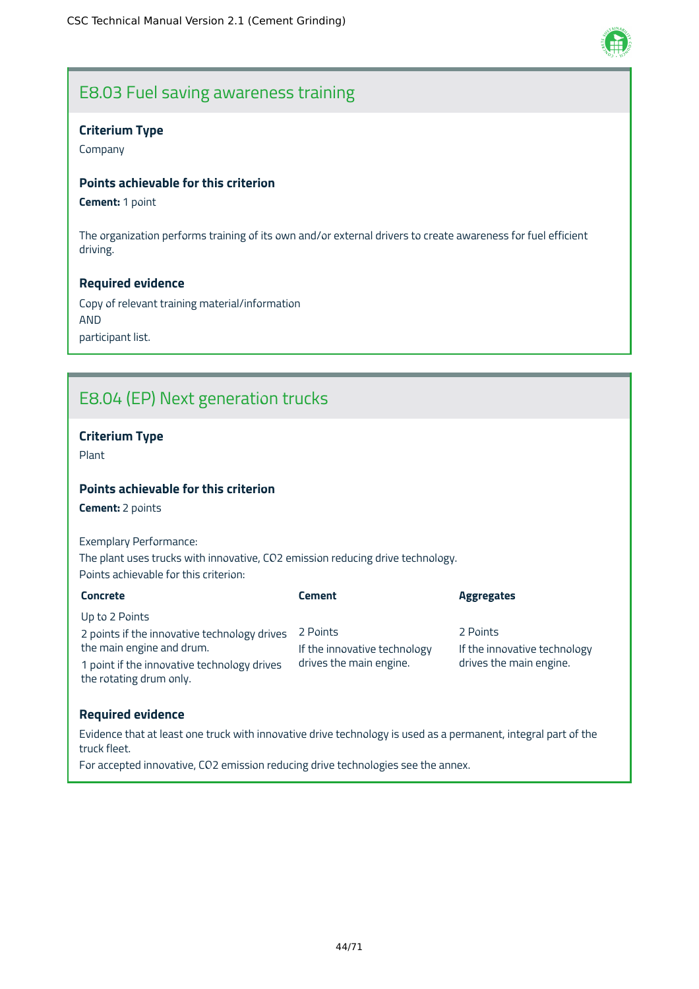

## E8.03 Fuel saving awareness training

### **Criterium Type**

Company

### **Points achievable for this criterion**

**Cement:** 1 point

The organization performs training of its own and/or external drivers to create awareness for fuel efficient driving.

### **Required evidence**

Copy of relevant training material/information AND participant list.

# E8.04 (EP) Next generation trucks

### **Criterium Type**

Plant

### **Points achievable for this criterion**

**Cement:** 2 points

Exemplary Performance: The plant uses trucks with innovative, CO2 emission reducing drive technology. Points achievable for this criterion:

| <b>Concrete</b>                                                        | <b>Cement</b>                | <b>Aggregates</b>            |
|------------------------------------------------------------------------|------------------------------|------------------------------|
| Up to 2 Points                                                         |                              |                              |
| 2 points if the innovative technology drives                           | 2 Points                     | 2 Points                     |
| the main engine and drum.                                              | If the innovative technology | If the innovative technology |
| 1 point if the innovative technology drives<br>the rotating drum only. | drives the main engine.      | drives the main engine.      |

### **Required evidence**

Evidence that at least one truck with innovative drive technology is used as a permanent, integral part of the truck fleet.

For accepted innovative, CO2 emission reducing drive technologies see the annex.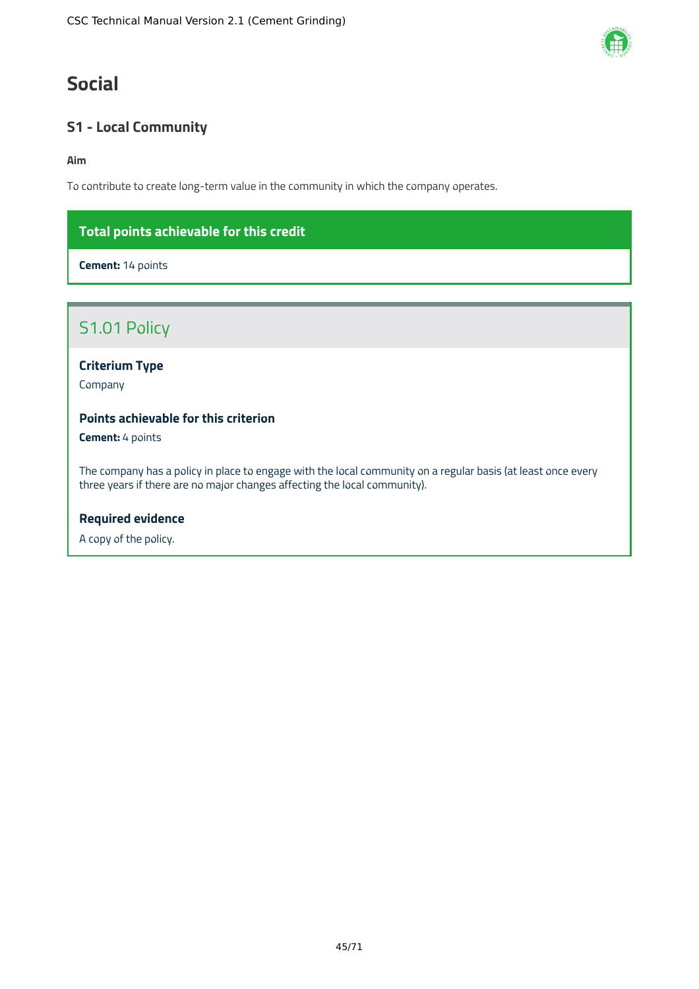# **Social**

## **S1 - Local Community**

### **Aim**

To contribute to create long-term value in the community in which the company operates.

## **Total points achievable for this credit**

**Cement:** 14 points

## S1.01 Policy

**Criterium Type**

Company

### **Points achievable for this criterion**

**Cement:** 4 points

The company has a policy in place to engage with the local community on a regular basis (at least once every three years if there are no major changes affecting the local community).

### **Required evidence**

A copy of the policy.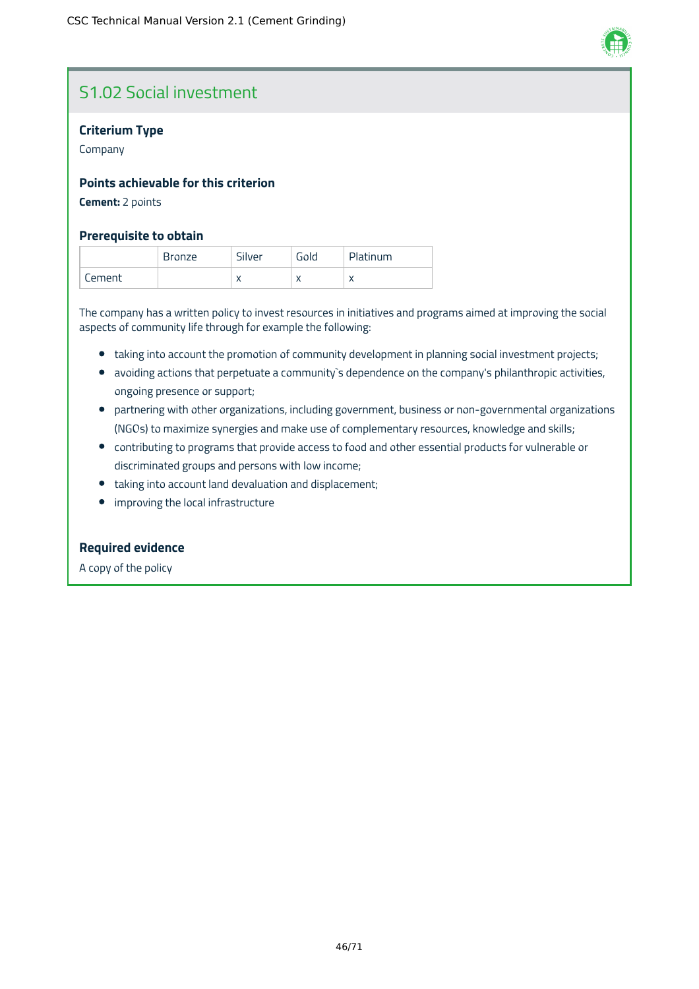

## S1.02 Social investment

### **Criterium Type**

Company

### **Points achievable for this criterion**

**Cement:** 2 points

### **Prerequisite to obtain**

|        | Bronze | Silver    | Gold | Platinum  |
|--------|--------|-----------|------|-----------|
| Cement |        | $\lambda$ |      | $\lambda$ |

The company has a written policy to invest resources in initiatives and programs aimed at improving the social aspects of community life through for example the following:

- taking into account the promotion of community development in planning social investment projects;
- avoiding actions that perpetuate a community`s dependence on the company's philanthropic activities, ongoing presence or support;
- partnering with other organizations, including government, business or non-governmental organizations (NGOs) to maximize synergies and make use of complementary resources, knowledge and skills;
- contributing to programs that provide access to food and other essential products for vulnerable or discriminated groups and persons with low income;
- taking into account land devaluation and displacement;
- improving the local infrastructure

### **Required evidence**

A copy of the policy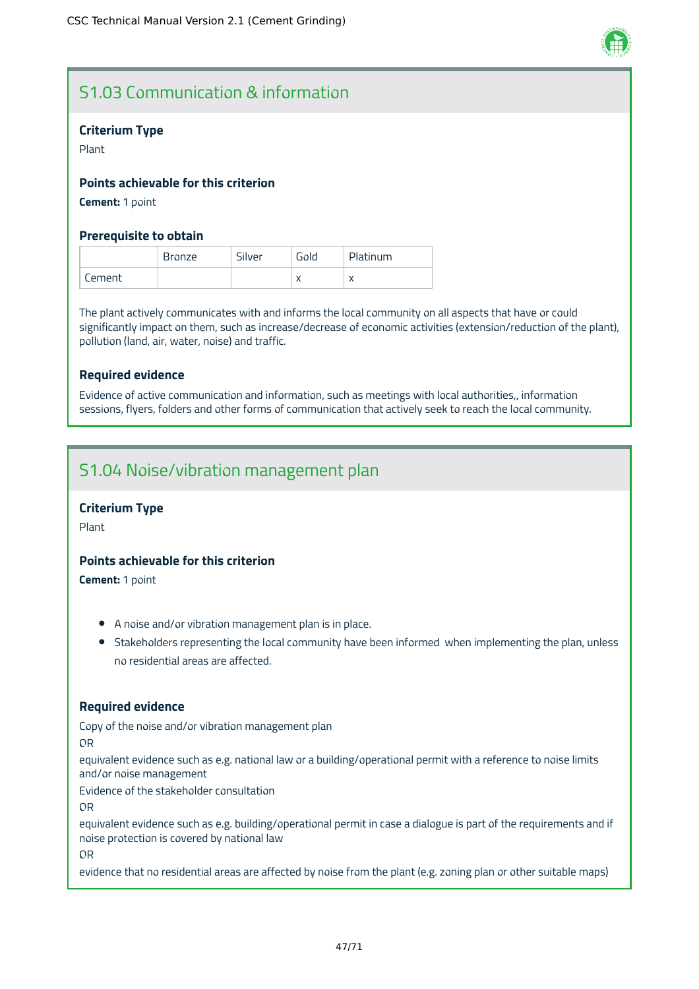

# S1.03 Communication & information

### **Criterium Type**

Plant

### **Points achievable for this criterion**

**Cement:** 1 point

### **Prerequisite to obtain**

|        | <b>Bronze</b> | Silver | Gold | Platinum |
|--------|---------------|--------|------|----------|
| Cement |               |        |      |          |

The plant actively communicates with and informs the local community on all aspects that have or could significantly impact on them, such as increase/decrease of economic activities (extension/reduction of the plant), pollution (land, air, water, noise) and traffic.

### **Required evidence**

Evidence of active communication and information, such as meetings with local authorities,, information sessions, flyers, folders and other forms of communication that actively seek to reach the local community.

## S1.04 Noise/vibration management plan

### **Criterium Type**

Plant

### **Points achievable for this criterion**

**Cement:** 1 point

- A noise and/or vibration management plan is in place.
- Stakeholders representing the local community have been informed when implementing the plan, unless no residential areas are affected.

### **Required evidence**

Copy of the noise and/or vibration management plan

OR

equivalent evidence such as e.g. national law or a building/operational permit with a reference to noise limits and/or noise management

Evidence of the stakeholder consultation

OR

equivalent evidence such as e.g. building/operational permit in case a dialogue is part of the requirements and if noise protection is covered by national law

OR

evidence that no residential areas are affected by noise from the plant (e.g. zoning plan or other suitable maps)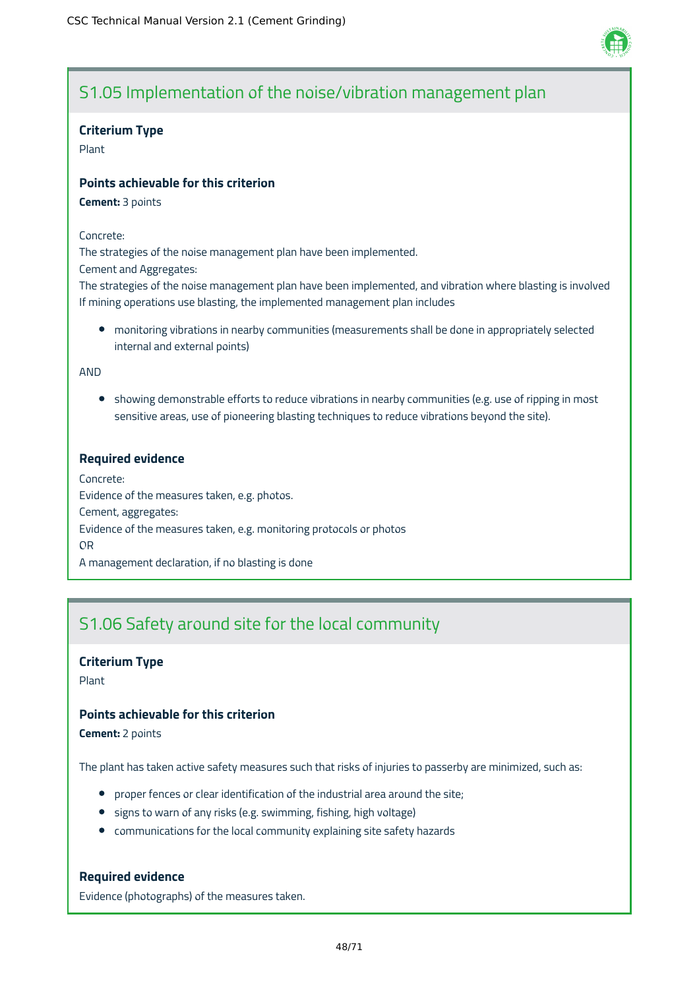

# S1.05 Implementation of the noise/vibration management plan

### **Criterium Type**

Plant

### **Points achievable for this criterion**

**Cement:** 3 points

#### Concrete:

The strategies of the noise management plan have been implemented.

Cement and Aggregates:

The strategies of the noise management plan have been implemented, and vibration where blasting is involved If mining operations use blasting, the implemented management plan includes

monitoring vibrations in nearby communities (measurements shall be done in appropriately selected internal and external points)

AND

• showing demonstrable efforts to reduce vibrations in nearby communities (e.g. use of ripping in most sensitive areas, use of pioneering blasting techniques to reduce vibrations beyond the site).

### **Required evidence**

Concrete: Evidence of the measures taken, e.g. photos. Cement, aggregates: Evidence of the measures taken, e.g. monitoring protocols or photos OR A management declaration, if no blasting is done

## S1.06 Safety around site for the local community

### **Criterium Type**

Plant

### **Points achievable for this criterion**

**Cement:** 2 points

The plant has taken active safety measures such that risks of injuries to passerby are minimized, such as:

- proper fences or clear identification of the industrial area around the site;
- signs to warn of any risks (e.g. swimming, fishing, high voltage)
- communications for the local community explaining site safety hazards

### **Required evidence**

Evidence (photographs) of the measures taken.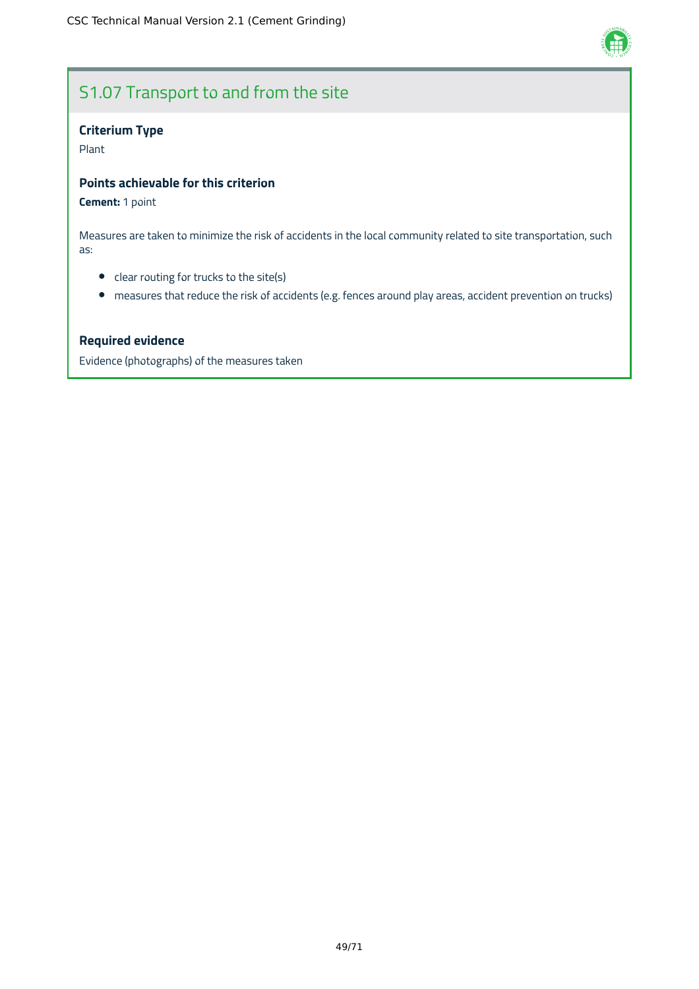

# S1.07 Transport to and from the site

## **Criterium Type**

Plant

### **Points achievable for this criterion**

### **Cement:** 1 point

Measures are taken to minimize the risk of accidents in the local community related to site transportation, such as:

- clear routing for trucks to the site(s)
- measures that reduce the risk of accidents (e.g. fences around play areas, accident prevention on trucks)

### **Required evidence**

Evidence (photographs) of the measures taken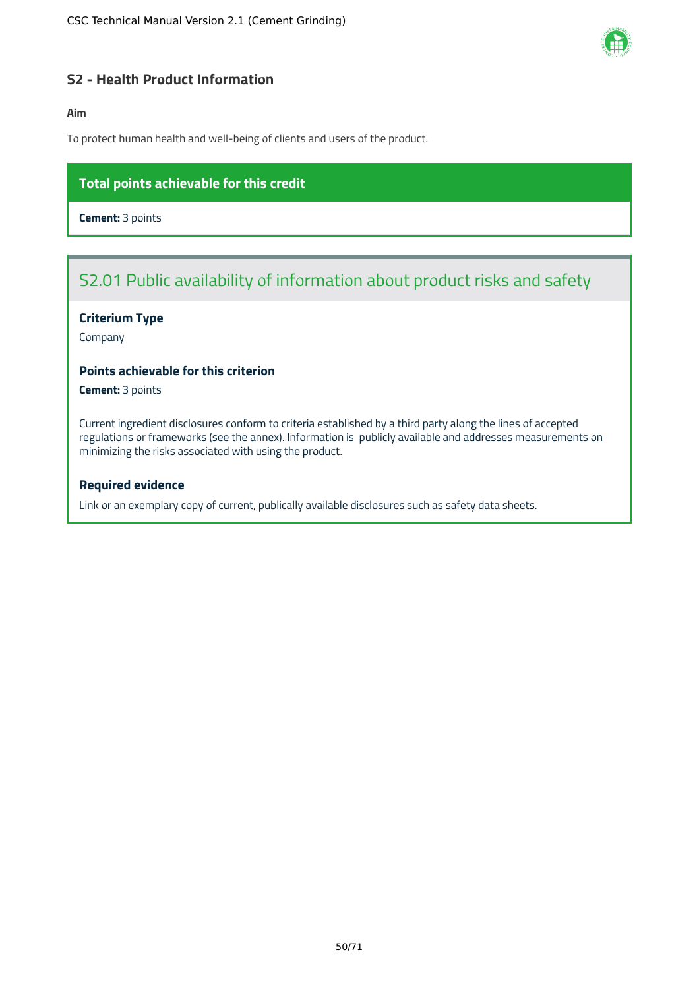

### **S2 - Health Product Information**

### **Aim**

To protect human health and well-being of clients and users of the product.

### **Total points achievable for this credit**

**Cement:** 3 points

# S2.01 Public availability of information about product risks and safety

### **Criterium Type**

Company

### **Points achievable for this criterion**

**Cement:** 3 points

Current ingredient disclosures conform to criteria established by a third party along the lines of accepted regulations or frameworks (see the annex). Information is publicly available and addresses measurements on minimizing the risks associated with using the product.

#### **Required evidence**

Link or an exemplary copy of current, publically available disclosures such as safety data sheets.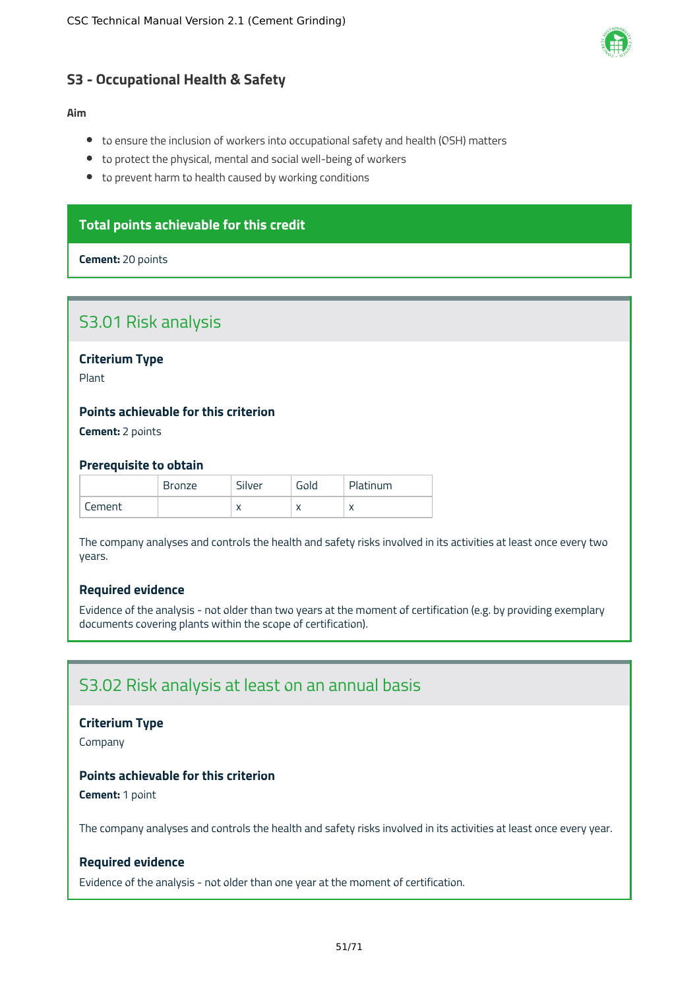

### **S3 - Occupational Health & Safety**

### **Aim**

- to ensure the inclusion of workers into occupational safety and health (OSH) matters
- to protect the physical, mental and social well-being of workers
- to prevent harm to health caused by working conditions

### **Total points achievable for this credit**

#### **Cement:** 20 points

## S3.01 Risk analysis

### **Criterium Type**

Plant

### **Points achievable for this criterion**

**Cement:** 2 points

#### **Prerequisite to obtain**

|        | <b>Bronze</b> | Silver    | Gold | Platinum  |
|--------|---------------|-----------|------|-----------|
| Cement |               | $\lambda$ |      | $\lambda$ |

The company analyses and controls the health and safety risks involved in its activities at least once every two years.

### **Required evidence**

Evidence of the analysis - not older than two years at the moment of certification (e.g. by providing exemplary documents covering plants within the scope of certification).

## S3.02 Risk analysis at least on an annual basis

#### **Criterium Type**

Company

### **Points achievable for this criterion**

**Cement:** 1 point

The company analyses and controls the health and safety risks involved in its activities at least once every year.

### **Required evidence**

Evidence of the analysis - not older than one year at the moment of certification.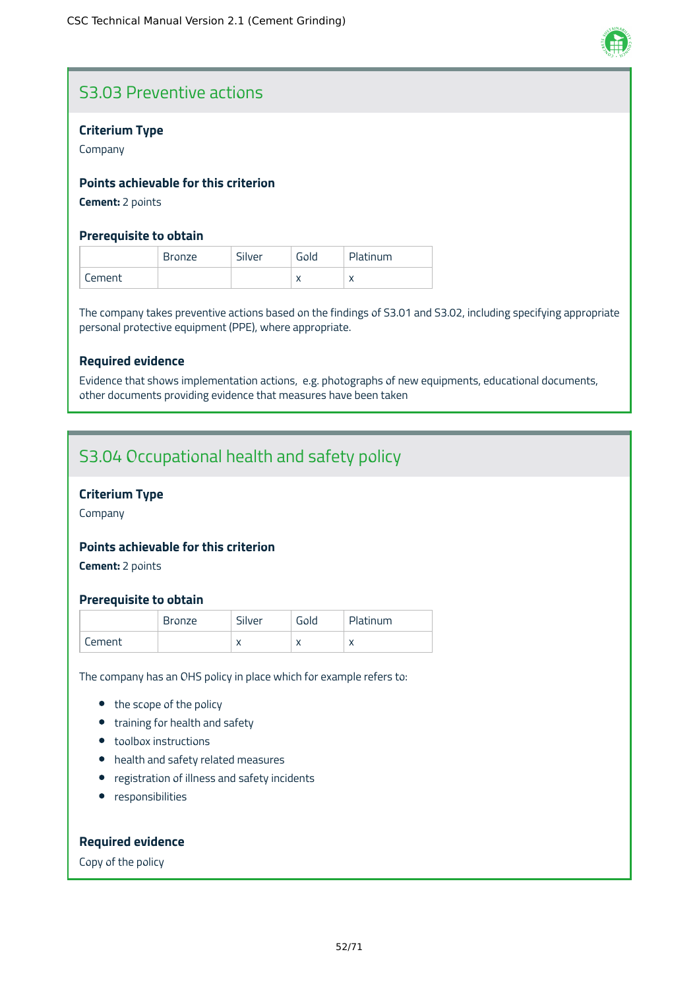

# S3.03 Preventive actions

### **Criterium Type**

Company

### **Points achievable for this criterion**

**Cement:** 2 points

### **Prerequisite to obtain**

|        | <b>Bronze</b> | Silver | Gold | Platinum  |
|--------|---------------|--------|------|-----------|
| Cement |               |        |      | $\lambda$ |

The company takes preventive actions based on the findings of S3.01 and S3.02, including specifying appropriate personal protective equipment (PPE), where appropriate.

### **Required evidence**

Evidence that shows implementation actions, e.g. photographs of new equipments, educational documents, other documents providing evidence that measures have been taken

## S3.04 Occupational health and safety policy

### **Criterium Type**

Company

### **Points achievable for this criterion**

**Cement:** 2 points

### **Prerequisite to obtain**

|        | <b>Bronze</b> | Silver    | Gold | Platinum  |
|--------|---------------|-----------|------|-----------|
| Cement |               | $\lambda$ |      | $\lambda$ |

The company has an OHS policy in place which for example refers to:

- the scope of the policy
- training for health and safety
- toolbox instructions
- health and safety related measures
- registration of illness and safety incidents
- **•** responsibilities

### **Required evidence**

Copy of the policy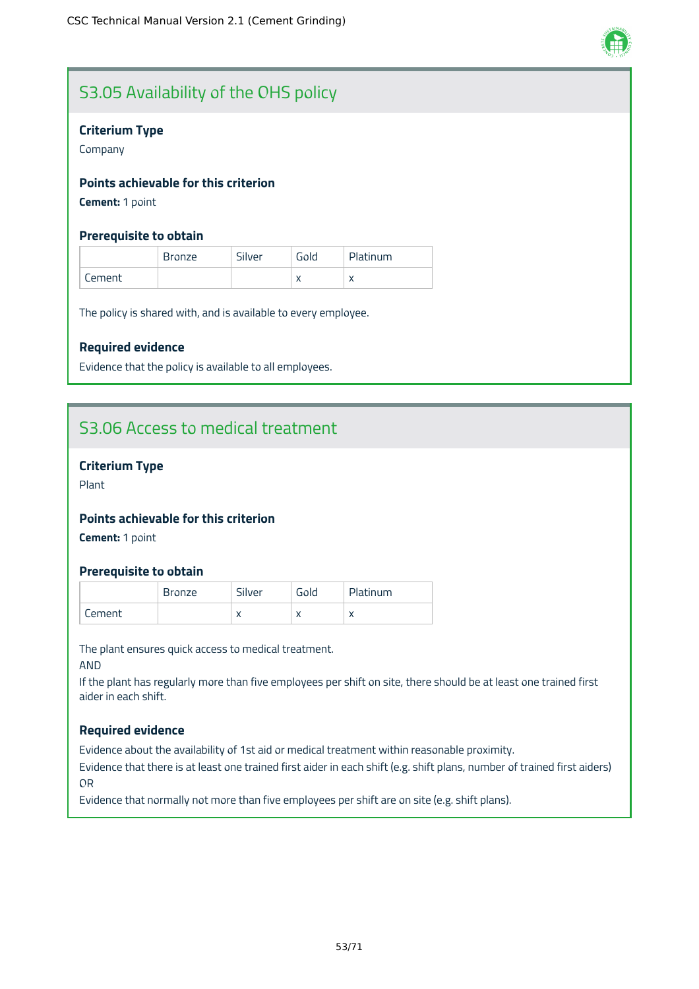

# S3.05 Availability of the OHS policy

### **Criterium Type**

Company

### **Points achievable for this criterion**

**Cement:** 1 point

### **Prerequisite to obtain**

|          | <b>Bronze</b> | Silver | Gold | Platinum  |
|----------|---------------|--------|------|-----------|
| ' Cement |               |        |      | $\lambda$ |

The policy is shared with, and is available to every employee.

### **Required evidence**

Evidence that the policy is available to all employees.

## S3.06 Access to medical treatment

### **Criterium Type**

Plant

### **Points achievable for this criterion**

**Cement:** 1 point

### **Prerequisite to obtain**

|        | <b>Bronze</b> | Silver    | Gold | Platinum  |
|--------|---------------|-----------|------|-----------|
| Cement |               | $\lambda$ |      | $\lambda$ |

The plant ensures quick access to medical treatment.

AND

If the plant has regularly more than five employees per shift on site, there should be at least one trained first aider in each shift.

### **Required evidence**

Evidence about the availability of 1st aid or medical treatment within reasonable proximity.

Evidence that there is at least one trained first aider in each shift (e.g. shift plans, number of trained first aiders) OR

Evidence that normally not more than five employees per shift are on site (e.g. shift plans).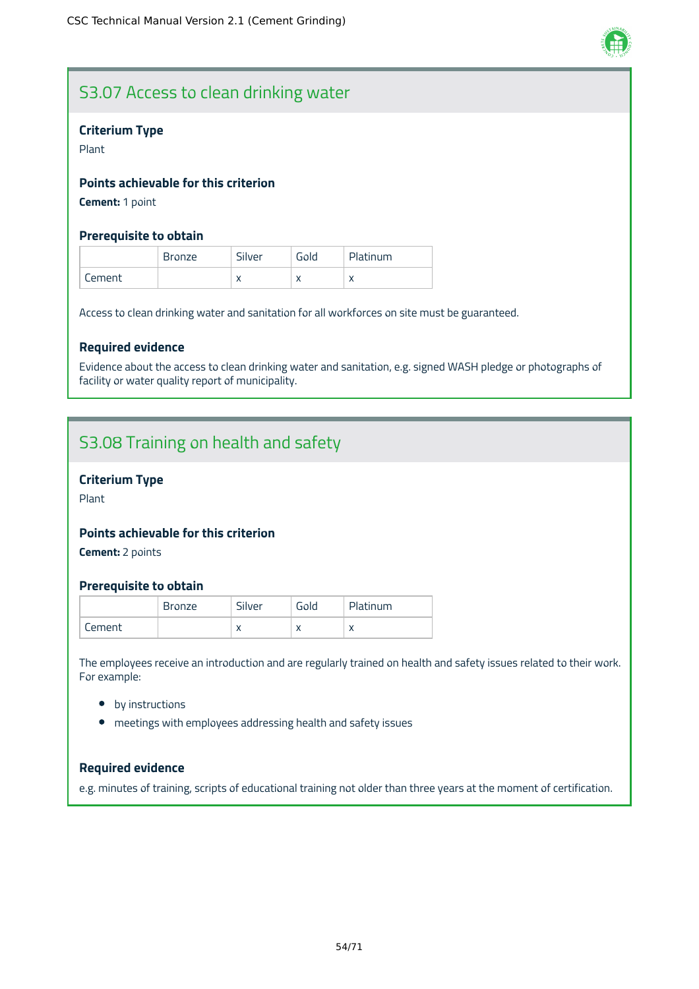

## S3.07 Access to clean drinking water

### **Criterium Type**

Plant

### **Points achievable for this criterion**

**Cement:** 1 point

### **Prerequisite to obtain**

|        | <b>Bronze</b> | Silver    | Gold | Platinum   |
|--------|---------------|-----------|------|------------|
| Lement |               | $\lambda$ |      | $\sqrt{ }$ |

Access to clean drinking water and sanitation for all workforces on site must be guaranteed.

### **Required evidence**

Evidence about the access to clean drinking water and sanitation, e.g. signed WASH pledge or photographs of facility or water quality report of municipality.

## S3.08 Training on health and safety

### **Criterium Type**

Plant

### **Points achievable for this criterion**

**Cement:** 2 points

### **Prerequisite to obtain**

|        | <b>Bronze</b> | Silver    | Gold      | Platinum  |
|--------|---------------|-----------|-----------|-----------|
| Cement |               | $\lambda$ | $\lambda$ | $\lambda$ |

The employees receive an introduction and are regularly trained on health and safety issues related to their work. For example:

- by instructions
- meetings with employees addressing health and safety issues

### **Required evidence**

e.g. minutes of training, scripts of educational training not older than three years at the moment of certification.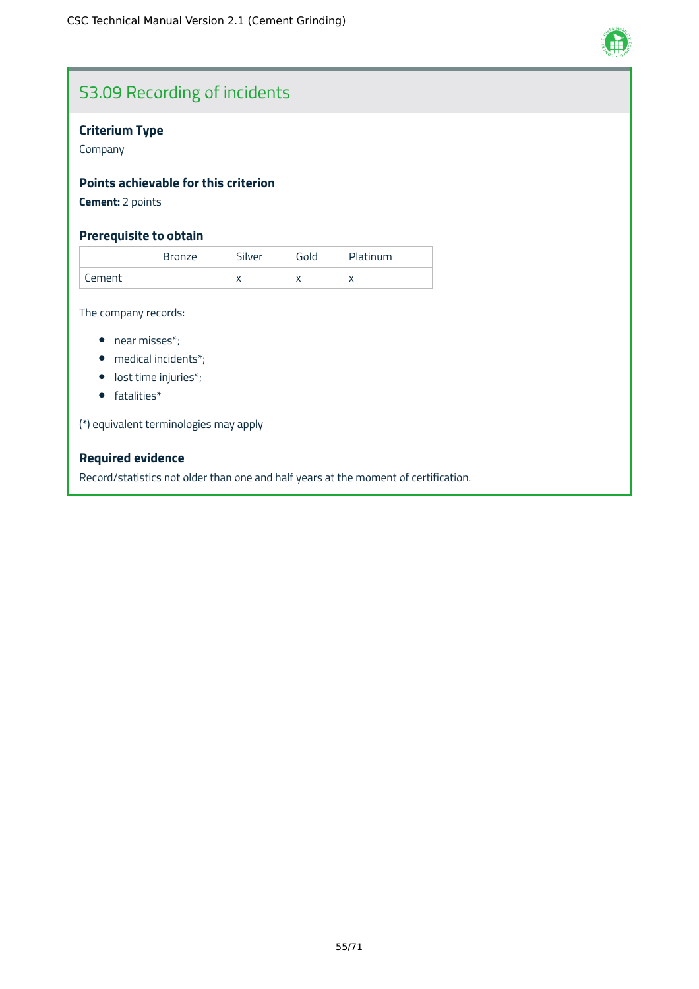

# S3.09 Recording of incidents

## **Criterium Type**

Company

### **Points achievable for this criterion**

**Cement:** 2 points

### **Prerequisite to obtain**

|            | Bronze | Silver | Gold      | Platinum  |
|------------|--------|--------|-----------|-----------|
| .<br>ement |        | "      | $\lambda$ | $\lambda$ |

The company records:

- near misses\*;
- medical incidents\*;
- lost time injuries\*;
- fatalities\*

(\*) equivalent terminologies may apply

### **Required evidence**

Record/statistics not older than one and half years at the moment of certification.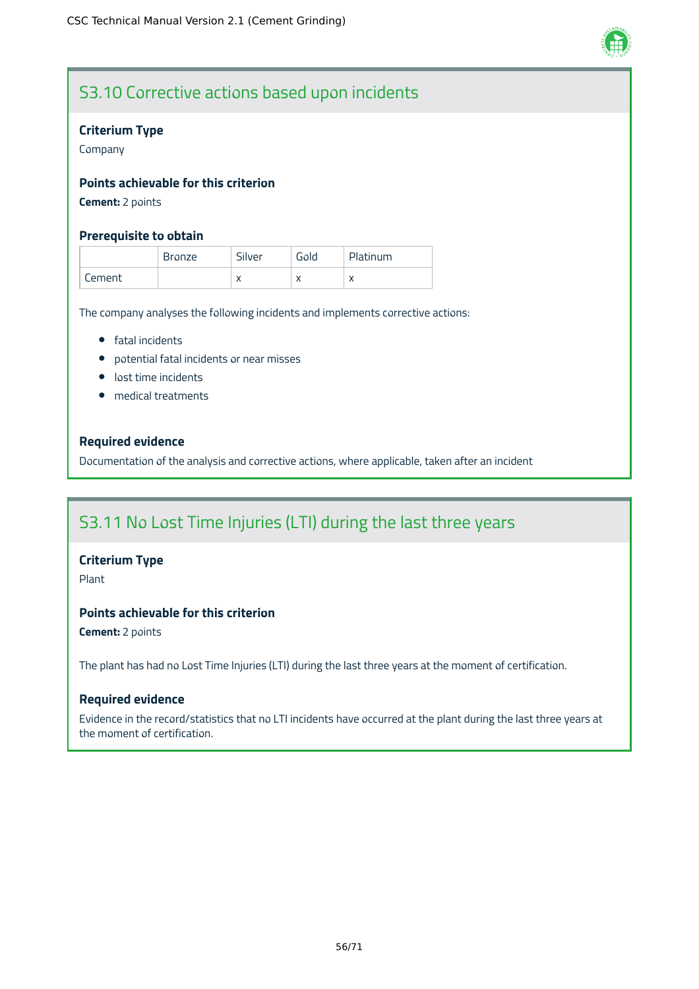

# S3.10 Corrective actions based upon incidents

### **Criterium Type**

Company

### **Points achievable for this criterion**

**Cement:** 2 points

### **Prerequisite to obtain**

|        | Bronze | Silver       | Gold | Platinum  |
|--------|--------|--------------|------|-----------|
| Cement |        | $\mathbf{v}$ |      | $\lambda$ |

The company analyses the following incidents and implements corrective actions:

- **•** fatal incidents
- potential fatal incidents or near misses
- **·** lost time incidents
- medical treatments

### **Required evidence**

Documentation of the analysis and corrective actions, where applicable, taken after an incident

## S3.11 No Lost Time Injuries (LTI) during the last three years

### **Criterium Type**

Plant

## **Points achievable for this criterion**

**Cement:** 2 points

The plant has had no Lost Time Injuries (LTI) during the last three years at the moment of certification.

### **Required evidence**

Evidence in the record/statistics that no LTI incidents have occurred at the plant during the last three years at the moment of certification.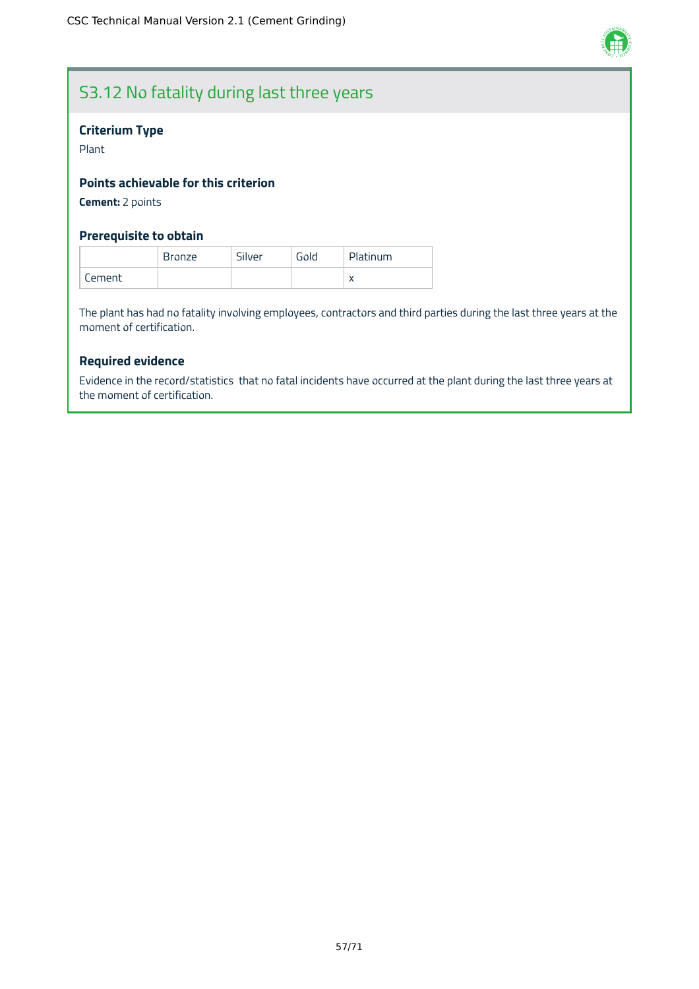

# S3.12 No fatality during last three years

### **Criterium Type**

Plant

### **Points achievable for this criterion**

**Cement:** 2 points

### **Prerequisite to obtain**

|        | <b>Bronze</b> | Silver | Gold | Platinum   |
|--------|---------------|--------|------|------------|
| Cement |               |        |      | $\sqrt{2}$ |

The plant has had no fatality involving employees, contractors and third parties during the last three years at the moment of certification.

### **Required evidence**

Evidence in the record/statistics that no fatal incidents have occurred at the plant during the last three years at the moment of certification.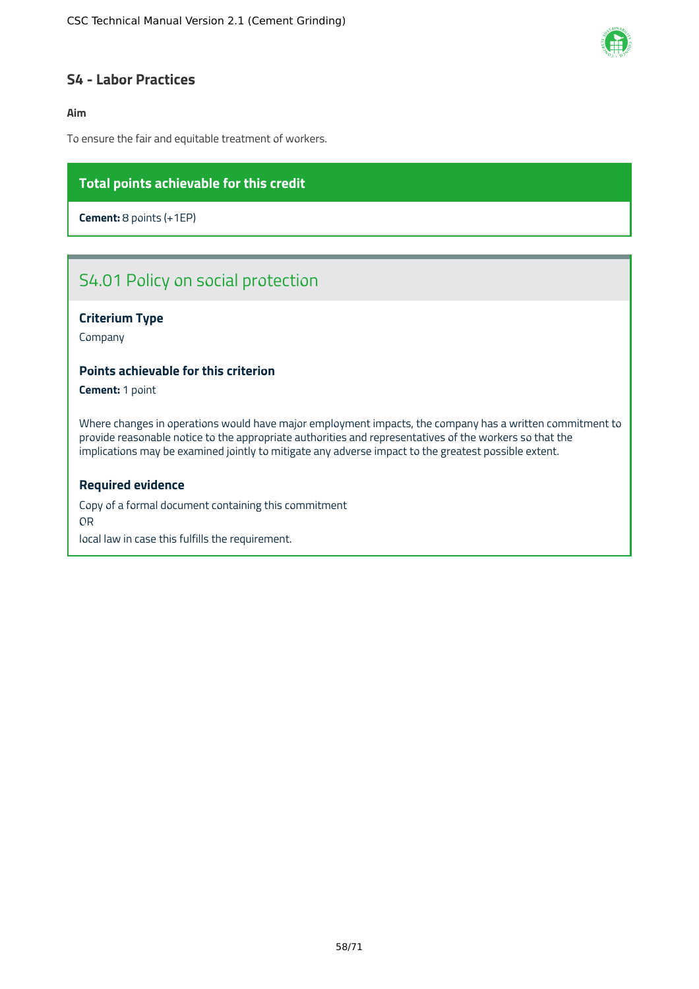

### **S4 - Labor Practices**

### **Aim**

To ensure the fair and equitable treatment of workers.

### **Total points achievable for this credit**

**Cement:** 8 points (+1EP)

# S4.01 Policy on social protection

### **Criterium Type**

Company

### **Points achievable for this criterion**

**Cement:** 1 point

Where changes in operations would have major employment impacts, the company has a written commitment to provide reasonable notice to the appropriate authorities and representatives of the workers so that the implications may be examined jointly to mitigate any adverse impact to the greatest possible extent.

#### **Required evidence**

Copy of a formal document containing this commitment OR local law in case this fulfills the requirement.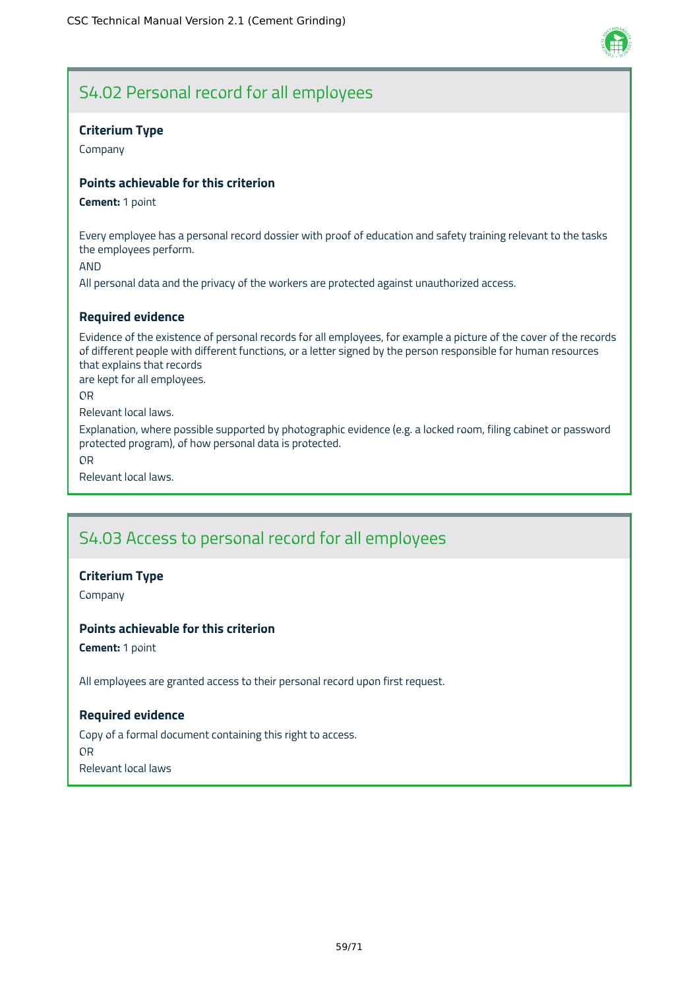

## S4.02 Personal record for all employees

### **Criterium Type**

Company

### **Points achievable for this criterion**

#### **Cement:** 1 point

Every employee has a personal record dossier with proof of education and safety training relevant to the tasks the employees perform.

AND

All personal data and the privacy of the workers are protected against unauthorized access.

### **Required evidence**

Evidence of the existence of personal records for all employees, for example a picture of the cover of the records of different people with different functions, or a letter signed by the person responsible for human resources that explains that records

are kept for all employees.

OR

Relevant local laws.

Explanation, where possible supported by photographic evidence (e.g. a locked room, filing cabinet or password protected program), of how personal data is protected.

OR

Relevant local laws.

## S4.03 Access to personal record for all employees

### **Criterium Type**

Company

### **Points achievable for this criterion**

**Cement:** 1 point

All employees are granted access to their personal record upon first request.

### **Required evidence**

Copy of a formal document containing this right to access. OR Relevant local laws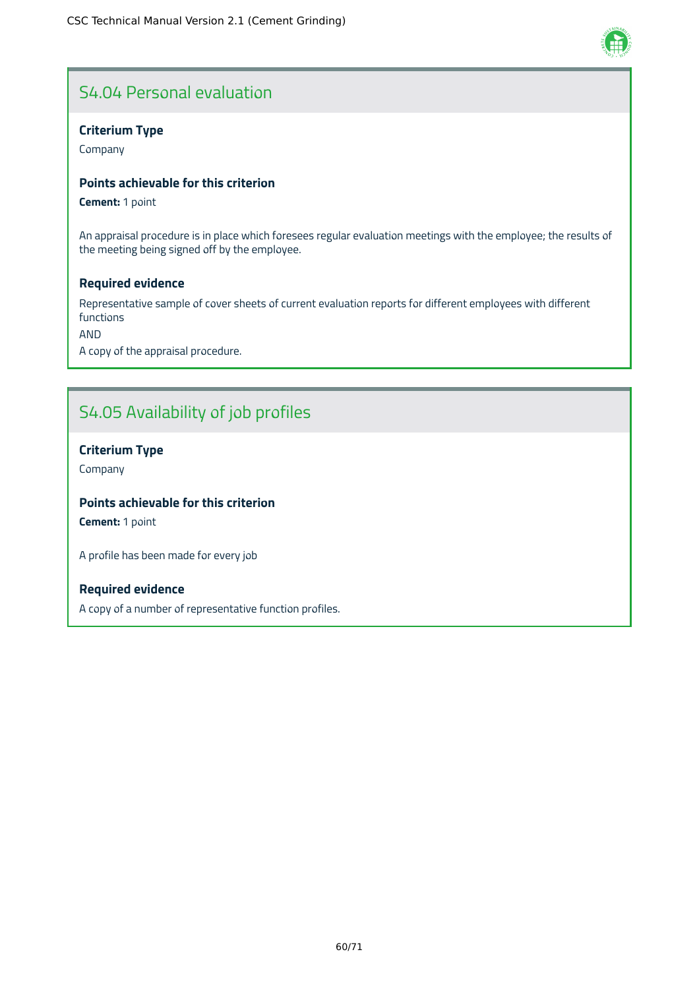# S4.04 Personal evaluation

### **Criterium Type**

Company

### **Points achievable for this criterion**

**Cement:** 1 point

An appraisal procedure is in place which foresees regular evaluation meetings with the employee; the results of the meeting being signed off by the employee.

### **Required evidence**

Representative sample of cover sheets of current evaluation reports for different employees with different functions

AND

A copy of the appraisal procedure.

# S4.05 Availability of job profiles

### **Criterium Type**

Company

### **Points achievable for this criterion**

**Cement:** 1 point

A profile has been made for every job

### **Required evidence**

A copy of a number of representative function profiles.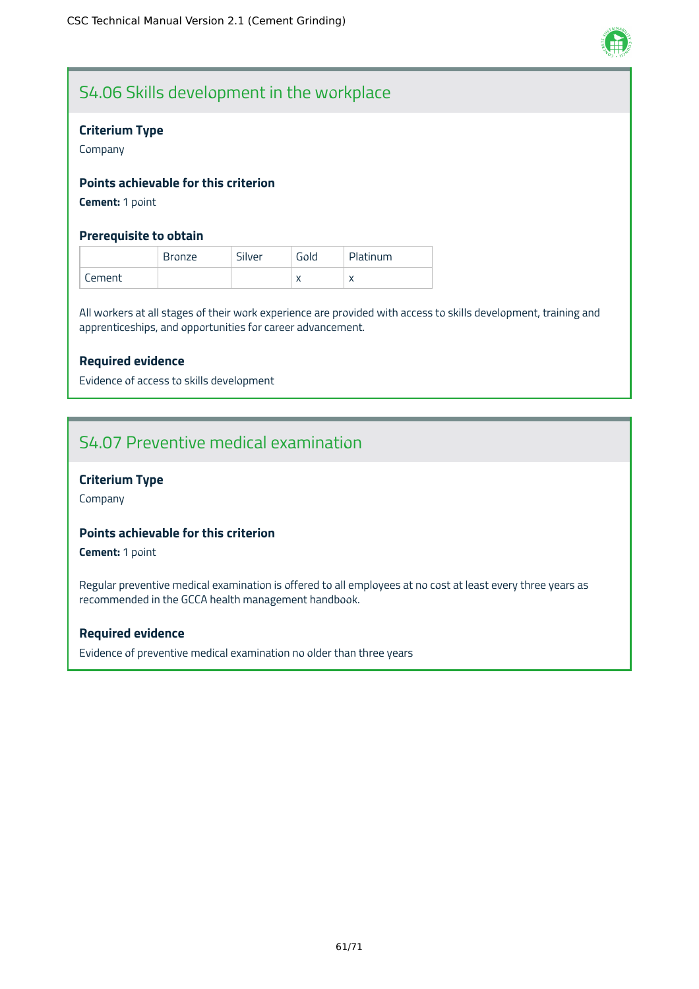

# S4.06 Skills development in the workplace

### **Criterium Type**

Company

### **Points achievable for this criterion**

**Cement:** 1 point

### **Prerequisite to obtain**

|        | Bronze | Silver | Gold | Platinum |
|--------|--------|--------|------|----------|
| Cement |        |        |      |          |

All workers at all stages of their work experience are provided with access to skills development, training and apprenticeships, and opportunities for career advancement.

### **Required evidence**

Evidence of access to skills development

## S4.07 Preventive medical examination

### **Criterium Type**

Company

### **Points achievable for this criterion**

**Cement:** 1 point

Regular preventive medical examination is offered to all employees at no cost at least every three years as recommended in the GCCA health management handbook.

### **Required evidence**

Evidence of preventive medical examination no older than three years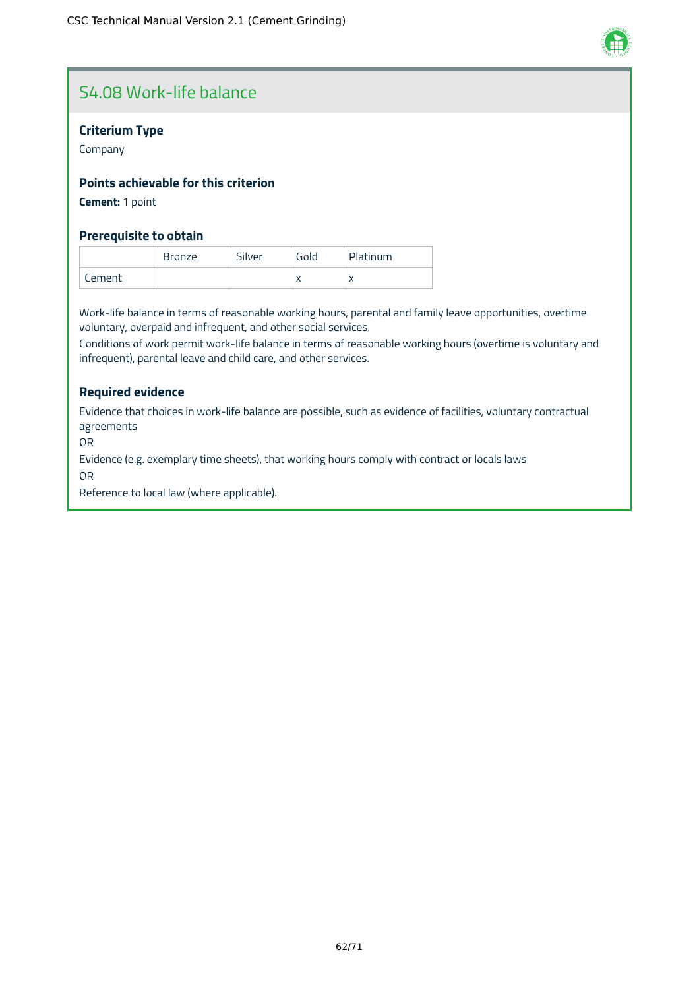

# S4.08 Work-life balance

### **Criterium Type**

Company

### **Points achievable for this criterion**

**Cement:** 1 point

### **Prerequisite to obtain**

|        | <b>Bronze</b> | Silver | Gold | Platinum  |
|--------|---------------|--------|------|-----------|
| Cement |               |        |      | $\lambda$ |

Work-life balance in terms of reasonable working hours, parental and family leave opportunities, overtime voluntary, overpaid and infrequent, and other social services.

Conditions of work permit work-life balance in terms of reasonable working hours (overtime is voluntary and infrequent), parental leave and child care, and other services.

### **Required evidence**

Evidence that choices in work-life balance are possible, such as evidence of facilities, voluntary contractual agreements

OR

Evidence (e.g. exemplary time sheets), that working hours comply with contract or locals laws

OR

Reference to local law (where applicable).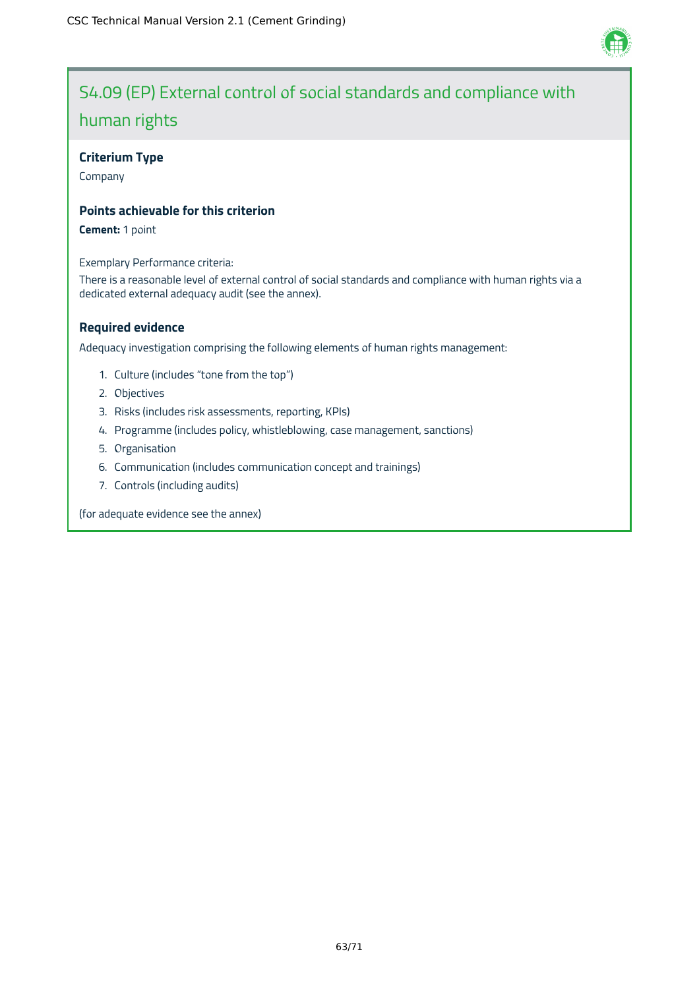

# S4.09 (EP) External control of social standards and compliance with human rights

### **Criterium Type**

Company

### **Points achievable for this criterion**

**Cement:** 1 point

Exemplary Performance criteria:

There is a reasonable level of external control of social standards and compliance with human rights via a dedicated external adequacy audit (see the annex).

### **Required evidence**

Adequacy investigation comprising the following elements of human rights management:

- 1. Culture (includes "tone from the top")
- 2. Objectives
- 3. Risks (includes risk assessments, reporting, KPIs)
- 4. Programme (includes policy, whistleblowing, case management, sanctions)
- 5. Organisation
- 6. Communication (includes communication concept and trainings)
- 7. Controls (including audits)

(for adequate evidence see the annex)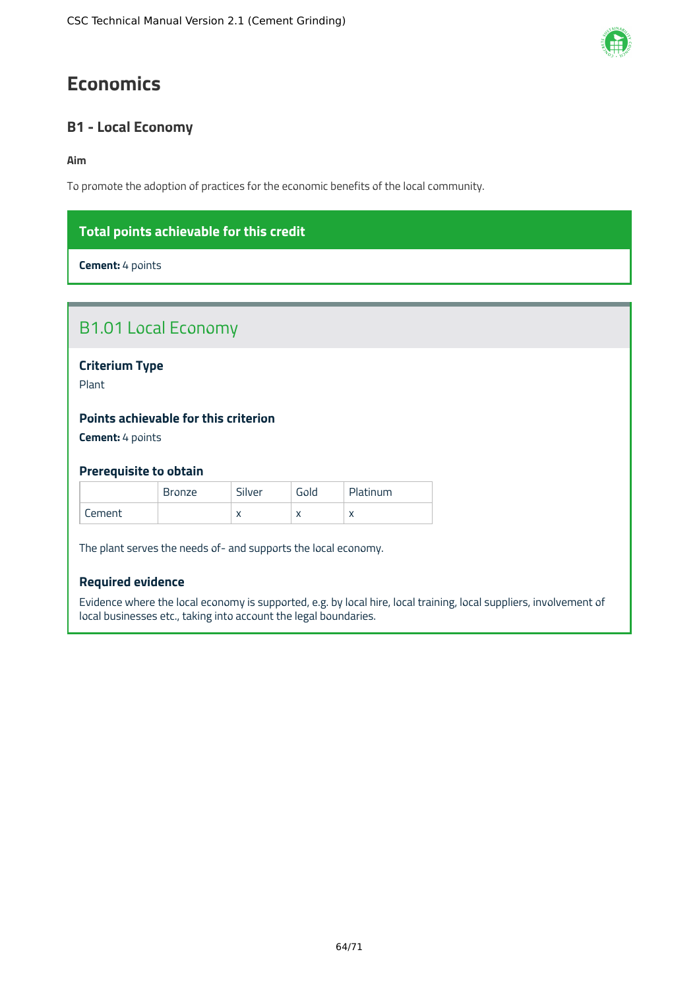# **Economics**

## **B1 - Local Economy**

### **Aim**

To promote the adoption of practices for the economic benefits of the local community.

## **Total points achievable for this credit**

**Cement:** 4 points

**Criterium Type**

Plant

### **Points achievable for this criterion**

**Cement:** 4 points

### **Prerequisite to obtain**

|        | <b>Bronze</b> | Silver    | Gold | Platinum  |
|--------|---------------|-----------|------|-----------|
| Lement |               | $\lambda$ |      | $\lambda$ |

The plant serves the needs of- and supports the local economy.

### **Required evidence**

Evidence where the local economy is supported, e.g. by local hire, local training, local suppliers, involvement of local businesses etc., taking into account the legal boundaries.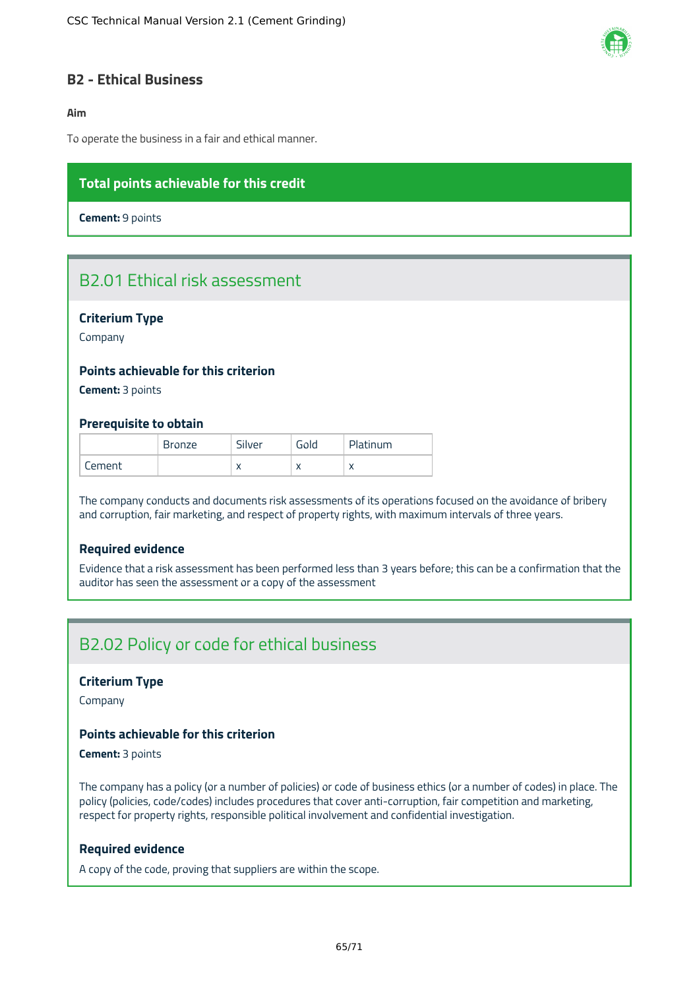

### **B2 - Ethical Business**

### **Aim**

To operate the business in a fair and ethical manner.

### **Total points achievable for this credit**

**Cement:** 9 points

## B2.01 Ethical risk assessment

### **Criterium Type**

Company

### **Points achievable for this criterion**

**Cement:** 3 points

#### **Prerequisite to obtain**

|        | <b>Bronze</b> | Silver | Gold | Platinum  |
|--------|---------------|--------|------|-----------|
| Cement |               |        |      | $\lambda$ |

The company conducts and documents risk assessments of its operations focused on the avoidance of bribery and corruption, fair marketing, and respect of property rights, with maximum intervals of three years.

### **Required evidence**

Evidence that a risk assessment has been performed less than 3 years before; this can be a confirmation that the auditor has seen the assessment or a copy of the assessment

## B2.02 Policy or code for ethical business

#### **Criterium Type**

Company

### **Points achievable for this criterion**

**Cement:** 3 points

The company has a policy (or a number of policies) or code of business ethics (or a number of codes) in place. The policy (policies, code/codes) includes procedures that cover anti-corruption, fair competition and marketing, respect for property rights, responsible political involvement and confidential investigation.

#### **Required evidence**

A copy of the code, proving that suppliers are within the scope.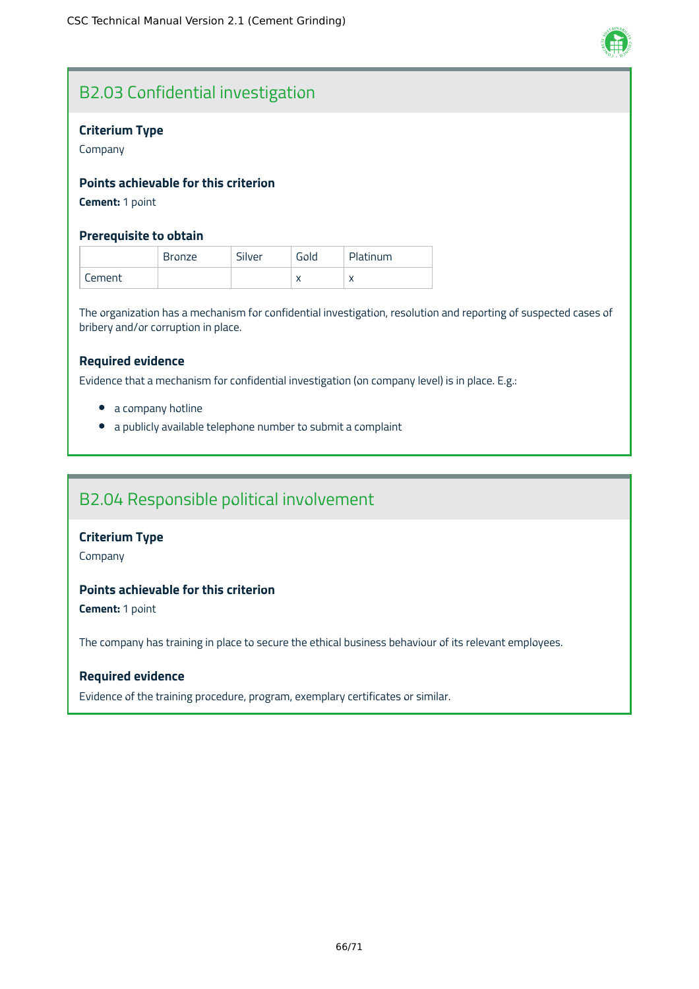

# B2.03 Confidential investigation

### **Criterium Type**

Company

## **Points achievable for this criterion**

**Cement:** 1 point

### **Prerequisite to obtain**

|        | Bronze | Silver | Gold | Platinum  |
|--------|--------|--------|------|-----------|
| Cement |        |        |      | $\lambda$ |

The organization has a mechanism for confidential investigation, resolution and reporting of suspected cases of bribery and/or corruption in place.

### **Required evidence**

Evidence that a mechanism for confidential investigation (on company level) is in place. E.g.:

- a company hotline
- a publicly available telephone number to submit a complaint

## B2.04 Responsible political involvement

### **Criterium Type**

Company

### **Points achievable for this criterion**

**Cement:** 1 point

The company has training in place to secure the ethical business behaviour of its relevant employees.

### **Required evidence**

Evidence of the training procedure, program, exemplary certificates or similar.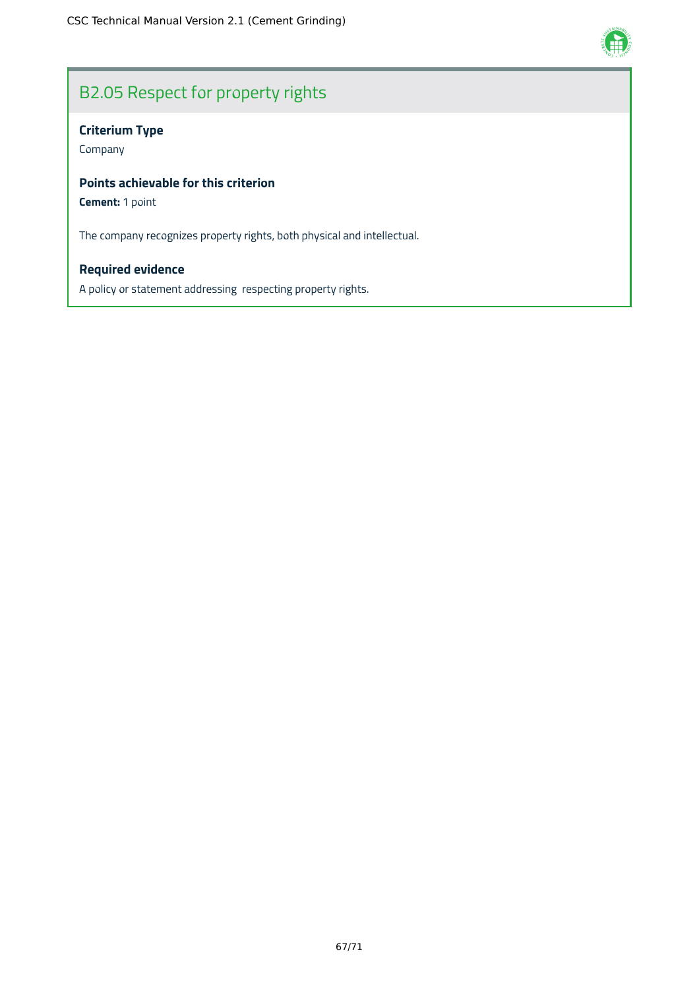

# B2.05 Respect for property rights

## **Criterium Type**

Company

### **Points achievable for this criterion**

**Cement:** 1 point

The company recognizes property rights, both physical and intellectual.

## **Required evidence**

A policy or statement addressing respecting property rights.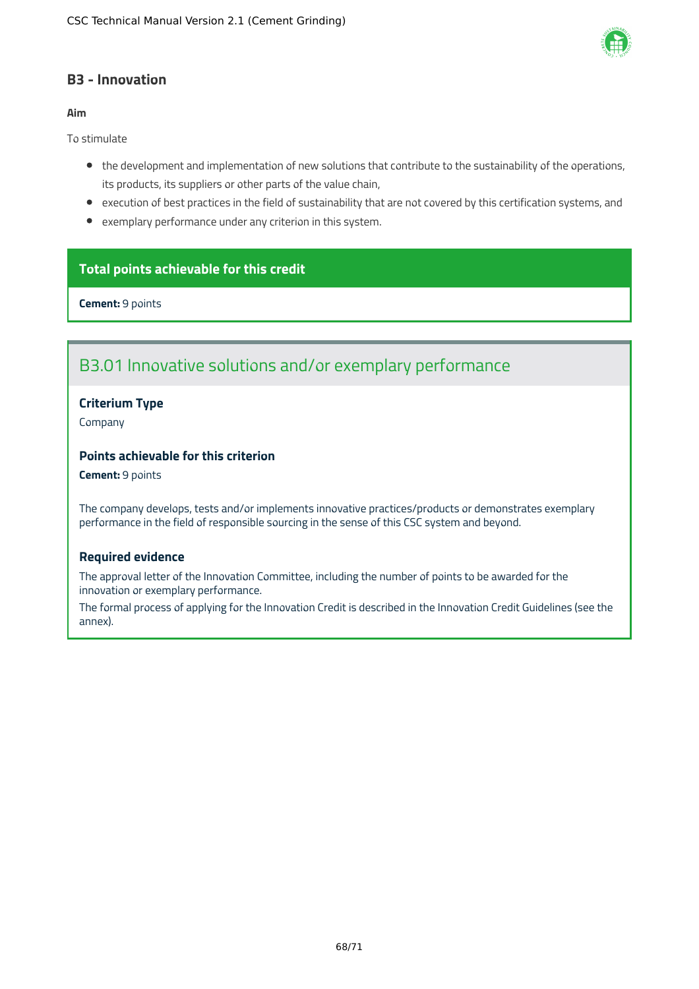

### **B3 - Innovation**

### **Aim**

To stimulate

- the development and implementation of new solutions that contribute to the sustainability of the operations, its products, its suppliers or other parts of the value chain,
- execution of best practices in the field of sustainability that are not covered by this certification systems, and
- exemplary performance under any criterion in this system.

### **Total points achievable for this credit**

**Cement:** 9 points

## B3.01 Innovative solutions and/or exemplary performance

### **Criterium Type**

Company

### **Points achievable for this criterion**

**Cement:** 9 points

The company develops, tests and/or implements innovative practices/products or demonstrates exemplary performance in the field of responsible sourcing in the sense of this CSC system and beyond.

### **Required evidence**

The approval letter of the Innovation Committee, including the number of points to be awarded for the innovation or exemplary performance.

The formal process of applying for the Innovation Credit is described in the Innovation Credit Guidelines (see the annex).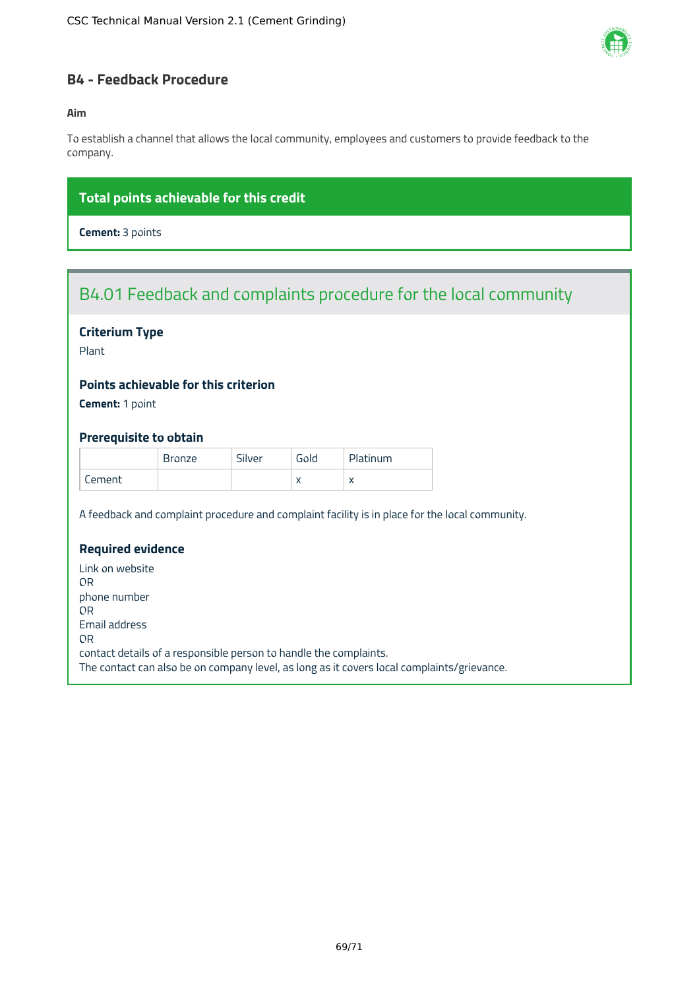

### **B4 - Feedback Procedure**

### **Aim**

To establish a channel that allows the local community, employees and customers to provide feedback to the company.

## **Total points achievable for this credit**

**Cement:** 3 points

## B4.01 Feedback and complaints procedure for the local community

### **Criterium Type**

Plant

### **Points achievable for this criterion**

**Cement:** 1 point

### **Prerequisite to obtain**

|        | <b>Bronze</b> | Silver | Gold | Platinum  |
|--------|---------------|--------|------|-----------|
| Cement |               |        |      | $\lambda$ |

A feedback and complaint procedure and complaint facility is in place for the local community.

### **Required evidence**

Link on website OR phone number OR Email address OR contact details of a responsible person to handle the complaints. The contact can also be on company level, as long as it covers local complaints/grievance.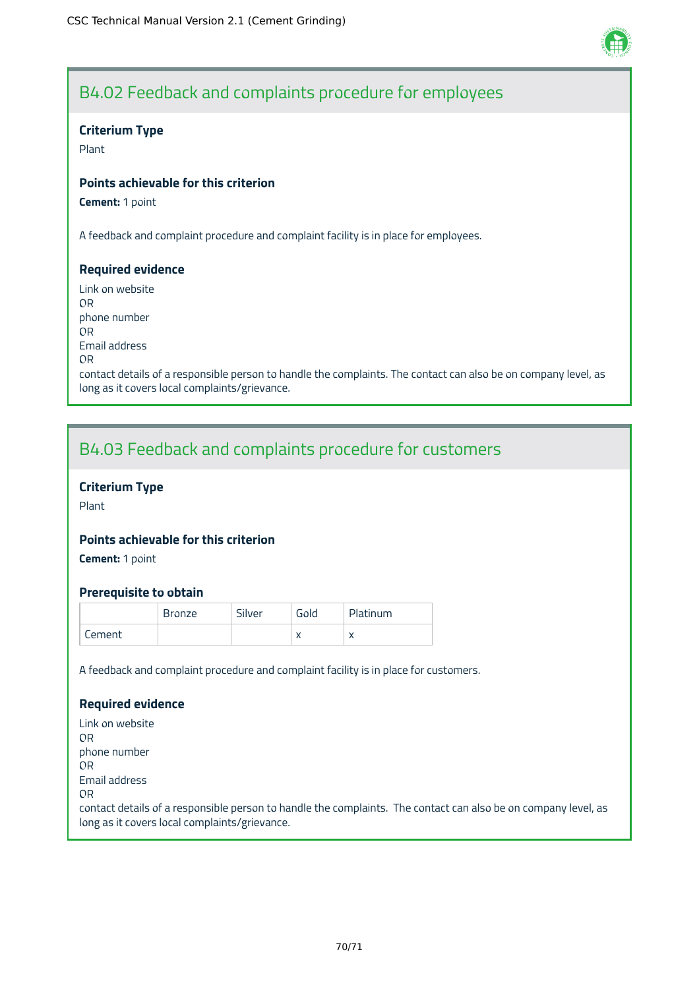

## B4.02 Feedback and complaints procedure for employees

### **Criterium Type**

Plant

### **Points achievable for this criterion**

**Cement:** 1 point

A feedback and complaint procedure and complaint facility is in place for employees.

### **Required evidence**

Link on website OR phone number OR Email address OR contact details of a responsible person to handle the complaints. The contact can also be on company level, as long as it covers local complaints/grievance.

## B4.03 Feedback and complaints procedure for customers

### **Criterium Type**

Plant

### **Points achievable for this criterion**

**Cement:** 1 point

### **Prerequisite to obtain**

|        | <b>Bronze</b> | Silver | Gold      | Platinum  |
|--------|---------------|--------|-----------|-----------|
| Cement |               |        | $\lambda$ | $\lambda$ |

A feedback and complaint procedure and complaint facility is in place for customers.

### **Required evidence**

Link on website OR phone number OR Email address OR contact details of a responsible person to handle the complaints. The contact can also be on company level, as long as it covers local complaints/grievance.